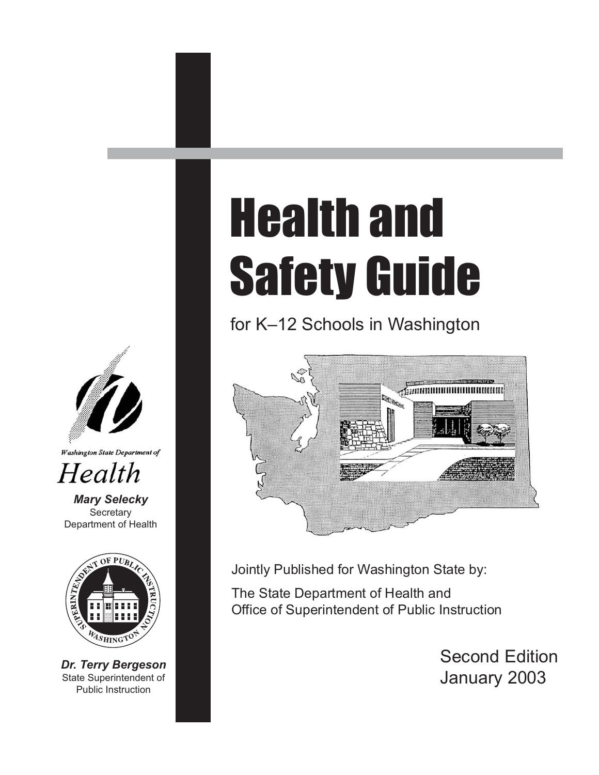

#### **Washington State Department of**

## Health

*Mary Selecky* **Secretary** Department of Health



*Dr. Terry Bergeson* State Superintendent of Public Instruction

# Health and Safety Guide

for K–12 Schools in Washington



Jointly Published for Washington State by:

The State Department of Health and Office of Superintendent of Public Instruction

> Second Edition January 2003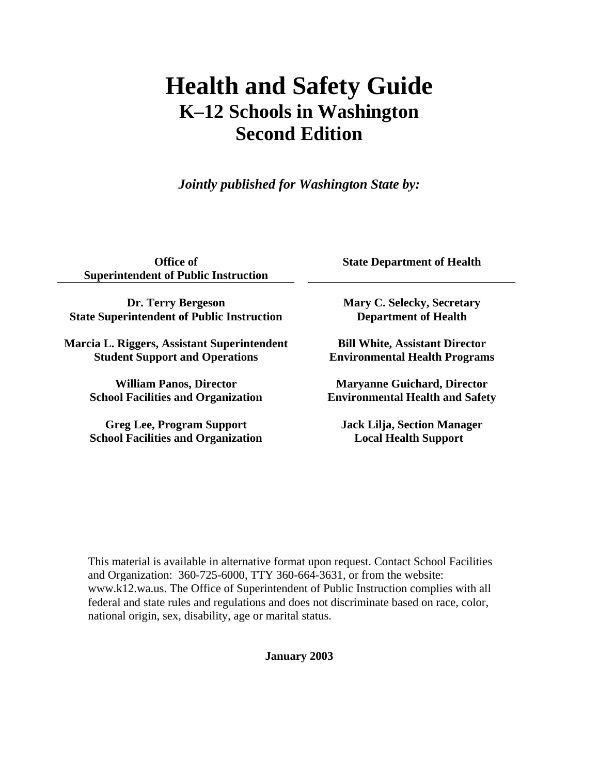### **Health and Safety Guide K–12 Schools in Washington Second Edition**

*Jointly published for Washington State by:* 

**Office of Superintendent of Public Instruction** 

**Dr. Terry Bergeson State Superintendent of Public Instruction**

**Marcia L. Riggers, Assistant Superintendent Student Support and Operations**

> **William Panos, Director School Facilities and Organization**

> **Greg Lee, Program Support School Facilities and Organization**

**State Department of Health** 

**Mary C. Selecky, Secretary Department of Health** 

**Bill White, Assistant Director Environmental Health Programs** 

**Maryanne Guichard, Director Environmental Health and Safety** 

**Jack Lilja, Section Manager Local Health Support**

This material is available in alternative format upon request. Contact School Facilities and Organization: 360-725-6000, TTY 360-664-3631, or from the website: www.k12.wa.us. The Office of Superintendent of Public Instruction complies with all federal and state rules and regulations and does not discriminate based on race, color, national origin, sex, disability, age or marital status.

**January 2003**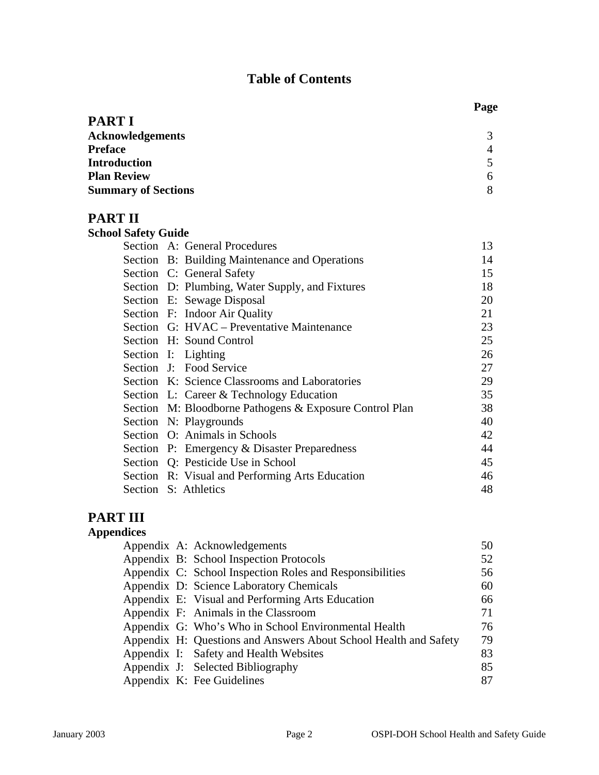#### **Table of Contents**

| <b>PART I</b>              |   |
|----------------------------|---|
| <b>Acknowledgements</b>    | 3 |
| <b>Preface</b>             | 4 |
| <b>Introduction</b>        | 5 |
| <b>Plan Review</b>         | 6 |
| <b>Summary of Sections</b> | 8 |

#### **PART II**

| <b>School Safety Guide</b> |                                                         |    |
|----------------------------|---------------------------------------------------------|----|
|                            | Section A: General Procedures                           | 13 |
|                            | Section B: Building Maintenance and Operations          | 14 |
|                            | Section C: General Safety                               | 15 |
|                            | Section D: Plumbing, Water Supply, and Fixtures         | 18 |
|                            | Section E: Sewage Disposal                              | 20 |
|                            | Section F: Indoor Air Quality                           | 21 |
|                            | Section G: HVAC – Preventative Maintenance              | 23 |
|                            | Section H: Sound Control                                | 25 |
|                            | Section I: Lighting                                     | 26 |
|                            | Section J: Food Service                                 | 27 |
|                            | Section K: Science Classrooms and Laboratories          | 29 |
|                            | Section L: Career & Technology Education                | 35 |
|                            | Section M: Bloodborne Pathogens & Exposure Control Plan | 38 |
|                            | Section N: Playgrounds                                  | 40 |
|                            | Section O: Animals in Schools                           | 42 |
|                            | Section P: Emergency & Disaster Preparedness            | 44 |
|                            | Section Q: Pesticide Use in School                      | 45 |
|                            | Section R: Visual and Performing Arts Education         | 46 |
|                            | Section S: Athletics                                    | 48 |

#### **PART III**

| <b>Appendices</b> |                                                                  |    |
|-------------------|------------------------------------------------------------------|----|
|                   | Appendix A: Acknowledgements                                     | 50 |
|                   | Appendix B: School Inspection Protocols                          | 52 |
|                   | Appendix C: School Inspection Roles and Responsibilities         | 56 |
|                   | Appendix D: Science Laboratory Chemicals                         | 60 |
|                   | Appendix E: Visual and Performing Arts Education                 | 66 |
|                   | Appendix F: Animals in the Classroom                             | 71 |
|                   | Appendix G: Who's Who in School Environmental Health             | 76 |
|                   | Appendix H: Questions and Answers About School Health and Safety | 79 |
|                   | Appendix I: Safety and Health Websites                           | 83 |
|                   | Appendix J: Selected Bibliography                                | 85 |
|                   | Appendix K: Fee Guidelines                                       | 87 |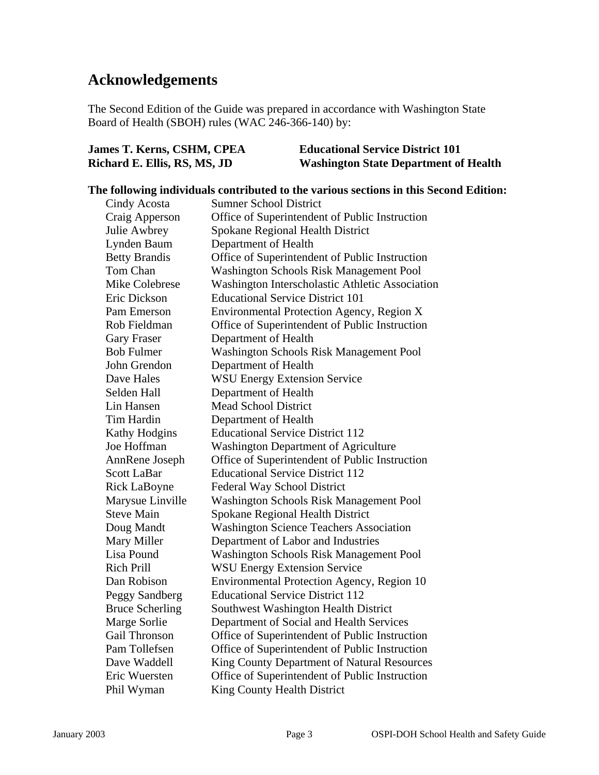#### **Acknowledgements**

The Second Edition of the Guide was prepared in accordance with Washington State Board of Health (SBOH) rules (WAC 246-366-140) by:

| James T. Kerns, CSHM, CPEA   | <b>Educational Service District 101</b>      |
|------------------------------|----------------------------------------------|
| Richard E. Ellis, RS, MS, JD | <b>Washington State Department of Health</b> |

#### **The following individuals contributed to the various sections in this Second Edition:**  Cindy Acosta Sumner School District Craig Apperson Office of Superintendent of Public Instruction Julie Awbrey Spokane Regional Health District Lynden Baum Department of Health Betty Brandis Office of Superintendent of Public Instruction Tom Chan Washington Schools Risk Management Pool Mike Colebrese Washington Interscholastic Athletic Association Eric Dickson Educational Service District 101 Pam Emerson Environmental Protection Agency, Region X Rob Fieldman Office of Superintendent of Public Instruction Gary Fraser Department of Health Bob Fulmer Washington Schools Risk Management Pool John Grendon Department of Health Dave Hales WSU Energy Extension Service Selden Hall Department of Health Lin Hansen Mead School District Tim Hardin Department of Health Kathy Hodgins Educational Service District 112 Joe Hoffman Washington Department of Agriculture AnnRene Joseph Office of Superintendent of Public Instruction Scott LaBar Educational Service District 112 Rick LaBoyne Federal Way School District Marysue Linville Washington Schools Risk Management Pool Steve Main Spokane Regional Health District Doug Mandt Washington Science Teachers Association Mary Miller Department of Labor and Industries Lisa Pound Washington Schools Risk Management Pool Rich Prill WSU Energy Extension Service Dan Robison Environmental Protection Agency, Region 10 Peggy Sandberg Educational Service District 112 Bruce Scherling Southwest Washington Health District Marge Sorlie Department of Social and Health Services Gail Thronson Office of Superintendent of Public Instruction Pam Tollefsen Office of Superintendent of Public Instruction Dave Waddell King County Department of Natural Resources Eric Wuersten Office of Superintendent of Public Instruction Phil Wyman King County Health District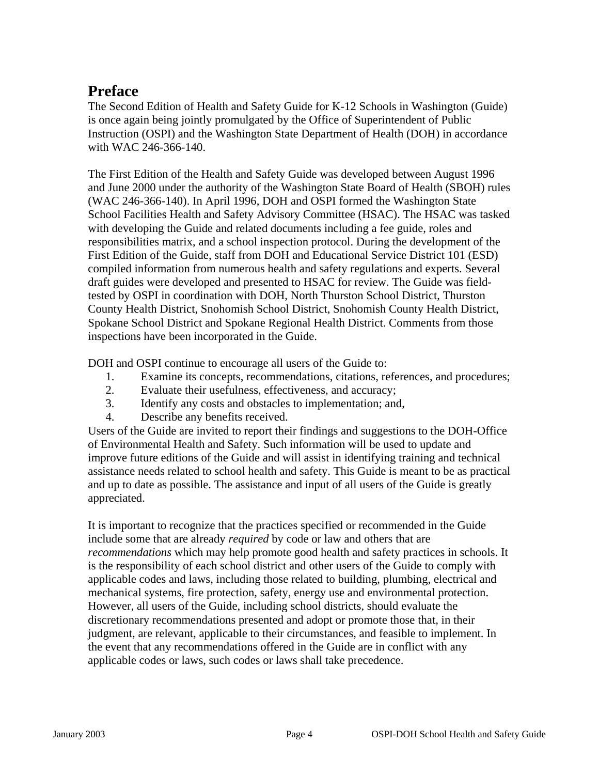#### **Preface**

The Second Edition of Health and Safety Guide for K-12 Schools in Washington (Guide) is once again being jointly promulgated by the Office of Superintendent of Public Instruction (OSPI) and the Washington State Department of Health (DOH) in accordance with WAC 246-366-140.

The First Edition of the Health and Safety Guide was developed between August 1996 and June 2000 under the authority of the Washington State Board of Health (SBOH) rules (WAC 246-366-140). In April 1996, DOH and OSPI formed the Washington State School Facilities Health and Safety Advisory Committee (HSAC). The HSAC was tasked with developing the Guide and related documents including a fee guide, roles and responsibilities matrix, and a school inspection protocol. During the development of the First Edition of the Guide, staff from DOH and Educational Service District 101 (ESD) compiled information from numerous health and safety regulations and experts. Several draft guides were developed and presented to HSAC for review. The Guide was fieldtested by OSPI in coordination with DOH, North Thurston School District, Thurston County Health District, Snohomish School District, Snohomish County Health District, Spokane School District and Spokane Regional Health District. Comments from those inspections have been incorporated in the Guide.

DOH and OSPI continue to encourage all users of the Guide to:

- 1. Examine its concepts, recommendations, citations, references, and procedures;
- 2. Evaluate their usefulness, effectiveness, and accuracy;
- 3. Identify any costs and obstacles to implementation; and,
- 4. Describe any benefits received.

Users of the Guide are invited to report their findings and suggestions to the DOH-Office of Environmental Health and Safety. Such information will be used to update and improve future editions of the Guide and will assist in identifying training and technical assistance needs related to school health and safety. This Guide is meant to be as practical and up to date as possible. The assistance and input of all users of the Guide is greatly appreciated.

It is important to recognize that the practices specified or recommended in the Guide include some that are already *required* by code or law and others that are *recommendations* which may help promote good health and safety practices in schools. It is the responsibility of each school district and other users of the Guide to comply with applicable codes and laws, including those related to building, plumbing, electrical and mechanical systems, fire protection, safety, energy use and environmental protection. However, all users of the Guide, including school districts, should evaluate the discretionary recommendations presented and adopt or promote those that, in their judgment, are relevant, applicable to their circumstances, and feasible to implement. In the event that any recommendations offered in the Guide are in conflict with any applicable codes or laws, such codes or laws shall take precedence.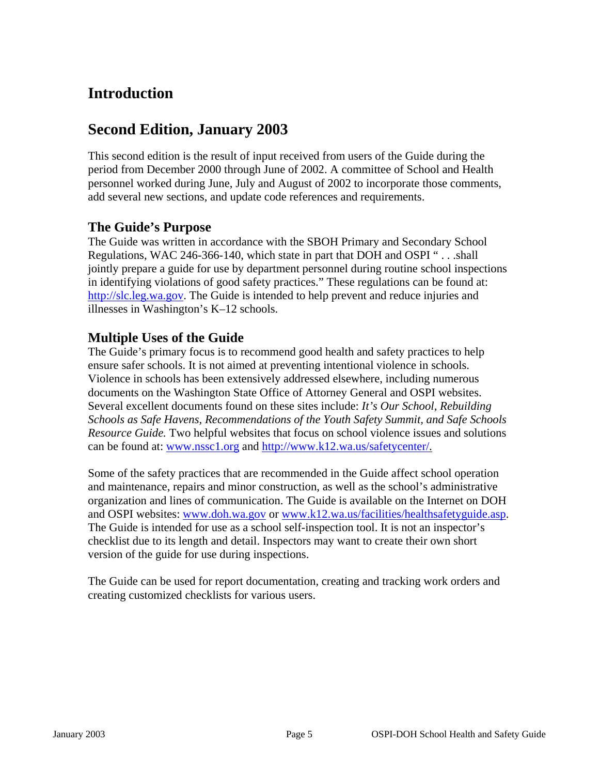#### **Introduction**

#### **Second Edition, January 2003**

This second edition is the result of input received from users of the Guide during the period from December 2000 through June of 2002. A committee of School and Health personnel worked during June, July and August of 2002 to incorporate those comments, add several new sections, and update code references and requirements.

#### **The Guide's Purpose**

The Guide was written in accordance with the SBOH Primary and Secondary School Regulations, WAC 246-366-140, which state in part that DOH and OSPI " . . .shall jointly prepare a guide for use by department personnel during routine school inspections in identifying violations of good safety practices." These regulations can be found at: [http://slc.leg.wa.gov.](http://slc.leg.wa.gov/) The Guide is intended to help prevent and reduce injuries and illnesses in Washington's K–12 schools.

#### **Multiple Uses of the Guide**

The Guide's primary focus is to recommend good health and safety practices to help ensure safer schools. It is not aimed at preventing intentional violence in schools. Violence in schools has been extensively addressed elsewhere, including numerous documents on the Washington State Office of Attorney General and OSPI websites. Several excellent documents found on these sites include: *It's Our School, Rebuilding Schools as Safe Havens, Recommendations of the Youth Safety Summit, and Safe Schools Resource Guide.* Two helpful websites that focus on school violence issues and solutions can be found at: [www.nssc1.org](http://www.nssc1.org/) and [http://www.k12.wa.us/safetycenter/.](http://www.k12.wa.us/safetycenter/)

Some of the safety practices that are recommended in the Guide affect school operation and maintenance, repairs and minor construction, as well as the school's administrative organization and lines of communication. The Guide is available on the Internet on DOH and OSPI websites: [www.doh.wa.gov](http://www.doh.wa.gov/) or [www.k12.wa.us/facilities/healthsafetyguide.asp](http://www.k12.wa.us/facilities/healthsafetyguide.asp). The Guide is intended for use as a school self-inspection tool. It is not an inspector's checklist due to its length and detail. Inspectors may want to create their own short version of the guide for use during inspections.

The Guide can be used for report documentation, creating and tracking work orders and creating customized checklists for various users.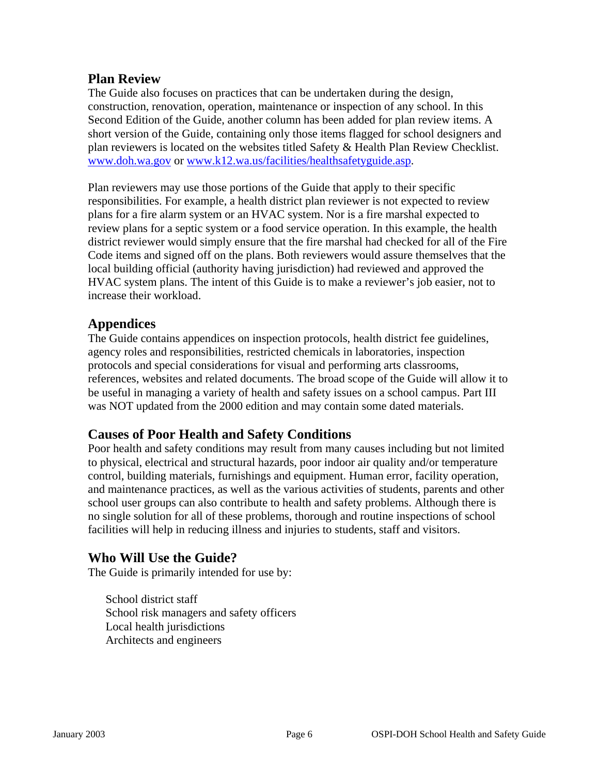#### **Plan Review**

The Guide also focuses on practices that can be undertaken during the design, construction, renovation, operation, maintenance or inspection of any school. In this Second Edition of the Guide, another column has been added for plan review items. A short version of the Guide, containing only those items flagged for school designers and plan reviewers is located on the websites titled Safety & Health Plan Review Checklist. [www.doh.wa.gov](http://www.doh.wa.gov/) or [www.k12.wa.us/facilities/healthsafetyguide.asp](http://www.k12.wa.us/facilities/healthsafetyguide.asp).

Plan reviewers may use those portions of the Guide that apply to their specific responsibilities. For example, a health district plan reviewer is not expected to review plans for a fire alarm system or an HVAC system. Nor is a fire marshal expected to review plans for a septic system or a food service operation. In this example, the health district reviewer would simply ensure that the fire marshal had checked for all of the Fire Code items and signed off on the plans. Both reviewers would assure themselves that the local building official (authority having jurisdiction) had reviewed and approved the HVAC system plans. The intent of this Guide is to make a reviewer's job easier, not to increase their workload.

#### **Appendices**

The Guide contains appendices on inspection protocols, health district fee guidelines, agency roles and responsibilities, restricted chemicals in laboratories, inspection protocols and special considerations for visual and performing arts classrooms, references, websites and related documents. The broad scope of the Guide will allow it to be useful in managing a variety of health and safety issues on a school campus. Part III was NOT updated from the 2000 edition and may contain some dated materials.

#### **Causes of Poor Health and Safety Conditions**

Poor health and safety conditions may result from many causes including but not limited to physical, electrical and structural hazards, poor indoor air quality and/or temperature control, building materials, furnishings and equipment. Human error, facility operation, and maintenance practices, as well as the various activities of students, parents and other school user groups can also contribute to health and safety problems. Although there is no single solution for all of these problems, thorough and routine inspections of school facilities will help in reducing illness and injuries to students, staff and visitors.

#### **Who Will Use the Guide?**

The Guide is primarily intended for use by:

School district staff School risk managers and safety officers Local health jurisdictions Architects and engineers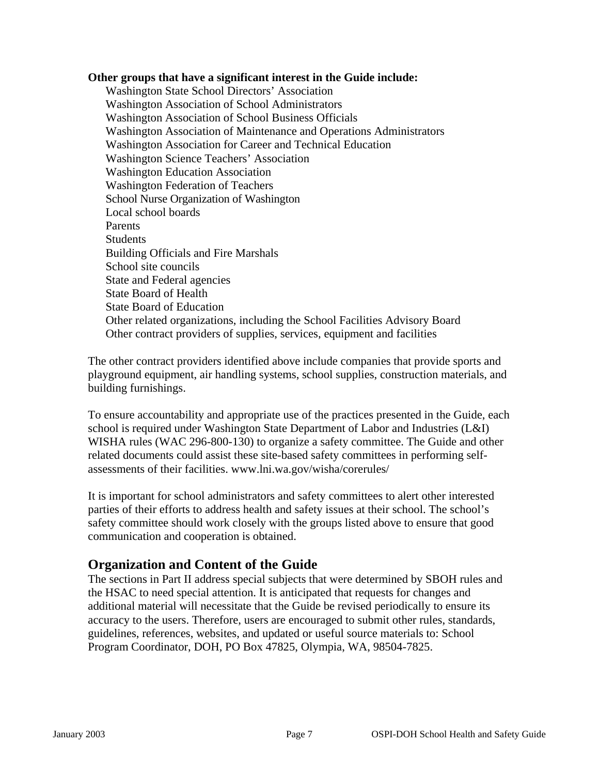#### **Other groups that have a significant interest in the Guide include:**

Washington State School Directors' Association Washington Association of School Administrators Washington Association of School Business Officials Washington Association of Maintenance and Operations Administrators Washington Association for Career and Technical Education Washington Science Teachers' Association Washington Education Association Washington Federation of Teachers School Nurse Organization of Washington Local school boards Parents **Students** Building Officials and Fire Marshals School site councils State and Federal agencies State Board of Health State Board of Education Other related organizations, including the School Facilities Advisory Board Other contract providers of supplies, services, equipment and facilities

The other contract providers identified above include companies that provide sports and playground equipment, air handling systems, school supplies, construction materials, and building furnishings.

To ensure accountability and appropriate use of the practices presented in the Guide, each school is required under Washington State Department of Labor and Industries (L&I) WISHA rules (WAC 296-800-130) to organize a safety committee. The Guide and other related documents could assist these site-based safety committees in performing selfassessments of their facilities. www.lni.wa.gov/wisha/corerules/

It is important for school administrators and safety committees to alert other interested parties of their efforts to address health and safety issues at their school. The school's safety committee should work closely with the groups listed above to ensure that good communication and cooperation is obtained.

#### **Organization and Content of the Guide**

The sections in Part II address special subjects that were determined by SBOH rules and the HSAC to need special attention. It is anticipated that requests for changes and additional material will necessitate that the Guide be revised periodically to ensure its accuracy to the users. Therefore, users are encouraged to submit other rules, standards, guidelines, references, websites, and updated or useful source materials to: School Program Coordinator, DOH, PO Box 47825, Olympia, WA, 98504-7825.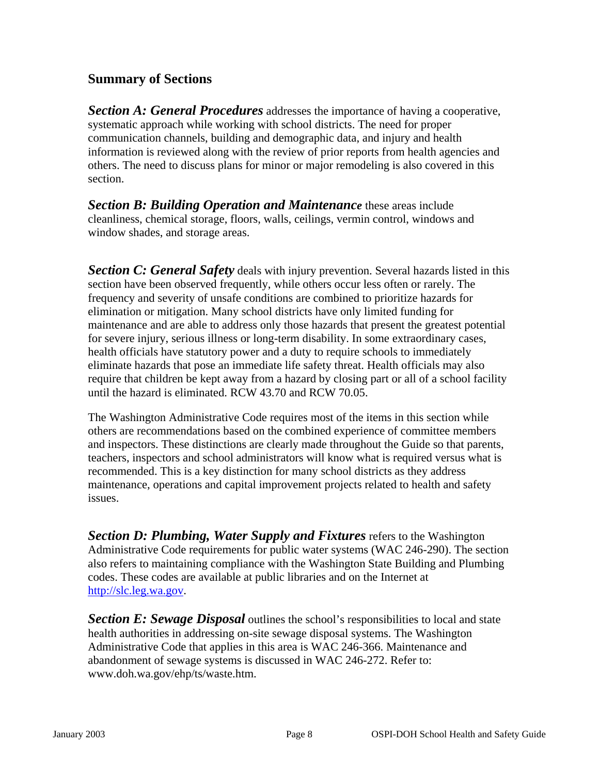#### **Summary of Sections**

*Section A: General Procedures* addresses the importance of having a cooperative, systematic approach while working with school districts. The need for proper communication channels, building and demographic data, and injury and health information is reviewed along with the review of prior reports from health agencies and others. The need to discuss plans for minor or major remodeling is also covered in this section.

*Section B: Building Operation and Maintenance* these areas include cleanliness, chemical storage, floors, walls, ceilings, vermin control, windows and window shades, and storage areas.

*Section C: General Safety* deals with injury prevention. Several hazards listed in this section have been observed frequently, while others occur less often or rarely. The frequency and severity of unsafe conditions are combined to prioritize hazards for elimination or mitigation. Many school districts have only limited funding for maintenance and are able to address only those hazards that present the greatest potential for severe injury, serious illness or long-term disability. In some extraordinary cases, health officials have statutory power and a duty to require schools to immediately eliminate hazards that pose an immediate life safety threat. Health officials may also require that children be kept away from a hazard by closing part or all of a school facility until the hazard is eliminated. RCW 43.70 and RCW 70.05.

The Washington Administrative Code requires most of the items in this section while others are recommendations based on the combined experience of committee members and inspectors. These distinctions are clearly made throughout the Guide so that parents, teachers, inspectors and school administrators will know what is required versus what is recommended. This is a key distinction for many school districts as they address maintenance, operations and capital improvement projects related to health and safety issues.

*Section D: Plumbing, Water Supply and Fixtures* refers to the Washington Administrative Code requirements for public water systems (WAC 246-290). The section also refers to maintaining compliance with the Washington State Building and Plumbing codes. These codes are available at public libraries and on the Internet at [http://slc.leg.wa.gov.](http://slc.leg.wa.gov/)

**Section E: Sewage Disposal** outlines the school's responsibilities to local and state health authorities in addressing on-site sewage disposal systems. The Washington Administrative Code that applies in this area is WAC 246-366. Maintenance and abandonment of sewage systems is discussed in WAC 246-272. Refer to: www.doh.wa.gov/ehp/ts/waste.htm.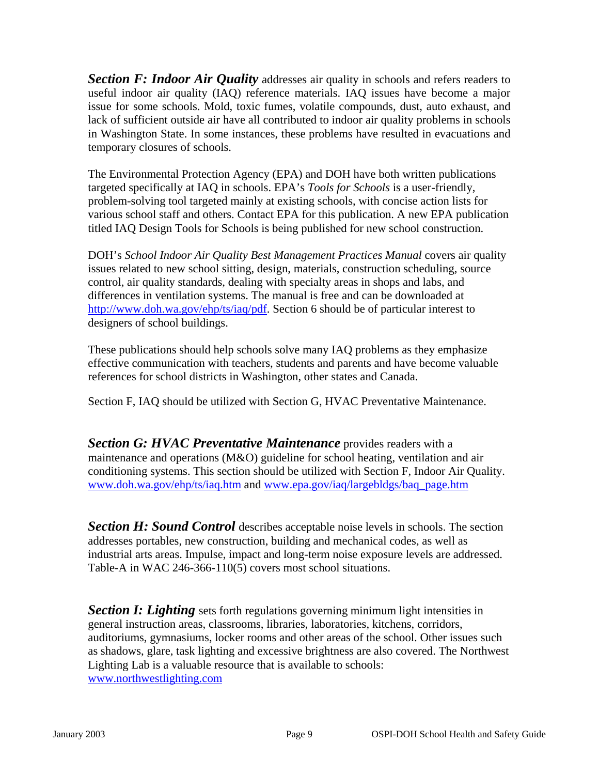**Section F: Indoor Air Quality** addresses air quality in schools and refers readers to useful indoor air quality (IAQ) reference materials. IAQ issues have become a major issue for some schools. Mold, toxic fumes, volatile compounds, dust, auto exhaust, and lack of sufficient outside air have all contributed to indoor air quality problems in schools in Washington State. In some instances, these problems have resulted in evacuations and temporary closures of schools.

The Environmental Protection Agency (EPA) and DOH have both written publications targeted specifically at IAQ in schools. EPA's *Tools for Schools* is a user-friendly, problem-solving tool targeted mainly at existing schools, with concise action lists for various school staff and others. Contact EPA for this publication. A new EPA publication titled IAQ Design Tools for Schools is being published for new school construction.

DOH's *School Indoor Air Quality Best Management Practices Manual* covers air quality issues related to new school sitting, design, materials, construction scheduling, source control, air quality standards, dealing with specialty areas in shops and labs, and differences in ventilation systems. The manual is free and can be downloaded at [http://www.doh.wa.gov/ehp/ts/iaq/pdf.](http://www.doh.wa.gov/script/pubs.idc) Section 6 should be of particular interest to designers of school buildings.

These publications should help schools solve many IAQ problems as they emphasize effective communication with teachers, students and parents and have become valuable references for school districts in Washington, other states and Canada.

Section F, IAQ should be utilized with Section G, HVAC Preventative Maintenance.

**Section G: HVAC Preventative Maintenance** provides readers with a maintenance and operations (M&O) guideline for school heating, ventilation and air conditioning systems. This section should be utilized with Section F, Indoor Air Quality. [www.doh.wa.gov/ehp/ts/iaq.htm](http://www.doh.wa.gov/ehp/ts/iaq.htm) and [www.epa.gov/iaq/largebldgs/baq\\_page.htm](http://www.epa.gov/iaq/largebldgs/baq_page.htm) 

**Section H: Sound Control** describes acceptable noise levels in schools. The section addresses portables, new construction, building and mechanical codes, as well as industrial arts areas. Impulse, impact and long-term noise exposure levels are addressed. Table-A in WAC 246-366-110(5) covers most school situations.

*Section I: Lighting* sets forth regulations governing minimum light intensities in general instruction areas, classrooms, libraries, laboratories, kitchens, corridors, auditoriums, gymnasiums, locker rooms and other areas of the school. Other issues such as shadows, glare, task lighting and excessive brightness are also covered. The Northwest Lighting Lab is a valuable resource that is available to schools: [www.northwestlighting.com](http://www.northwestlighting.com/)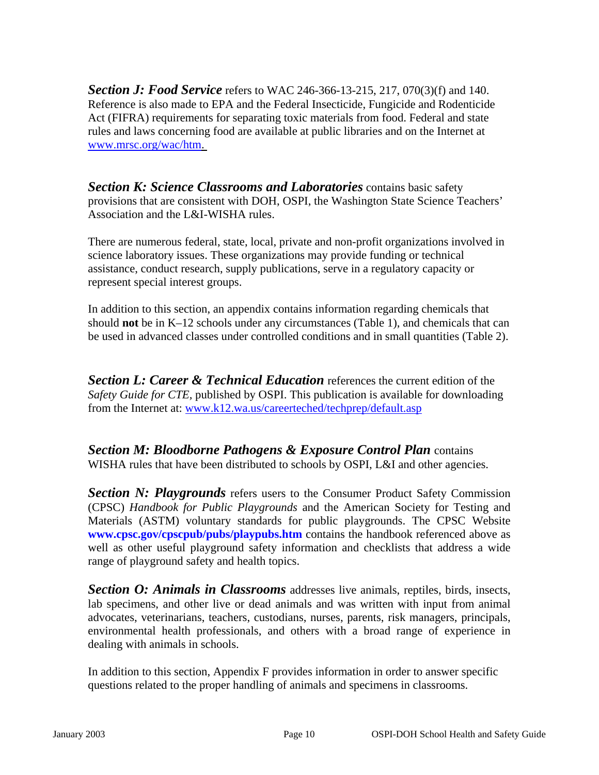**Section J: Food Service** refers to WAC 246-366-13-215, 217, 070(3)(f) and 140. Reference is also made to EPA and the Federal Insecticide, Fungicide and Rodenticide Act (FIFRA) requirements for separating toxic materials from food. Federal and state rules and laws concerning food are available at public libraries and on the Internet at [www.mrsc.org/wac/htm.](http://www.mrsc.org/wac/htm)

*Section K: Science Classrooms and Laboratories* contains basic safety provisions that are consistent with DOH, OSPI, the Washington State Science Teachers' Association and the L&I-WISHA rules.

There are numerous federal, state, local, private and non-profit organizations involved in science laboratory issues. These organizations may provide funding or technical assistance, conduct research, supply publications, serve in a regulatory capacity or represent special interest groups.

In addition to this section, an appendix contains information regarding chemicals that should **not** be in K–12 schools under any circumstances (Table 1), and chemicals that can be used in advanced classes under controlled conditions and in small quantities (Table 2).

**Section L: Career & Technical Education** references the current edition of the *Safety Guide for CTE,* published by OSPI. This publication is available for downloading from the Internet at: [www.k12.wa.us/careerteched/techprep/default.asp](http://www.k12.wa.us/careerteched/techprep/default.asp)

*Section M: Bloodborne Pathogens & Exposure Control Plan* contains WISHA rules that have been distributed to schools by OSPI, L&I and other agencies.

*Section N: Playgrounds* refers users to the Consumer Product Safety Commission (CPSC) *Handbook for Public Playgrounds* and the American Society for Testing and Materials (ASTM) voluntary standards for public playgrounds. The CPSC Website **[www.cpsc.gov/cpscpub/pubs/playpubs.htm](http:///)** contains the handbook referenced above as well as other useful playground safety information and checklists that address a wide range of playground safety and health topics.

*Section O: Animals in Classrooms* addresses live animals, reptiles, birds, insects, lab specimens, and other live or dead animals and was written with input from animal advocates, veterinarians, teachers, custodians, nurses, parents, risk managers, principals, environmental health professionals, and others with a broad range of experience in dealing with animals in schools.

In addition to this section, Appendix F provides information in order to answer specific questions related to the proper handling of animals and specimens in classrooms.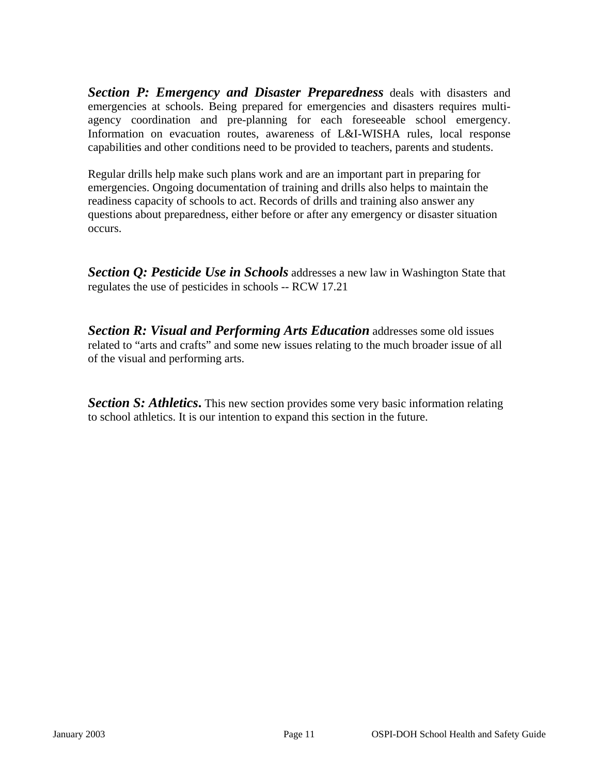*Section P: Emergency and Disaster Preparedness* deals with disasters and emergencies at schools. Being prepared for emergencies and disasters requires multiagency coordination and pre-planning for each foreseeable school emergency. Information on evacuation routes, awareness of L&I-WISHA rules, local response capabilities and other conditions need to be provided to teachers, parents and students.

Regular drills help make such plans work and are an important part in preparing for emergencies. Ongoing documentation of training and drills also helps to maintain the readiness capacity of schools to act. Records of drills and training also answer any questions about preparedness, either before or after any emergency or disaster situation occurs.

*Section Q: Pesticide Use in Schools* addresses a new law in Washington State that regulates the use of pesticides in schools -- RCW 17.21

*Section R: Visual and Performing Arts Education* addresses some old issues related to "arts and crafts" and some new issues relating to the much broader issue of all of the visual and performing arts.

*Section S: Athletics***.** This new section provides some very basic information relating to school athletics. It is our intention to expand this section in the future.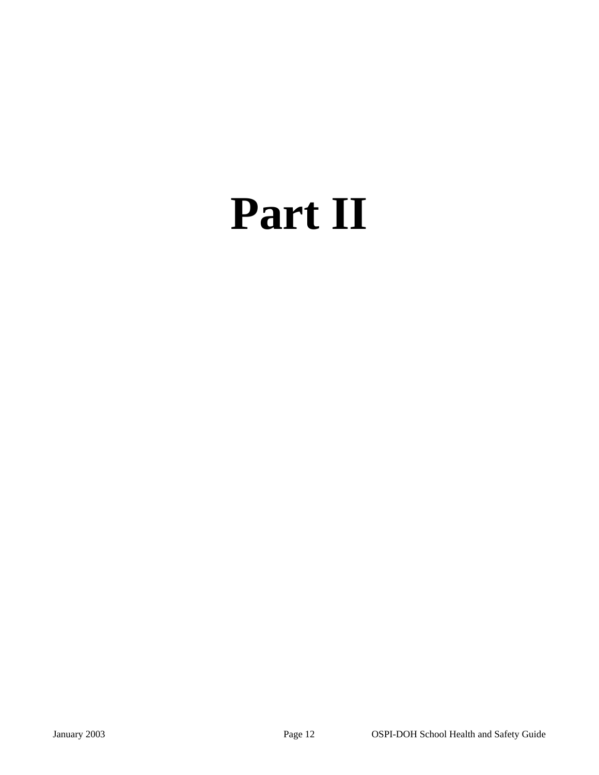## **Part II**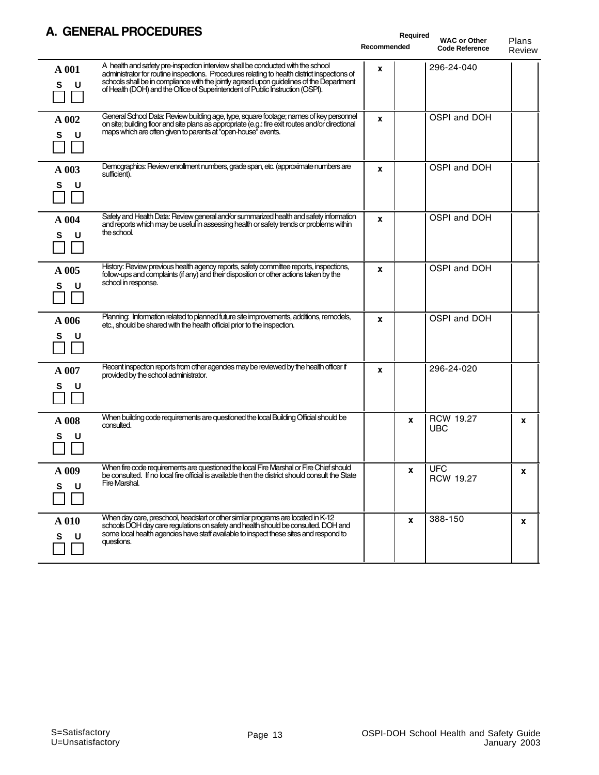#### **A. GENERAL PROCEDURES**

|                 | <u>ULIJLNAL FRVULDURLJ</u>                                                                                                                                                                                                                                                                                                                                    | Recommended | Required | <b>WAC or Other</b><br><b>Code Reference</b> | Plans<br>Review |
|-----------------|---------------------------------------------------------------------------------------------------------------------------------------------------------------------------------------------------------------------------------------------------------------------------------------------------------------------------------------------------------------|-------------|----------|----------------------------------------------|-----------------|
| A 001<br>S<br>U | A health and safety pre-inspection interview shall be conducted with the school<br>administrator for routine inspections. Procedures relating to health district inspections of<br>schools shall be in compliance with the jointly agreed upon guidelines of the Department<br>of Health (DOH) and the Office of Superintendent of Public Instruction (OSPI). | x           |          | 296-24-040                                   |                 |
| A 002<br>U<br>s | General School Data: Review building age, type, square footage; names of key personnel<br>on site; building floor and site plans as appropriate (e.g.: fire exit routes and/or directional<br>maps which are often given to parents at "open-house" events.                                                                                                   | X           |          | OSPI and DOH                                 |                 |
| A 003<br>s<br>U | Demographics: Review enrollment numbers, grade span, etc. (approximate numbers are<br>sufficient).                                                                                                                                                                                                                                                            | x           |          | OSPI and DOH                                 |                 |
| A 004<br>U<br>S | Safety and Health Data: Review general and/or summarized health and safety information<br>and reports which may be useful in assessing health or safety trends or problems within<br>the school.                                                                                                                                                              | X           |          | OSPI and DOH                                 |                 |
| A 005<br>U<br>s | History: Review previous health agency reports, safety committee reports, inspections,<br>follow-ups and complaints (if any) and their disposition or other actions taken by the<br>school in response.                                                                                                                                                       | X           |          | OSPI and DOH                                 |                 |
| A 006<br>U<br>s | Planning: Information related to planned future site improvements, additions, remodels,<br>etc., should be shared with the health official prior to the inspection.                                                                                                                                                                                           | X           |          | OSPI and DOH                                 |                 |
| A 007<br>s<br>U | Recent inspection reports from other agencies may be reviewed by the health officer if<br>provided by the school administrator.                                                                                                                                                                                                                               | X           |          | 296-24-020                                   |                 |
| A 008<br>U      | When building code requirements are questioned the local Building Official should be<br>consulted.                                                                                                                                                                                                                                                            |             | x        | <b>RCW 19.27</b><br><b>UBC</b>               | X               |
| A 009<br>s<br>U | When fire code requirements are questioned the local Fire Marshal or Fire Chief should<br>be consulted. If no local fire official is available then the district should consult the State<br>Fire Marshal.                                                                                                                                                    |             | <b>x</b> | <b>UFC</b><br><b>RCW 19.27</b>               | x               |
| A 010<br>s<br>U | When day care, preschool, headstart or other similar programs are located in K-12<br>schools DOH day care regulations on safety and health should be consulted. DOH and<br>some local health agencies have staff available to inspect these sites and respond to<br>questions.                                                                                |             | X        | 388-150                                      | x               |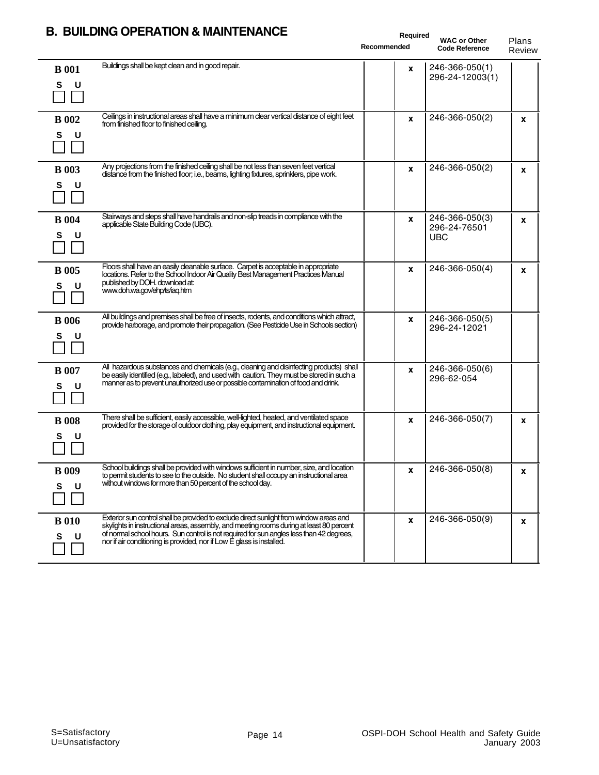|                        | <b>B. BUILDING OPERATION &amp; MAINTENANCE</b>                                                                                                                                                                                                                                                                                                           | Required<br><b>WAC or Other</b><br>Recommended<br><b>Code Reference</b> |                                              | Plans<br>Review |
|------------------------|----------------------------------------------------------------------------------------------------------------------------------------------------------------------------------------------------------------------------------------------------------------------------------------------------------------------------------------------------------|-------------------------------------------------------------------------|----------------------------------------------|-----------------|
| <b>B</b> 001<br>S<br>U | Buildings shall be kept clean and in good repair.                                                                                                                                                                                                                                                                                                        | x                                                                       | 246-366-050(1)<br>296-24-12003(1)            |                 |
| <b>B</b> 002<br>S<br>U | Ceilings in instructional areas shall have a minimum clear vertical distance of eight feet<br>from finished floor to finished ceiling.                                                                                                                                                                                                                   | $\mathbf{x}$                                                            | 246-366-050(2)                               | X               |
| <b>B</b> 003<br>S<br>U | Any projections from the finished ceiling shall be not less than seven feet vertical<br>distance from the finished floor, i.e., beams, lighting fixtures, sprinklers, pipe work.                                                                                                                                                                         | X                                                                       | 246-366-050(2)                               | X               |
| <b>B</b> 004<br>S<br>U | Stairways and steps shall have handrails and non-slip treads in compliance with the<br>applicable State Building Code (UBC).                                                                                                                                                                                                                             | X                                                                       | 246-366-050(3)<br>296-24-76501<br><b>UBC</b> | X               |
| <b>B</b> 005<br>S<br>U | Floors shall have an easily cleanable surface. Carpet is acceptable in appropriate<br>locations. Refer to the School Indoor Air Quality Best Management Practices Manual<br>published by DOH. download at:<br>www.doh.wa.gov/ehp/ts/iaq.htm                                                                                                              | $\mathbf{x}$                                                            | 246-366-050(4)                               | x               |
| <b>B</b> 006<br>S<br>υ | All buildings and premises shall be free of insects, rodents, and conditions which attract,<br>provide harborage, and promote their propagation. (See Pesticide Use in Schools section)                                                                                                                                                                  | X                                                                       | 246-366-050(5)<br>296-24-12021               |                 |
| <b>B</b> 007<br>S<br>U | All hazardous substances and chemicals (e.g., cleaning and disinfecting products) shall<br>be easily identified (e.g., labeled), and used with caution. They must be stored in such a<br>manner as to prevent unauthorized use or possible contamination of food and drink.                                                                              | X                                                                       | 246-366-050(6)<br>296-62-054                 |                 |
| <b>B</b> 008<br>s<br>U | There shall be sufficient, easily accessible, well-lighted, heated, and ventilated space<br>provided for the storage of outdoor clothing, play equipment, and instructional equipment.                                                                                                                                                                   | x                                                                       | 246-366-050(7)                               | X               |
| <b>B</b> 009<br>S<br>U | School buildings shall be provided with windows sufficient in number, size, and location<br>to permit students to see to the outside. No student shall occupy an instructional area<br>without windows for more than 50 percent of the school day.                                                                                                       | x                                                                       | $ 246-366-050(8) $                           | x               |
| <b>B</b> 010<br>S<br>U | Exterior sun control shall be provided to exclude direct sunlight from window areas and<br>skylights in instructional areas, assembly, and meeting rooms during at least 80 percent<br>of normal school hours. Sun control is not required for sun angles less than 42 degrees,<br>nor if air conditioning is provided, nor if Low E glass is installed. | $\mathbf{x}$                                                            | 246-366-050(9)                               | x               |

#### **B. BUILDING OPERATION & MAINTENANCE**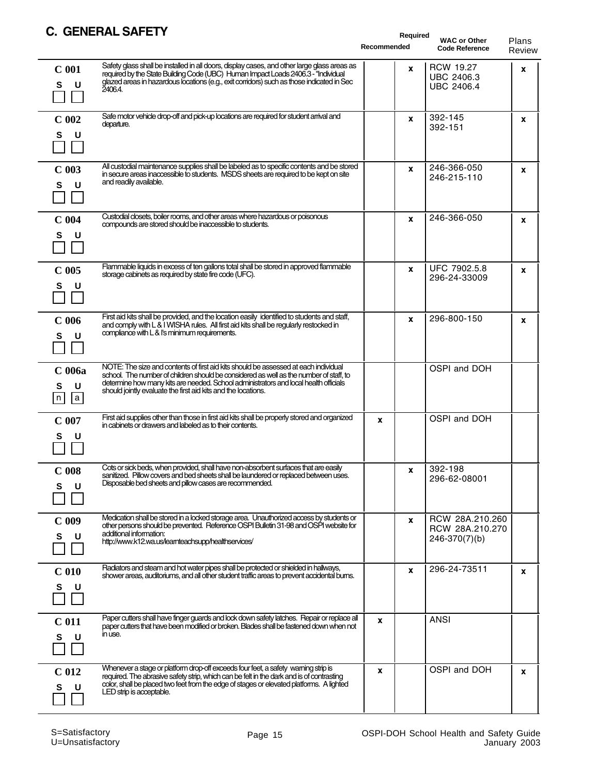#### **C. GENERAL SAFETY**

| V. GLIJLNAL JAI LI I                                                                                                                                                                                                                                                                                                                                                                | Recommended | Required | <b>WAC or Other</b><br><b>Code Reference</b>               | Plans<br>Review |
|-------------------------------------------------------------------------------------------------------------------------------------------------------------------------------------------------------------------------------------------------------------------------------------------------------------------------------------------------------------------------------------|-------------|----------|------------------------------------------------------------|-----------------|
| Safety glass shall be installed in all doors, display cases, and other large glass areas as<br>C <sub>001</sub><br>required by the State Building Code (UBC) Human Impact Loads 2406.3 - "Individual<br>glazed areas in hazardous locations (e.g., exit corridors) such as those indicated in Sec<br>S<br>U<br>2406.4.                                                              |             | X        | <b>RCW 19.27</b><br><b>UBC 2406.3</b><br><b>UBC 2406.4</b> | x               |
| Safe motor vehicle drop-off and pick-up locations are required for student arrival and<br>$C$ 002<br>departure.<br>U<br>s                                                                                                                                                                                                                                                           |             | X        | 392-145<br>392-151                                         | x               |
| All custodial maintenance supplies shall be labeled as to specific contents and be stored<br>$C$ 003<br>in secure areas inaccessible to students. MSDS sheets are required to be kept on site<br>and readily available.<br>U<br>s                                                                                                                                                   |             | X        | 246-366-050<br>246-215-110                                 | x               |
| Custodial closets, boiler rooms, and other areas where hazardous or poisonous<br>$C$ 004<br>compounds are stored should be inaccessible to students.<br>U<br>s                                                                                                                                                                                                                      |             | X        | 246-366-050                                                | x               |
| Flammable liquids in excess of ten gallons total shall be stored in approved flammable<br>$C$ 005<br>storage cabinets as required by state fire code (UFC).<br>S<br>U                                                                                                                                                                                                               |             | X        | UFC 7902.5.8<br>296-24-33009                               | x               |
| First aid kits shall be provided, and the location easily identified to students and staff,<br>C <sub>006</sub><br>and comply with L & I WISHA rules. All first aid kits shall be regularly restocked in<br>compliance with L & I's minimum requirements.<br>U<br>s                                                                                                                 |             | X        | 296-800-150                                                | X               |
| NOTE: The size and contents of first aid kits should be assessed at each individual<br>C <sub>006a</sub><br>school. The number of children should be considered as well as the number of staff, to<br>determine how many kits are needed. School administrators and local health officials<br>U<br>s<br>should jointly evaluate the first aid kits and the locations.<br> a  <br> n |             |          | OSPI and DOH                                               |                 |
| First aid supplies other than those in first aid kits shall be properly stored and organized<br>$C$ 007<br>in cabinets or drawers and labeled as to their contents.<br>U<br>s                                                                                                                                                                                                       | X           |          | OSPI and DOH                                               |                 |
| Cots or sick beds, when provided, shall have non-absorbent surfaces that are easily<br>$C$ 008<br>sanitized. Pillow covers and bed sheets shall be laundered or replaced between uses.<br>Disposable bed sheets and pillow cases are recommended.<br>S<br>U                                                                                                                         |             | <b>X</b> | 392-198<br>296-62-08001                                    |                 |
| Medication shall be stored in a locked storage area. Unauthorized access by students or<br>$C$ 009<br>other persons should be prevented. Reference OSPI Bulletin 31-98 and OSPI website for<br>additional information:<br>S<br>U<br>http://www.k12.wa.us/leamteachsupp/healthservices/                                                                                              |             | X        | RCW 28A.210.260<br>RCW 28A.210.270<br>$246-370(7)(b)$      |                 |
| Radiators and steam and hot water pipes shall be protected or shielded in hallways,<br>C <sub>010</sub><br>shower areas, auditoriums, and all other student traffic areas to prevent accidental burns.<br>U<br>s                                                                                                                                                                    |             | X        | 296-24-73511                                               | x               |
| Paper cutters shall have finger guards and lock down safety latches. Repair or replace all<br>C <sub>011</sub><br>paper cutters that have been modified or broken. Blades shall be fastened down when not<br>in use.<br>S<br>U                                                                                                                                                      | x           |          | <b>ANSI</b>                                                |                 |
| Whenever a stage or platform drop-off exceeds four feet, a safety warning strip is<br>C <sub>012</sub><br>required. The abrasive safety strip, which can be felt in the dark and is of contrasting<br>color, shall be placed two feet from the edge of stages or elevated platforms. A lighted<br>U<br>s<br>LED strip is acceptable.                                                | X           |          | OSPI and DOH                                               | x               |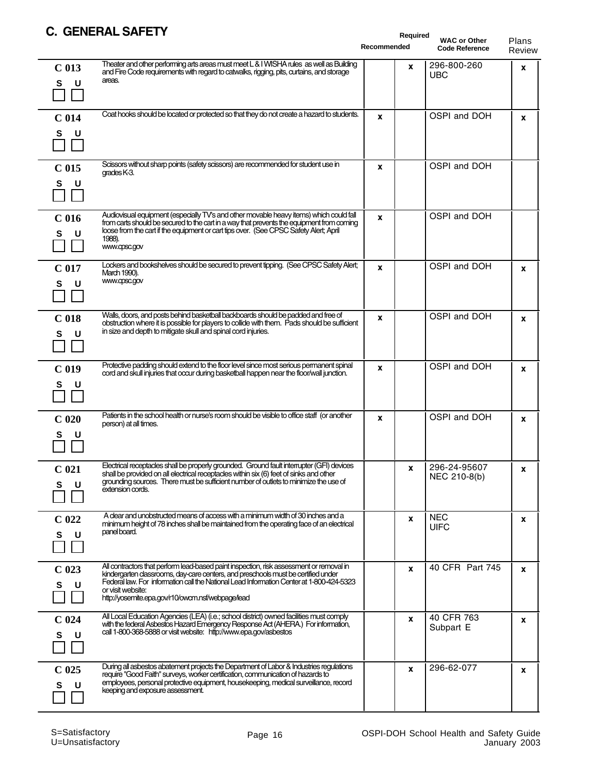#### **C. GENERAL SAFETY**

| <b>VEIVENAL JAFETT</b>                                                                                                                                                                                                                                                                                                                                                           | Required<br>Recommended | <b>WAC or Other</b><br><b>Code Reference</b> | Plans<br>Review |
|----------------------------------------------------------------------------------------------------------------------------------------------------------------------------------------------------------------------------------------------------------------------------------------------------------------------------------------------------------------------------------|-------------------------|----------------------------------------------|-----------------|
| Theater and other performing arts areas must meet L&I WISHA rules as well as Building<br>C <sub>013</sub><br>and Fire Code requirements with regard to catwalks, rigging, pits, curtains, and storage<br>areas.<br>S<br>U                                                                                                                                                        | <b>X</b>                | 296-800-260<br><b>UBC</b>                    | $\mathbf{x}$    |
| Coat hooks should be located or protected so that they do not create a hazard to students.<br>C <sub>014</sub><br>S<br>U                                                                                                                                                                                                                                                         | x                       | OSPI and DOH                                 | X               |
| Scissors without sharp points (safety scissors) are recommended for student use in<br>C <sub>015</sub><br>grades K-3.<br>s<br>U                                                                                                                                                                                                                                                  | x                       | OSPI and DOH                                 |                 |
| Audiovisual equipment (especially TV's and other movable heavy items) which could fall<br>C <sub>016</sub><br>from carts should be secured to the cart in a way that prevents the equipment from coming<br>loose from the cart if the equipment or cart tips over. (See CPSC Safety Alert: April<br>S<br>U<br>1988).<br>www.cpsc.gov                                             | x                       | OSPI and DOH                                 |                 |
| Lockers and bookshelves should be secured to prevent tipping. (See CPSC Safety Alert;<br>C <sub>017</sub><br>March 1990).<br>www.cpsc.gov<br>S<br>U                                                                                                                                                                                                                              | x                       | OSPI and DOH                                 | X               |
| Walls, doors, and posts behind basketball backboards should be padded and free of<br>C <sub>018</sub><br>obstruction where it is possible for players to collide with them. Pads should be sufficient<br>in size and depth to mitigate skull and spinal cord injuries.<br>U<br>S                                                                                                 | x                       | OSPI and DOH                                 | X               |
| Protective padding should extend to the floor level since most serious permanent spinal<br>C <sub>019</sub><br>cord and skull injuries that occur during basketball happen near the floor/wall junction.<br>s<br>U                                                                                                                                                               | x                       | OSPI and DOH                                 | $\mathbf{x}$    |
| Patients in the school health or nurse's room should be visible to office staff (or another<br>C <sub>020</sub><br>person) at all times.<br>s<br>υ                                                                                                                                                                                                                               | X                       | OSPI and DOH                                 | X               |
| Electrical receptacles shall be properly grounded. Ground fault interrupter (GFI) devices<br>C <sub>021</sub><br>shall be provided on all electrical receptacles within six (6) feet of sinks and other<br>grounding sources. There must be sufficient number of outlets to minimize the use of<br>S<br>U<br>extension cords.                                                    | X                       | 296-24-95607<br>NEC 210-8(b)                 | x               |
| A clear and unobstructed means of access with a minimum width of 30 inches and a<br>C <sub>022</sub><br>minimum height of 78 inches shall be maintained from the operating face of an electrical<br>panel board.<br>U<br>s                                                                                                                                                       | X                       | <b>NEC</b><br><b>UIFC</b>                    | x               |
| All contractors that perform lead-based paint inspection, risk assessment or removal in<br>C <sub>023</sub><br>kindergarten classrooms, day-care centers, and preschools must be certified under<br>Federal law. For information call the National Lead Information Center at 1-800-424-5323<br>S<br>U<br>or visit website:<br>http://yosemite.epa.gov/r10/owcm.nsf/webpage/lead | X                       | 40 CFR Part 745                              | X               |
| All Local Education Agencies (LEA) (i.e.; school district) owned facilities must comply<br>$C$ 024<br>with the federal Asbestos Hazard Emergency Response Act (AHERA.) For information,<br>call 1-800-368-5888 or visit website: http://www.epa.gov/asbestos<br>S<br>U                                                                                                           | X                       | 40 CFR 763<br>Subpart E                      | X               |
| During all asbestos abatement projects the Department of Labor & Industries regulations<br>C <sub>025</sub><br>require "Good Faith" surveys, worker certification, communication of hazards to<br>employees, personal protective equipment, housekeeping, medical surveillance, record<br>s<br>U<br>keeping and exposure assessment.                                             | X                       | 296-62-077                                   | x               |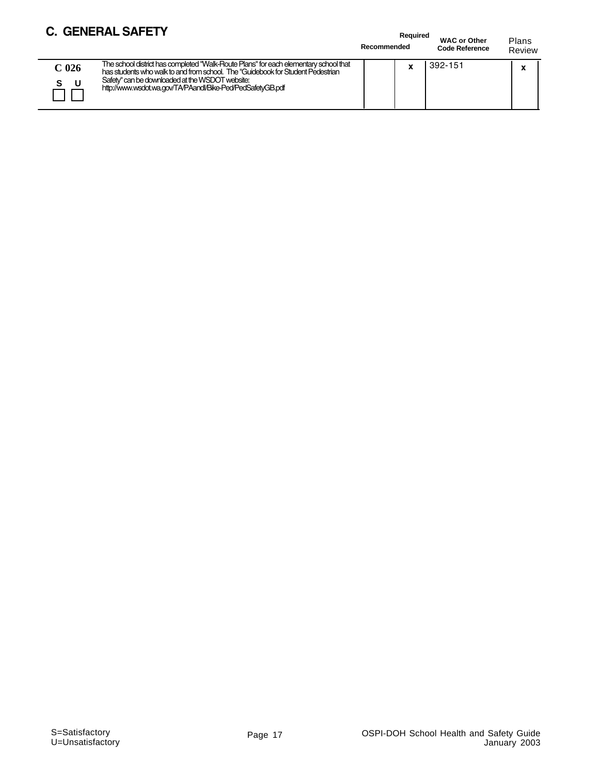#### **C. GENERAL SAFETY**

 $\overline{\phantom{0}}$ 

|                  | L. GENERAL SAFE I Y                                                                                                                                                                                                                                                                      | Recommended | Required | <b>WAC or Other</b><br><b>Code Reference</b> | Plans<br>Review |
|------------------|------------------------------------------------------------------------------------------------------------------------------------------------------------------------------------------------------------------------------------------------------------------------------------------|-------------|----------|----------------------------------------------|-----------------|
| C <sub>026</sub> | The school district has completed "Walk-Route Plans" for each elementary school that<br>has students who walk to and from school. The "Guidebook for Student Pedestrian<br>Safety" can be downloaded at the WSDOT website:<br>http://www.wsdot.wa.gov/TA/PAandl/Bike-Ped/PedSafetyGB.pdf |             |          | 392-151                                      |                 |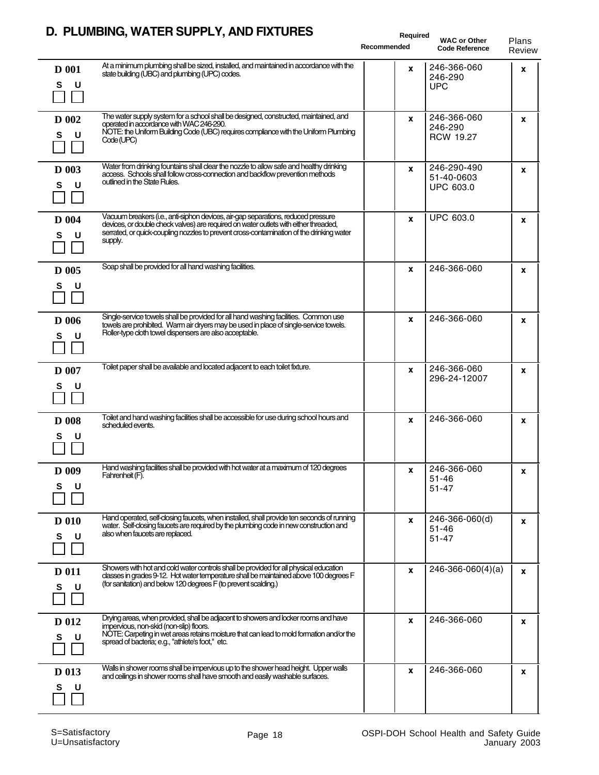#### **D. PLUMBING, WATER SUPPLY, AND FIXTURES**

|                        | D. FLOWDING, WATER SUFFET, AND LIATURES                                                                                                                                                                                                                                          | Required<br>Recommended | <b>WAC or Other</b><br><b>Code Reference</b> | Plans<br>Review |
|------------------------|----------------------------------------------------------------------------------------------------------------------------------------------------------------------------------------------------------------------------------------------------------------------------------|-------------------------|----------------------------------------------|-----------------|
| <b>D</b> 001<br>S<br>U | At a minimum plumbing shall be sized, installed, and maintained in accordance with the<br>state building (UBC) and plumbing (UPC) codes.                                                                                                                                         | x                       | 246-366-060<br>246-290<br><b>UPC</b>         | X               |
| D 002<br>S<br>υ        | The water supply system for a school shall be designed, constructed, maintained, and<br>operated in accordance with WAC 246-290.<br>NOTE: the Uniform Building Code (UBC) requires compliance with the Uniform Plumbing<br>Code (UPC)                                            | x                       | 246-366-060<br>246-290<br><b>RCW 19.27</b>   | X               |
| <b>D</b> 003<br>S<br>U | Water from drinking fountains shall dear the nozzle to allow safe and healthy drinking<br>access. Schools shall follow cross-connection and backflow prevention methods<br>outlined in the State Rules.                                                                          | <b>X</b>                | 246-290-490<br>51-40-0603<br>UPC 603.0       | X               |
| <b>D</b> 004<br>s<br>U | Vacuum breakers (i.e., anti-siphon devices, air-gap separations, reduced pressure<br>devices, or double check valves) are required on water outlets with either threaded,<br>serrated, or quick-coupling nozzles to prevent cross-contamination of the drinking water<br>supply. | $\mathbf{x}$            | <b>UPC 603.0</b>                             | x               |
| D 005<br>s<br>U        | Soap shall be provided for all hand washing facilities.                                                                                                                                                                                                                          | X                       | 246-366-060                                  | x               |
| <b>D</b> 006<br>S<br>U | Single-service towels shall be provided for all hand washing facilities. Common use<br>towels are prohibited. Warm air dryers may be used in place of single-service towels.<br>Roller-type cloth towel dispensers are also acceptable.                                          | x                       | 246-366-060                                  | X               |
| <b>D</b> 007<br>S<br>U | Toilet paper shall be available and located adjacent to each toilet fixture.                                                                                                                                                                                                     | x                       | 246-366-060<br>296-24-12007                  | X               |
| <b>D</b> 008<br>s<br>U | Toilet and hand washing facilities shall be accessible for use during school hours and<br>scheduled events.                                                                                                                                                                      | X                       | 246-366-060                                  | X               |
| D 009<br>s<br>U        | Hand washing facilities shall be provided with hot water at a maximum of 120 degrees<br>Fahrenheit (F).                                                                                                                                                                          | <b>X</b>                | 246-366-060<br>$51 - 46$<br>$51 - 47$        | x               |
| <b>D</b> 010<br>S<br>U | Hand operated, self-closing faucets, when installed, shall provide ten seconds of running<br>water. Self-closing faucets are required by the plumbing code in new construction and<br>also when faucets are replaced.                                                            | X                       | 246-366-060(d)<br>$51 - 46$<br>$51 - 47$     | x               |
| <b>D</b> 011<br>U<br>S | Showers with hot and cold water controls shall be provided for all physical education<br>dasses in grades 9-12. Hot water temperature shall be maintained above 100 degrees F<br>(for sanitation) and below 120 degrees F (to prevent scalding.)                                 | X                       | $246-366-060(4)(a)$                          | X               |
| D 012<br>S<br>U        | Drying areas, when provided, shall be adjacent to showers and locker rooms and have<br>impervious, non-skid (non-slip) floors.<br>NOTE: Carpeting in wet areas retains moisture that can lead to mold formation and/or the<br>spread of bacteria; e.g., "athlete's foot," etc.   | x                       | 246-366-060                                  | x               |
| D 013<br>s<br>υ        | Walls in shower rooms shall be impervious up to the shower head height. Upper walls<br>and ceilings in shower rooms shall have smooth and easily washable surfaces.                                                                                                              | x                       | 246-366-060                                  | x               |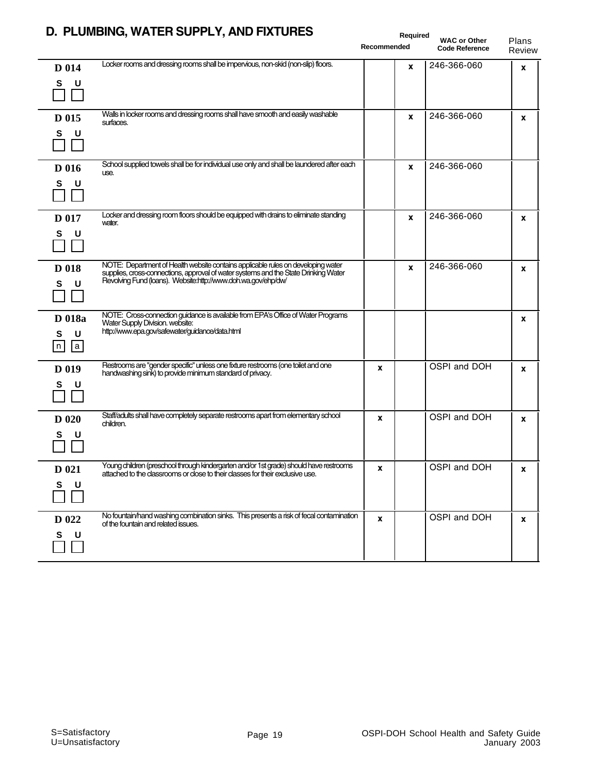|                                      | D. PLUMBING, WATER SUPPLY, AND FIXTURES                                                                                                                                                                                                  | Recommended | Required<br><b>WAC or Other</b><br><b>Code Reference</b> | Plans<br>Review |
|--------------------------------------|------------------------------------------------------------------------------------------------------------------------------------------------------------------------------------------------------------------------------------------|-------------|----------------------------------------------------------|-----------------|
| D 014<br>S<br>U                      | Locker rooms and dressing rooms shall be impervious, non-skid (non-slip) floors.                                                                                                                                                         | x           | 246-366-060                                              | X               |
| D 015<br>S<br>U                      | Walls in locker rooms and dressing rooms shall have smooth and easily washable<br>surfaces.                                                                                                                                              | X           | 246-366-060                                              | X               |
| <b>D</b> 016<br>S<br>υ               | School supplied towels shall be for individual use only and shall be laundered after each<br>use.                                                                                                                                        | X           | 246-366-060                                              |                 |
| D 017<br>S<br>U                      | Locker and dressing room floors should be equipped with drains to eliminate standing<br>water.                                                                                                                                           | X           | 246-366-060                                              | x               |
| D 018<br>S<br>υ                      | NOTE: Department of Health website contains applicable rules on developing water<br>supplies, cross-connections, approval of water systems and the State Drinking Water<br>Revolving Fund (loans). Website:http://www.doh.wa.gov/ehp/dw/ | X           | 246-366-060                                              | x               |
| <b>D</b> 018a<br>S<br>U<br> n <br> a | NOTE: Cross-connection guidance is available from EPA's Office of Water Programs<br>Water Supply Division. website:<br>http://www.epa.gov/safewater/guidance/data.html                                                                   |             |                                                          | X               |
| D 019<br>S<br>υ                      | Restrooms are "gender specific" unless one fixture restrooms (one toilet and one<br>handwashing sink) to provide minimum standard of privacy.                                                                                            | X           | OSPI and DOH                                             | x               |
| <b>D</b> 020<br>s<br>υ               | Staff/adults shall have completely separate restrooms apart from elementary school<br>children.                                                                                                                                          | X           | OSPI and DOH                                             | x               |
| D 021<br>s<br>U                      | Young children (preschool through kindergarten and/or 1st grade) should have restrooms<br>attached to the classrooms or close to their classes for their exclusive use.                                                                  | x           | OSPI and DOH                                             | X               |
| D 022<br>S<br>U                      | No fountain/hand washing combination sinks. This presents a risk of fecal contamination<br>of the fountain and related issues.                                                                                                           | X           | OSPI and DOH                                             | X               |

#### **D. PLUMBING, WATER SUPPLY, AND FIXTURES**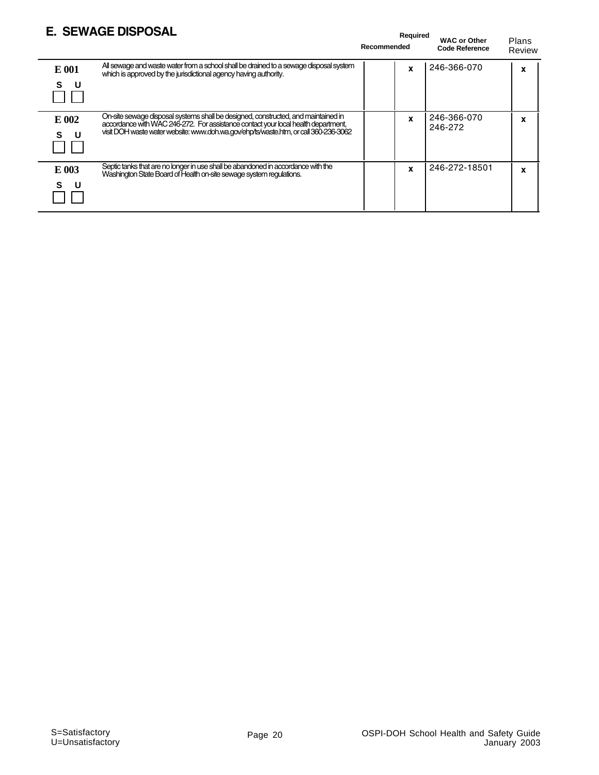#### **E. SEWAGE DISPOSAL**

|        | <b>E. SEWAGE DISPOSAL</b>                                                                                                                                              | Required<br>Recommended | <b>WAC or Other</b><br><b>Code Reference</b> | Plans<br>Review |
|--------|------------------------------------------------------------------------------------------------------------------------------------------------------------------------|-------------------------|----------------------------------------------|-----------------|
| E 001  | All sewage and waste water from a school shall be drained to a sewage disposal system<br>which is approved by the jurisdictional agency having authority.              | X                       | 246-366-070                                  | X               |
| s<br>U |                                                                                                                                                                        |                         |                                              |                 |
| E 002  | On-site sewage disposal systems shall be designed, constructed, and maintained in<br>accordance with WAC 246-272. For assistance contact your local health department, | $\mathbf{x}$            | 246-366-070<br>246-272                       | x               |
|        | visit DOH waste water website: www.doh.wa.gov/ehp/ts/waste.htm, or call 360-236-3062                                                                                   |                         |                                              |                 |
| E 003  | Septic tanks that are no longer in use shall be abandoned in accordance with the<br>Washington State Board of Health on-site sewage system regulations.                | X                       | 246-272-18501                                | X               |
| s      |                                                                                                                                                                        |                         |                                              |                 |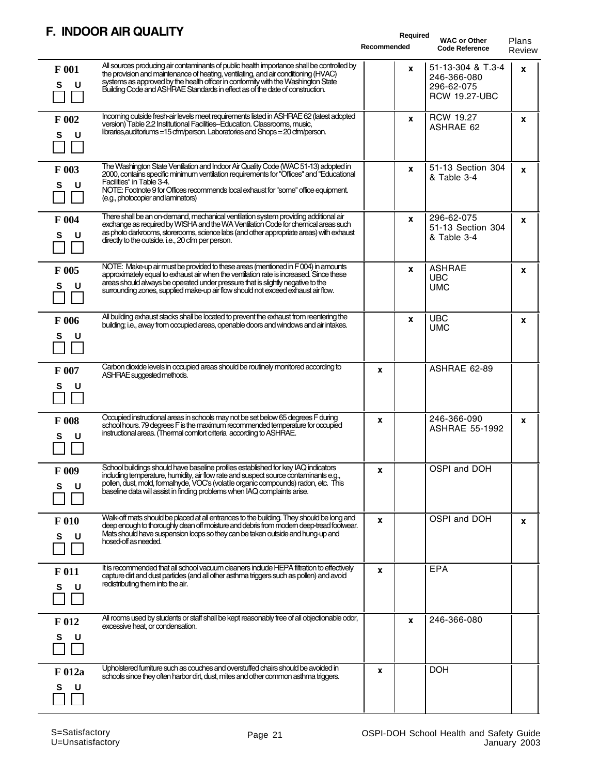#### **F. INDOOR AIR QUALITY**

| <b>INDUUN AIN WUALI I</b>                                                                                                                                                                                                                                                                                                                                               | Recommended | Required | <b>WAC or Other</b><br><b>Code Reference</b>                           | Plans<br>Review |
|-------------------------------------------------------------------------------------------------------------------------------------------------------------------------------------------------------------------------------------------------------------------------------------------------------------------------------------------------------------------------|-------------|----------|------------------------------------------------------------------------|-----------------|
| All sources producing air contaminants of public health importance shall be controlled by<br>F 001<br>the provision and maintenance of heating, ventilating, and air conditioning (HVAC)<br>systems as approved by the health officer in conformity with the Washington State<br>S<br>U<br>Building Code and ASHRAE Standards in effect as of the date of construction. |             | X        | 51-13-304 & T.3-4<br>246-366-080<br>296-62-075<br><b>RCW 19.27-UBC</b> | x               |
| Incoming outside fresh-air levels meet requirements listed in ASHRAE 62 (latest adopted<br>F 002<br>version) Table 2.2 Institutional Facilities-Education. Classrooms, music,<br>libraries, auditoriums = 15 cfm/person. Laboratories and Shops = 20 cfm/person.<br>U<br>s                                                                                              |             | X        | <b>RCW 19.27</b><br>ASHRAE 62                                          | x               |
| The Washington State Ventilation and Indoor Air Quality Code (WAC 51-13) adopted in<br>F 003<br>2000, contains specific minimum ventilation requirements for "Offices" and "Educational<br>Facilities" in Table 3-4.<br>S<br>U<br>NOTE: Footnote 9 for Offices recommends local exhaust for "some" office equipment.<br>(e.g., photocopier and laminators)              |             | X        | 51-13 Section 304<br>& Table 3-4                                       | x               |
| There shall be an on-demand, mechanical ventilation system providing additional air<br>F 004<br>exchange as required by WISHA and the WA Ventilation Code for chemical areas such<br>as photo darkrooms, storerooms, science labs (and other appropriate areas) with exhaust<br>U<br>s<br>directly to the outside. i.e., 20 cfm per person.                             |             | X        | 296-62-075<br>51-13 Section 304<br>& Table 3-4                         | x               |
| NOTE: Make-up air must be provided to these areas (mentioned in F004) in amounts<br>F 005<br>approximately equal to exhaust air when the ventilation rate is increased. Since these<br>areas should always be operated under pressure that is slightly negative to the<br>U<br>S<br>surrounding zones, supplied make-up air flow should not exceed exhaust air flow.    |             | X        | <b>ASHRAE</b><br><b>UBC</b><br><b>UMC</b>                              | x               |
| All building exhaust stacks shall be located to prevent the exhaust from reentering the<br>F 006<br>building; i.e., away from occupied areas, openable doors and windows and air intakes.<br>s<br>U                                                                                                                                                                     |             | X        | <b>UBC</b><br><b>UMC</b>                                               | x               |
| Carbon dioxide levels in occupied areas should be routinely monitored according to<br>F 007<br>ASHRAE suggested methods.<br>U<br>S                                                                                                                                                                                                                                      | X           |          | ASHRAE 62-89                                                           |                 |
| Occupied instructional areas in schools may not be set below 65 degrees F during<br>F 008<br>school hours. 79 degrees F is the maximum recommended temperature for occupied<br>instructional areas. (Thermal comfort criteria according to ASHRAE.<br>s<br>U                                                                                                            | x           |          | 246-366-090<br><b>ASHRAE 55-1992</b>                                   | X               |
| School buildings should have baseline profiles established for key IAQ indicators<br>F 009<br>including temperature, humidity, air flow rate and suspect source contaminants e.g.,<br>pollen, dust, mold, formalhyde, VOC's (volatile organic compounds) radon, etc. This<br>s<br>U<br>baseline data will assist in finding problems when IAQ complaints arise.         | <b>X</b>    |          | OSPI and DOH                                                           |                 |
| Walk-off mats should be placed at all entrances to the building. They should be long and<br>F 010<br>deep enough to thoroughly clean off moisture and debris from modern deep-tread footwear.<br>Mats should have suspension loops so they can be taken outside and hung-up and<br>S<br>U<br>hosed off as needed.                                                       | X           |          | OSPI and DOH                                                           | x               |
| It is recommended that all school vacuum cleaners include HEPA filtration to effectively<br>F 011<br>capture dirt and dust particles (and all other asthma triggers such as pollen) and avoid<br>redistributing them into the air.<br>U<br>s                                                                                                                            | X           |          | <b>EPA</b>                                                             |                 |
| All rooms used by students or staff shall be kept reasonably free of all objectionable odor,<br>F 012<br>excessive heat, or condensation.<br>S<br>U                                                                                                                                                                                                                     |             | x        | 246-366-080                                                            |                 |
| Upholstered furniture such as couches and overstuffed chairs should be avoided in<br>F 012a<br>schools since they often harbor dirt, dust, mites and other common asthma triggers.<br>U<br>s                                                                                                                                                                            | x           |          | DOH                                                                    |                 |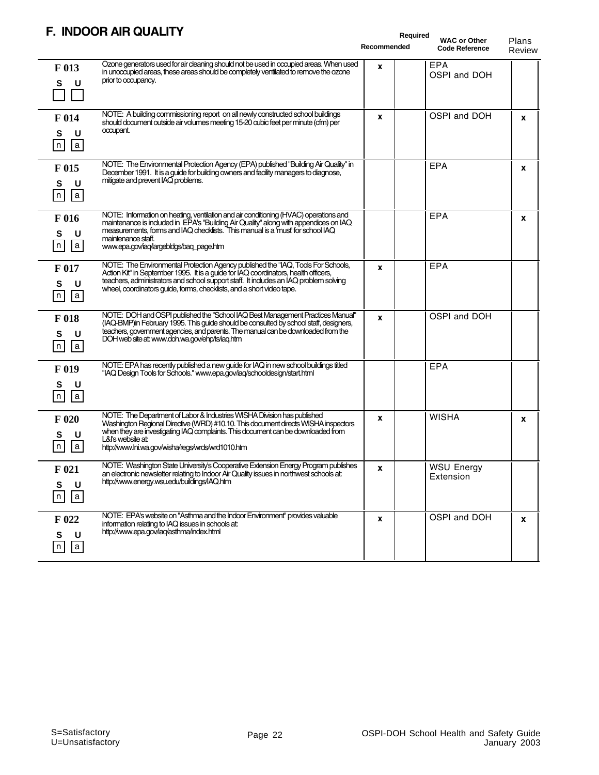#### **F. INDOOR AIR QUALITY**

|                                                          | <u>INDUUN AIN WUALI I I</u>                                                                                                                                                                                                                                                                                                               | Required<br>Recommended | <b>WAC or Other</b><br><b>Code Reference</b> | Plans<br>Review |
|----------------------------------------------------------|-------------------------------------------------------------------------------------------------------------------------------------------------------------------------------------------------------------------------------------------------------------------------------------------------------------------------------------------|-------------------------|----------------------------------------------|-----------------|
| F 013<br>U<br>S                                          | Ozone generators used for air cleaning should not be used in occupied areas. When used<br>in unoccupied areas, these areas should be completely ventilated to remove the ozone<br>prior to occupancy.                                                                                                                                     | X                       | <b>EPA</b><br>OSPI and DOH                   |                 |
| F 014<br>U<br>S<br> a <br>$\lfloor n \rfloor$            | NOTE: A building commissioning report on all newly constructed school buildings<br>should document outside air volumes meeting 15-20 cubic feet per minute (cfm) per<br>occupant.                                                                                                                                                         | X                       | OSPI and DOH                                 | X               |
| F 015<br>U<br>S<br>$\sqrt{n}$<br> a                      | NOTE: The Environmental Protection Agency (EPA) published "Building Air Quality" in<br>December 1991. It is a guide for building owners and facility managers to diagnose,<br>mitigate and prevent IAQ problems.                                                                                                                          |                         | <b>EPA</b>                                   | X               |
| F 016<br>S<br>U<br> n <br> a                             | NOTE: Information on heating, ventilation and air conditioning (HVAC) operations and<br>maintenance is included in EPA's "Building Air Quality" along with appendices on IAQ<br>measurements, forms and IAQ checklists. This manual is a 'must' for school IAQ<br>maintenance staff.<br>www.epa.gov/iaq/largebldgs/baq_page.htm           |                         | <b>EPA</b>                                   | X               |
| F 017<br>S<br>U<br> n <br> a                             | NOTE: The Environmental Protection Agency published the "IAQ, Tools For Schools,<br>Action Kit" in September 1995. It is a guide for IAQ coordinators, health officers,<br>teachers, administrators and school support staff. It includes an IAQ problem solving<br>wheel, coordinators quide, forms, checklists, and a short video tape. | X                       | EPA                                          |                 |
| F 018<br>U<br>S<br>$\lceil n \rceil$<br>$ \overline{a} $ | NOTE: DOH and OSPI published the "School IAQ Best Management Practices Manual"<br>(IAQ-BMP)in February 1995. This guide should be consulted by school staff, designers,<br>teachers, government agencies, and parents. The manual can be downloaded from the<br>DOH web site at: www.doh.wa.gov/ehp/ts/iaq.htm                            | X                       | OSPI and DOH                                 |                 |
| F 019<br>S<br>U<br>$\lfloor n \rfloor$<br> a             | NOTE: EPA has recently published a new guide for IAQ in new school buildings titled<br>"IAQ Design Tools for Schools." www.epa.gov/iaq/schooldesign/start.html                                                                                                                                                                            |                         | EPA                                          |                 |
| F 020<br>U<br>s<br> a <br>n                              | NOTE: The Department of Labor & Industries WISHA Division has published<br>Washington Regional Directive (WRD) #10.10. This document directs WISHA inspectors<br>when they are investigating IAQ complaints. This document can be downloaded from<br>L&I's website at:<br>http://www.lni.wa.gov/wisha/regs/wrds/wrd1010.htm               | X                       | <b>WISHA</b>                                 | x               |
| $F_{021}$<br>S<br>U<br>n<br> a                           | NOTE: Washington State University's Cooperative Extension Energy Program publishes<br>an electronic newsletter relating to Indoor Air Quality issues in northwest schools at:<br>http://www.energy.wsu.edu/buildings/IAQ.htm                                                                                                              | x                       | <b>WSU Energy</b><br>Extension               |                 |
| $F_{022}$<br>U<br>S<br> a <br> n                         | NOTE: EPA's website on "Asthma and the Indoor Environment" provides valuable<br>information relating to IAQ issues in schools at:<br>http://www.epa.gov/iaq/asthma/index.html                                                                                                                                                             | X                       | OSPI and DOH                                 | X               |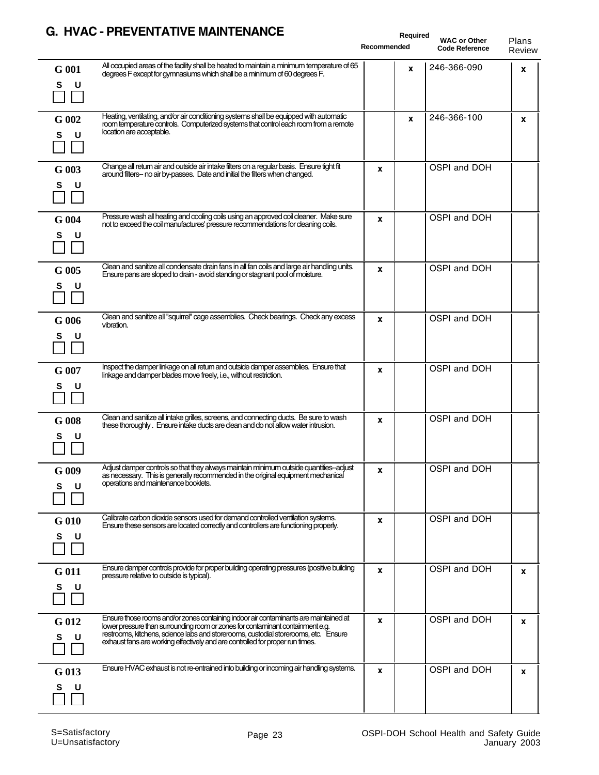#### **G. HVAC - PREVENTATIVE MAINTENANCE**

|                   | G. TIVAC " FREVENTATIVE MAINTENANCE                                                                                                                                                                                                                                                                                                            | Required<br>Recommended | <b>WAC or Other</b><br><b>Code Reference</b> | Plans<br>Review |
|-------------------|------------------------------------------------------------------------------------------------------------------------------------------------------------------------------------------------------------------------------------------------------------------------------------------------------------------------------------------------|-------------------------|----------------------------------------------|-----------------|
| G 001<br>S<br>U   | All occupied areas of the facility shall be heated to maintain a minimum temperature of 65<br>degrees F except for gymnasiums which shall be a minimum of 60 degrees F.                                                                                                                                                                        | X                       | 246-366-090                                  | X               |
| G 002<br>U<br>s   | Heating, ventilating, and/or air conditioning systems shall be equipped with automatic<br>room temperature controls. Computerized systems that control each room from a remote<br>location are acceptable.                                                                                                                                     | X                       | 246-366-100                                  | x               |
| $G$ 003<br>s<br>U | Change all return air and outside air intake filters on a regular basis. Ensure tight fit<br>around filters- no air by-passes. Date and initial the filters when changed.                                                                                                                                                                      | X                       | OSPI and DOH                                 |                 |
| G 004<br>S<br>U   | Pressure wash all heating and cooling coils using an approved coil cleaner. Make sure<br>not to exceed the coil manufactures' pressure recommendations for cleaning coils.                                                                                                                                                                     | X                       | OSPI and DOH                                 |                 |
| G 005<br>s<br>U   | Clean and sanitize all condensate drain fans in all fan coils and large air handling units.<br>Ensure pans are sloped to drain - avoid standing or stagnant pool of moisture.                                                                                                                                                                  | X                       | OSPI and DOH                                 |                 |
| $G$ 006<br>s<br>U | Clean and sanitize all "squirrel" cage assemblies. Check bearings. Check any excess<br>vibration.                                                                                                                                                                                                                                              | X                       | OSPI and DOH                                 |                 |
| G 007<br>s<br>U   | Inspect the damper linkage on all return and outside damper assemblies. Ensure that<br>linkage and damper blades move freely, i.e., without restriction.                                                                                                                                                                                       | X                       | OSPI and DOH                                 |                 |
| $G$ 008<br>s<br>U | Clean and sanitize all intake grilles, screens, and connecting ducts. Be sure to wash<br>these thoroughly. Ensure intake ducts are clean and do not allow water intrusion.                                                                                                                                                                     | X                       | OSPI and DOH                                 |                 |
| $G$ 009<br>s<br>U | Adjust damper controls so that they always maintain minimum outside quantities--adjust<br>as necessary. This is generally recommended in the original equipment mechanical<br>operations and maintenance booklets.                                                                                                                             | <b>x</b>                | OSPI and DOH                                 |                 |
| G 010<br>S<br>U   | Calibrate carbon dioxide sensors used for demand controlled ventilation systems.<br>Ensure these sensors are located correctly and controllers are functioning properly.                                                                                                                                                                       | x                       | OSPI and DOH                                 |                 |
| G 011<br>s<br>U   | Ensure damper controls provide for proper building operating pressures (positive building<br>pressure relative to outside is typical).                                                                                                                                                                                                         | X                       | OSPI and DOH                                 | X               |
| G 012<br>s<br>U   | Ensure those rooms and/or zones containing indoor air contaminants are maintained at<br>lower pressure than surrounding room or zones for contaminant containment e.g.<br>restrooms, kitchens, science labs and storerooms, custodial storerooms, etc. Ensure<br>exhaust fans are working effectively and are controlled for proper run times. | x                       | OSPI and DOH                                 | x               |
| G 013<br>s<br>U   | Ensure HVAC exhaust is not re-entrained into building or incoming air handling systems.                                                                                                                                                                                                                                                        | X                       | OSPI and DOH                                 | x               |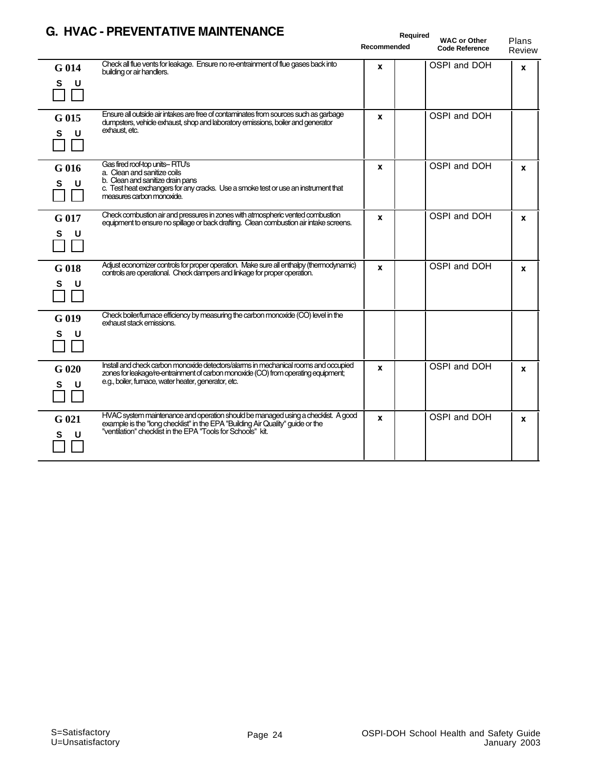|                 | G. NYAC - PREVENTATIVE MAINTENANCE                                                                                                                                                                                                 | <b>Required</b><br>Recommended | <b>WAC or Other</b><br><b>Code Reference</b> | Plans<br>Review |
|-----------------|------------------------------------------------------------------------------------------------------------------------------------------------------------------------------------------------------------------------------------|--------------------------------|----------------------------------------------|-----------------|
| G 014<br>S<br>U | Check all flue vents for leakage. Ensure no re-entrainment of flue gases back into<br>building or air handlers.                                                                                                                    | x                              | OSPI and DOH                                 | $\mathbf{x}$    |
| G 015<br>S<br>U | Ensure all outside air intakes are free of contaminates from sources such as garbage<br>dumpsters, vehicle exhaust, shop and laboratory emissions, boiler and generator<br>exhaust, etc.                                           | x                              | OSPI and DOH                                 |                 |
| G 016<br>s<br>U | Gas fired roof-top units-- RTU's<br>a. Clean and sanitize coils<br>b. Clean and sanitize drain pans<br>c. Test heat exchangers for any cracks. Use a smoke test or use an instrument that<br>measures carbon monoxide.             | X                              | OSPI and DOH                                 | $\mathbf{x}$    |
| G 017<br>S<br>U | Check combustion air and pressures in zones with atmospheric vented combustion<br>equipment to ensure no spillage or back drafting. Clean combustion air intake screens.                                                           | x                              | OSPI and DOH                                 | X               |
| G 018<br>s<br>U | Adjust economizer controls for proper operation. Make sure all enthalpy (thermodynamic)<br>controls are operational. Check dampers and linkage for proper operation.                                                               | X                              | OSPI and DOH                                 | X               |
| G 019<br>s<br>U | Check boiler/furnace efficiency by measuring the carbon monoxide (CO) level in the<br>exhaust stack emissions.                                                                                                                     |                                |                                              |                 |
| G 020<br>s<br>U | Install and check carbon monoxide detectors/alarms in mechanical rooms and occupied<br>zones for leakage/re-entrainment of carbon monoxide (CO) from operating equipment;<br>e.g., boiler, furnace, water heater, generator, etc.  | x                              | OSPI and DOH                                 | X               |
| G 021<br>s<br>U | HVAC system maintenance and operation should be managed using a checklist. A good<br>example is the "long checklist" in the EPA "Building Air Quality" guide or the<br>"ventilation" checklist in the EPA "Tools for Schools" kit. | X                              | OSPI and DOH                                 | X               |

#### **G. HVAC - PREVENTATIVE MAINTENANCE**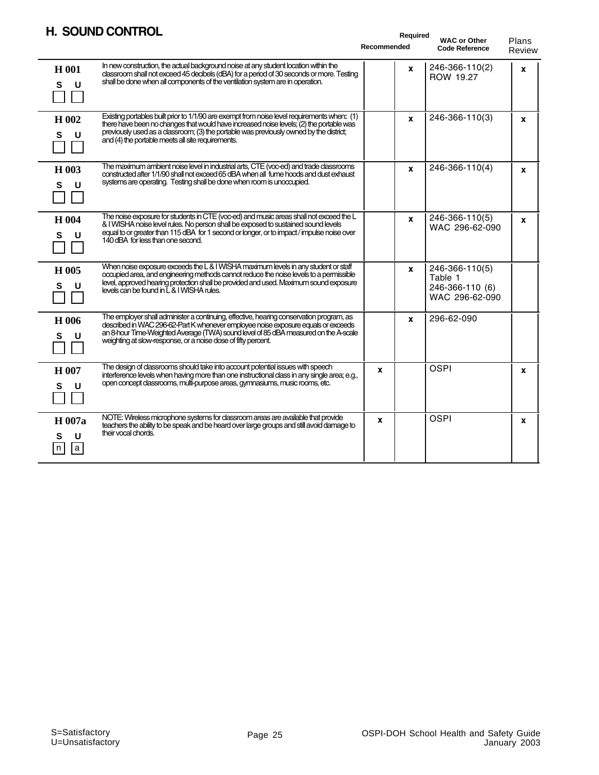#### **H. SOUND CONTROL**

|                              | <b>H. SOUND CONTROL</b>                                                                                                                                                                                                                                                                                                               | Recommended | Required | <b>WAC or Other</b><br><b>Code Reference</b>                   | Plans<br>Review |
|------------------------------|---------------------------------------------------------------------------------------------------------------------------------------------------------------------------------------------------------------------------------------------------------------------------------------------------------------------------------------|-------------|----------|----------------------------------------------------------------|-----------------|
| H 001<br>S<br>U              | In new construction, the actual background noise at any student location within the<br>classroom shall not exceed 45 decibels (dBA) for a period of 30 seconds or more. Testing<br>shall be done when all components of the ventilation system are in operation.                                                                      |             | X        | 246-366-110(2)<br>ROW 19.27                                    | X               |
| H 002<br>U<br>s              | Existing portables built prior to 1/1/90 are exempt from noise level requirements when: (1)<br>there have been no changes that would have increased noise levels; (2) the portable was<br>previously used as a classroom; (3) the portable was previously owned by the district;<br>and (4) the portable meets all site requirements. |             | X        | 246-366-110(3)                                                 | X               |
| H 003<br>S<br>U              | The maximum ambient noise level in industrial arts, CTE (voc-ed) and trade classrooms<br>constructed after 1/1/90 shall not exceed 65 dBA when all fume hoods and dust exhaust<br>systems are operating. Testing shall be done when room is unoccupied.                                                                               |             | X        | 246-366-110(4)                                                 | X               |
| H 004<br>U<br>s              | The noise exposure for students in CTE (voc-ed) and music areas shall not exceed the L<br>& I WISHA noise level rules. No person shall be exposed to sustained sound levels<br>equal to or greater than 115 dBA for 1 second or longer, or to impact/impulse noise over<br>140 dBA for less than one second.                          |             | X        | 246-366-110(5)<br>WAC 296-62-090                               | $\mathbf{x}$    |
| H 005<br>S<br>U              | When noise exposure exceeds the L & I WISHA maximum levels in any student or staff<br>occupied area, and engineering methods cannot reduce the noise levels to a permissible<br>level, approved hearing protection shall be provided and used. Maximum sound exposure<br>levels can be found in L & I WISHA rules.                    |             | X        | 246-366-110(5)<br>Table 1<br>246-366-110 (6)<br>WAC 296-62-090 |                 |
| H 006<br>S<br>U              | The employer shall administer a continuing, effective, hearing conservation program, as<br>described in WAC 296-62-Part K whenever employee noise exposure equals or exceeds<br>an 8-hour Time-Weighted Average (TWA) sound level of 85 dBA measured on the A-scale<br>weighting at slow-response, or a noise dose of fifty percent.  |             | x        | 296-62-090                                                     |                 |
| H 007<br>U<br>s              | The design of classrooms should take into account potential issues with speech<br>interference levels when having more than one instructional class in any single area; e.g.,<br>open concept classrooms, multi-purpose areas, gymnasiums, music rooms, etc.                                                                          | X           |          | <b>OSPI</b>                                                    | X               |
| H 007a<br>U<br>s<br>l a<br>n | NOTE: Wireless microphone systems for classroom areas are available that provide<br>teachers the ability to be speak and be heard over large groups and still avoid damage to<br>their vocal chords.                                                                                                                                  | X           |          | <b>OSPI</b>                                                    | X               |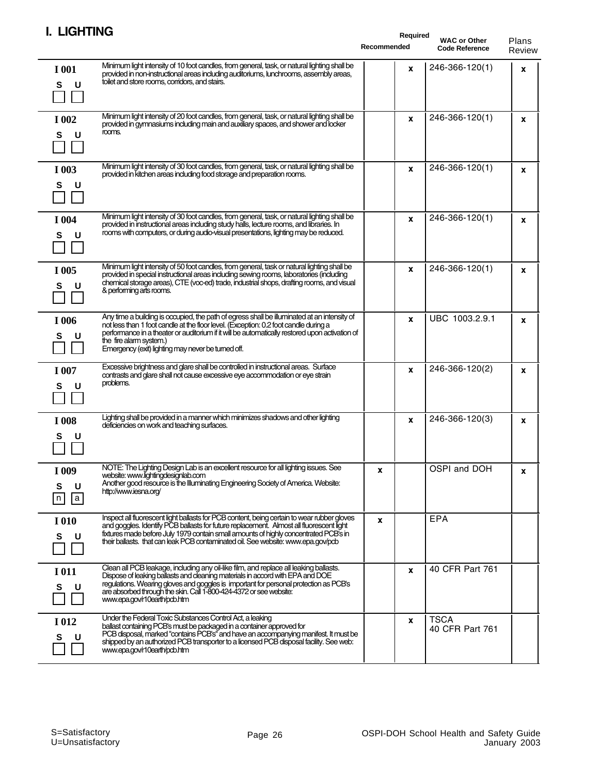| ычнич                                                                                                                                                                                                                                                                                                                                                                                     | Required<br>Recommended | <b>WAC or Other</b><br><b>Code Reference</b> | Plans<br>Review |
|-------------------------------------------------------------------------------------------------------------------------------------------------------------------------------------------------------------------------------------------------------------------------------------------------------------------------------------------------------------------------------------------|-------------------------|----------------------------------------------|-----------------|
| Minimum light intensity of 10 foot candles, from general, task, or natural lighting shall be<br>I 001<br>provided in non-instructional areas including auditoriums, lunchrooms, assembly areas,<br>toilet and store rooms, corridors, and stairs.<br>S<br>U                                                                                                                               | X                       | 246-366-120(1)                               | X               |
| Minimum light intensity of 20 foot candles, from general, task, or natural lighting shall be<br>I 002<br>provided in gymnasiums including main and auxiliary spaces, and shower and locker<br>rooms.<br>U<br>s                                                                                                                                                                            | X                       | 246-366-120(1)                               | X               |
| Minimum light intensity of 30 foot candles, from general, task, or natural lighting shall be<br>I 003<br>provided in kitchen areas including food storage and preparation rooms.<br>U<br>s                                                                                                                                                                                                | x                       | 246-366-120(1)                               | X               |
| Minimum light intensity of 30 foot candles, from general, task, or natural lighting shall be<br>I 004<br>provided in instructional areas including study halls, lecture rooms, and libraries. In<br>rooms with computers, or during audio-visual presentations, lighting may be reduced.<br>U<br>s                                                                                        | X                       | 246-366-120(1)                               | X               |
| Minimum light intensity of 50 foot candles, from general, task or natural lighting shall be<br>I 005<br>provided in special instructional areas including sewing rooms, laboratories (including<br>chemical storage areas), CTE (voc-ed) trade, industrial shops, drafting rooms, and visual<br>S<br>U<br>& performing arts rooms.                                                        | x                       | 246-366-120(1)                               | x               |
| Any time a building is occupied, the path of egress shall be illuminated at an intensity of<br>I 006<br>not less than 1 foot candle at the floor level. (Exception: 0.2 foot candle during a<br>performance in a theater or auditorium if it will be automatically restored upon activation of<br>U<br>s<br>the fire alarm system.)<br>Emergency (exit) lighting may never be turned off. | X                       | UBC 1003.2.9.1                               | X               |
| Excessive brightness and glare shall be controlled in instructional areas. Surface<br>I 007<br>contrasts and glare shall not cause excessive eye accommodation or eye strain<br>problems.<br>s<br>U                                                                                                                                                                                       | x                       | 246-366-120(2)                               | X               |
| Lighting shall be provided in a manner which minimizes shadows and other lighting<br>I 008<br>deficiencies on work and teaching surfaces.<br>s<br>U                                                                                                                                                                                                                                       | x                       | 246-366-120(3)                               | x               |
| NOTE: The Lighting Design Lab is an excellent resource for all lighting issues. See<br>I 009<br>website: www.lightingdesignlab.com<br>Another good resource is the Illuminating Engineering Society of America. Website:<br>s<br>U<br>http://www.iesna.org/<br>$\lfloor a \rfloor$<br>n                                                                                                   | x                       | OSPI and DOH                                 | X               |
| Inspect all fluorescent light ballasts for PCB content, being certain to wear rubber gloves<br>I 010<br>and goggles. Identify PCB ballasts for future replacement. Almost all fluorescent light<br>fixtures made before July 1979 contain small amounts of highly concentrated PCB's in<br>s<br>U<br>their ballasts. that can leak PCB contaminated oil. See website: www.epa.gov/pcb     | x                       | EPA                                          |                 |
| Clean all PCB leakage, including any oil-like film, and replace all leaking ballasts.<br>I 011<br>Dispose of leaking ballasts and cleaning materials in accord with EPA and DOE<br>regulations. Wearing gloves and goggles is important for personal protection as PCB's<br>S<br>U<br>are absorbed through the skin. Call 1-800-424-4372 or see website:<br>www.epa.gov/r10earth/pdb.htm  | X                       | 40 CFR Part 761                              |                 |
| Under the Federal Toxic Substances Control Act, a leaking<br>I 012<br>ballast containing PCB's must be packaged in a container approved for<br>PCB disposal, marked "contains PCB's" and have an accompanying manifest. It must be<br>U<br>s<br>shipped by an authorized PCB transporter to a licensed PCB disposal facility. See web:<br>www.epa.gov/r10earth/pcb.htm                    | x                       | <b>TSCA</b><br>40 CFR Part 761               |                 |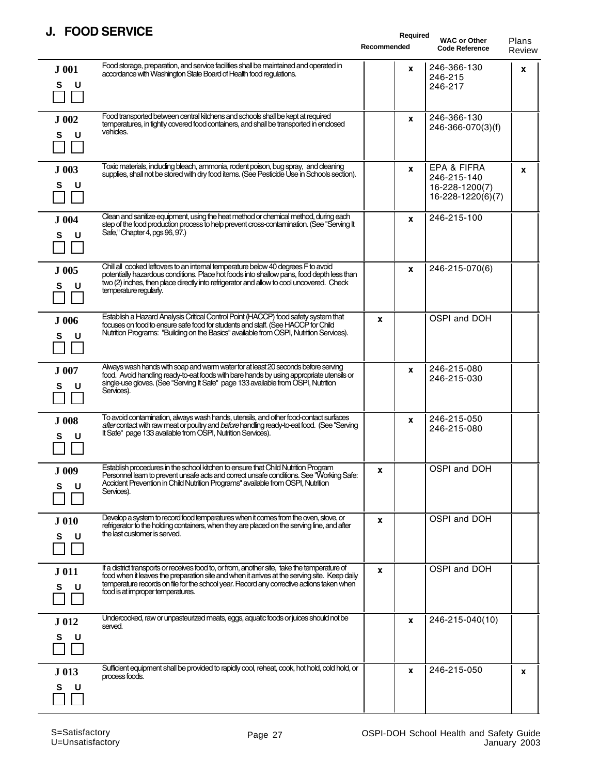#### **J. FOOD SERVICE**

| u.<br><b>LAND JEUNICE</b>                                                                                                                                                                                                                                                                                                                         | Required<br>Recommended | <b>WAC or Other</b><br><b>Code Reference</b>                      | Plans<br>Review |
|---------------------------------------------------------------------------------------------------------------------------------------------------------------------------------------------------------------------------------------------------------------------------------------------------------------------------------------------------|-------------------------|-------------------------------------------------------------------|-----------------|
| Food storage, preparation, and service facilities shall be maintained and operated in<br>J 001<br>accordance with Washington State Board of Health food regulations.<br>S<br>U                                                                                                                                                                    | x                       | 246-366-130<br>246-215<br>246-217                                 | X               |
| Food transported between central kitchens and schools shall be kept at required<br>J 002<br>temperatures, in tightly covered food containers, and shall be transported in enclosed<br>vehicles.<br>U<br>S                                                                                                                                         | X                       | 246-366-130<br>246-366-070(3)(f)                                  |                 |
| Toxic materials, including bleach, ammonia, rodent poison, bug spray, and cleaning<br>J 003<br>supplies, shall not be stored with dry food items. (See Pesticide Use in Schools section).<br>S<br>U                                                                                                                                               | X                       | EPA & FIFRA<br>246-215-140<br>16-228-1200(7)<br>16-228-1220(6)(7) | x               |
| Clean and sanitize equipment, using the heat method or chemical method, during each<br>J 004<br>step of the food production process to help prevent cross-contamination. (See "Serving It<br>Safe," Chapter 4, pgs 96, 97.)<br>S<br>U                                                                                                             | X                       | 246-215-100                                                       |                 |
| Chill all cooked leftovers to an internal temperature below 40 degrees F to avoid<br>J 005<br>potentially hazardous conditions. Place hot foods into shallow pans, food depth less than<br>two (2) inches, then place directly into refrigerator and allow to cool uncovered. Check<br>U<br>s<br>temperature regularly.                           | x                       | 246-215-070(6)                                                    |                 |
| Establish a Hazard Analysis Critical Control Point (HACCP) food safety system that<br>J 006<br>focuses on food to ensure safe food for students and staff. (See HACCP for Child<br>Nutrition Programs: "Building on the Basics" available from OSPI, Nutrition Services).<br>U<br>s                                                               | X                       | OSPI and DOH                                                      |                 |
| Always wash hands with soap and warm water for at least 20 seconds before serving<br>J 007<br>food. Avoid handling ready-to-eat foods with bare hands by using appropriate utensils or<br>single-use gloves. (See "Serving It Safe" page 133 available from OSPI, Nutrition<br>S<br>U<br>Services).                                               | X                       | 246-215-080<br>246-215-030                                        |                 |
| To avoid contamination, always wash hands, utensils, and other food-contact surfaces<br>J 008<br>after contact with raw meat or poultry and before handling ready-to-eat food. (See "Serving<br>It Safe" page 133 available from OSPI, Nutrition Services).<br>s<br>U                                                                             | X                       | 246-215-050<br>246-215-080                                        |                 |
| Establish procedures in the school kitchen to ensure that Child Nutrition Program<br>J 009<br>Personnel learn to prevent unsafe acts and correct unsafe conditions. See "Working Safe:<br>Accident Prevention in Child Nutrition Programs" available from OSPI, Nutrition<br>U<br>Services).                                                      | <b>x</b>                | OSPI and DOH                                                      |                 |
| Develop a system to record food temperatures when it comes from the oven, stove, or<br>J 010<br>refrigerator to the holding containers, when they are placed on the serving line, and after<br>the last customer is served.<br>S<br>U                                                                                                             | X                       | OSPI and DOH                                                      |                 |
| If a district transports or receives food to, or from, another site, take the temperature of<br>J 011<br>food when it leaves the preparation site and when it arrives at the serving site. Keep daily<br>temperature records on file for the school year. Record any corrective actions taken when<br>U<br>s<br>food is at improper temperatures. | X                       | OSPI and DOH                                                      |                 |
| Undercooked, raw or unpasteurized meats, eggs, aquatic foods or juices should not be<br>J 012<br>served.<br>U<br>s                                                                                                                                                                                                                                | x                       | 246-215-040(10)                                                   |                 |
| Sufficient equipment shall be provided to rapidly cool, reheat, cook, hot hold, cold hold, or<br>J 013<br>process foods.<br>U                                                                                                                                                                                                                     | X                       | 246-215-050                                                       | x               |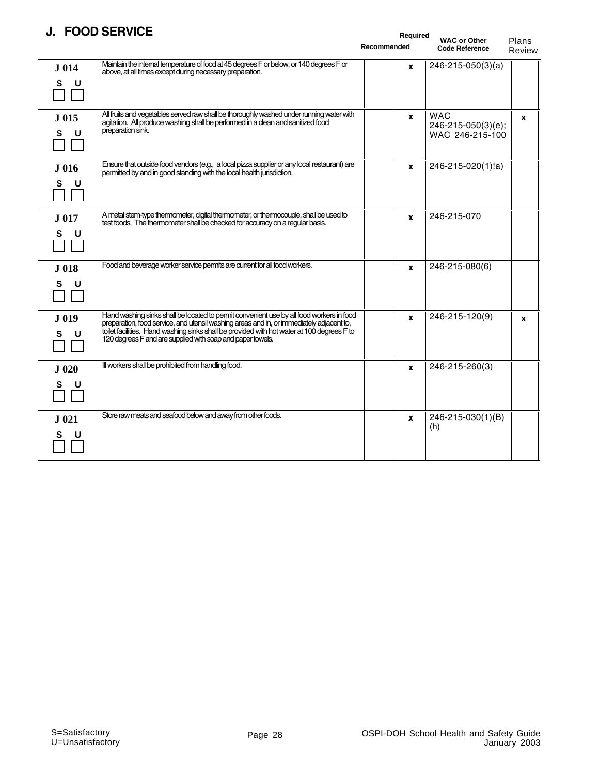#### **J. FOOD SERVICE**

|                  | J. FUUD JENVIUE                                                                                                                                                                                                                                                                                                                                  | Required<br>Recommended | <b>WAC or Other</b><br><b>Code Reference</b>        | Plans<br>Review |
|------------------|--------------------------------------------------------------------------------------------------------------------------------------------------------------------------------------------------------------------------------------------------------------------------------------------------------------------------------------------------|-------------------------|-----------------------------------------------------|-----------------|
| J 014<br>S<br>U  | Maintain the internal temperature of food at 45 degrees F or below, or 140 degrees F or<br>above, at all times except during necessary preparation.                                                                                                                                                                                              | X                       | 246-215-050(3)(a)                                   |                 |
| J 015<br>S<br>U  | All fruits and vegetables served raw shall be thoroughly washed under running water with<br>agitation. All produce washing shall be performed in a clean and sanitized food<br>preparation sink.                                                                                                                                                 | X                       | <b>WAC</b><br>246-215-050(3)(e);<br>WAC 246-215-100 | $\mathbf{x}$    |
| J 016<br>S<br>U  | Ensure that outside food vendors (e.g., a local pizza supplier or any local restaurant) are<br>permitted by and in good standing with the local health jurisdiction.                                                                                                                                                                             | X                       | 246-215-020(1)!a)                                   |                 |
| J 017<br>S<br>U  | A metal stem-type thermometer, digital thermometer, or thermocouple, shall be used to<br>test foods. The thermometer shall be checked for accuracy on a regular basis.                                                                                                                                                                           | X                       | 246-215-070                                         |                 |
| J 018<br>S<br>U  | Food and beverage worker service permits are current for all food workers.                                                                                                                                                                                                                                                                       | X                       | 246-215-080(6)                                      |                 |
| J 019<br>s<br>u  | Hand washing sinks shall be located to permit convenient use by all food workers in food<br>preparation, food service, and utensil washing areas and in, or immediately adjacent to,<br>toilet facilities. Hand washing sinks shall be provided with hot water at 100 degrees F to<br>120 degrees F and are supplied with soap and paper towels. | X                       | 246-215-120(9)                                      | X               |
| J 020<br>S.<br>U | III workers shall be prohibited from handling food.                                                                                                                                                                                                                                                                                              | X                       | 246-215-260(3)                                      |                 |
| J 021<br>s<br>U  | Store raw meats and seafood below and away from other foods.                                                                                                                                                                                                                                                                                     | X                       | 246-215-030(1)(B)<br>(h)                            |                 |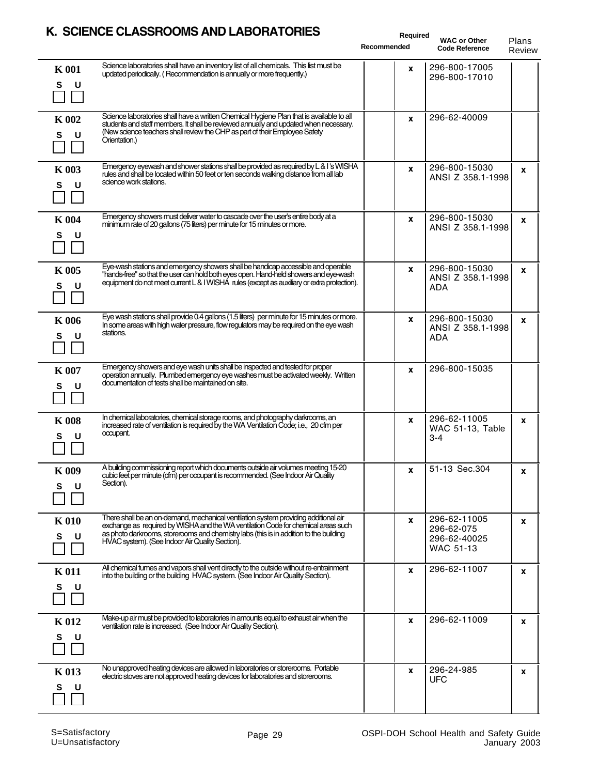|                        | N. SCILINCE CEASSNOOMS AND EADONATONIES                                                                                                                                                                                                                                                                               | Required<br>Recommended | <b>WAC or Other</b><br><b>Code Reference</b>            | Plans<br>Review |
|------------------------|-----------------------------------------------------------------------------------------------------------------------------------------------------------------------------------------------------------------------------------------------------------------------------------------------------------------------|-------------------------|---------------------------------------------------------|-----------------|
| <b>K</b> 001<br>S<br>U | Science laboratories shall have an inventory list of all chemicals. This list must be<br>updated periodically. (Recommendation is annually or more frequently.)                                                                                                                                                       | X                       | 296-800-17005<br>296-800-17010                          |                 |
| <b>K</b> 002<br>S      | Science laboratories shall have a written Chemical Hygiene Plan that is available to all<br>students and staff members. It shall be reviewed annually and updated when necessary.<br>(New science teachers shall review the CHP as part of their Employee Safety<br>Orientation.)                                     | X                       | 296-62-40009                                            |                 |
| <b>K</b> 003<br>S<br>U | Emergency eyewash and shower stations shall be provided as required by L & I's WISHA<br>rules and shall be located within 50 feet or ten seconds walking distance from all lab<br>science work stations.                                                                                                              | X                       | 296-800-15030<br>ANSI Z 358.1-1998                      | X               |
| <b>K</b> 004<br>s<br>U | Emergency showers must deliver water to cascade over the user's entire body at a<br>minimum rate of 20 gallons (75 liters) per minute for 15 minutes or more.                                                                                                                                                         | X                       | 296-800-15030<br>ANSI Z 358.1-1998                      | X               |
| <b>K</b> 005<br>S<br>U | Eye-wash stations and emergency showers shall be handicap accessible and operable<br>"hands-free" so that the user can hold both eyes open. Hand-held showers and eye-wash<br>equipment do not meet current L & I WISHA rules (except as auxiliary or extra protection).                                              | X                       | 296-800-15030<br>ANSI Z 358.1-1998<br>ADA               | X               |
| <b>K</b> 006<br>U<br>s | Eye wash stations shall provide 0.4 gallons (1.5 liters) per minute for 15 minutes or more.<br>In some areas with high water pressure, flow regulators may be required on the eye wash<br>stations.                                                                                                                   | X                       | 296-800-15030<br>ANSI Z 358.1-1998<br>ADA               | X               |
| <b>K</b> 007<br>S<br>U | Emergency showers and eye wash units shall be inspected and tested for proper<br>operation annually. Plumbed emergency eye washes must be activated weekly. Written<br>documentation of tests shall be maintained on site.                                                                                            | X                       | 296-800-15035                                           |                 |
| <b>K</b> 008<br>s<br>U | In chemical laboratories, chemical storage rooms, and photography darkrooms, an<br>increased rate of ventilation is required by the WA Ventilation Code; i.e., 20 cfm per<br>occupant.                                                                                                                                | X                       | 296-62-11005<br>WAC 51-13, Table<br>$3 - 4$             | X               |
| K 009<br>s<br>U        | A building commissioning report which documents outside air volumes meeting 15-20<br>cubic feet per minute (cfm) per occupant is recommended. (See Indoor Air Quality<br>Section).                                                                                                                                    | <b>X</b>                | 51-13 Sec.304                                           | x               |
| <b>K</b> 010<br>S<br>U | There shall be an on-demand, mechanical ventilation system providing additional air<br>exchange as required by WISHA and the WA ventilation Code for chemical areas such<br>as photo darkrooms, storerooms and chemistry labs (this is in addition to the building<br>HVAC system). (See Indoor Air Quality Section). | X                       | 296-62-11005<br>296-62-075<br>296-62-40025<br>WAC 51-13 | x               |
| <b>K</b> 011<br>S<br>U | All chemical fumes and vapors shall vent directly to the outside without re-entrainment<br>into the building or the building HVAC system. (See Indoor Air Quality Section).                                                                                                                                           | X                       | 296-62-11007                                            | X               |
| <b>K012</b><br>s<br>U  | Make-up air must be provided to laboratories in amounts equal to exhaust air when the<br>ventilation rate is increased. (See Indoor Air Quality Section).                                                                                                                                                             | x                       | 296-62-11009                                            | X               |
| <b>K013</b><br>S       | No unapproved heating devices are allowed in laboratories or storerooms. Portable<br>electric stoves are not approved heating devices for laboratories and storerooms.                                                                                                                                                | x                       | 296-24-985<br><b>UFC</b>                                | X               |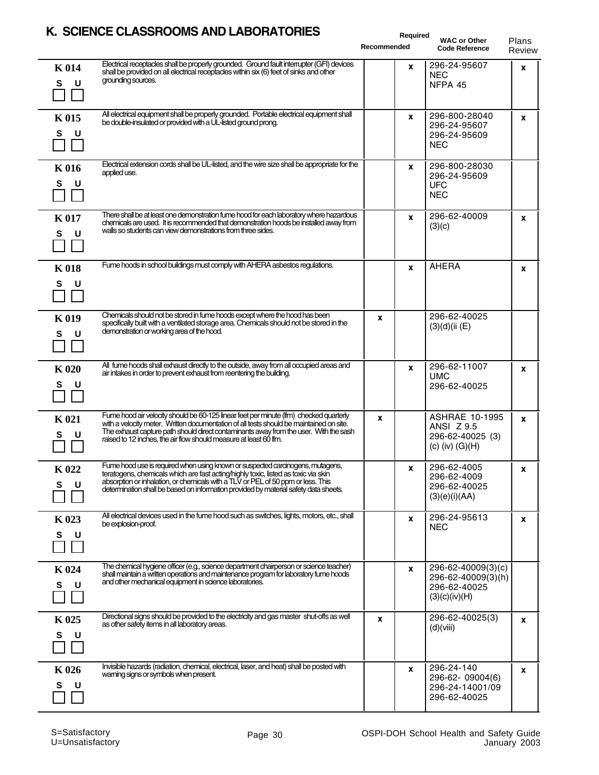|                        | N. SCILINCE CEASSNOOMS AND EADONATONIES                                                                                                                                                                                                                                                                                                          |             | Required     |                                                                                |                 |
|------------------------|--------------------------------------------------------------------------------------------------------------------------------------------------------------------------------------------------------------------------------------------------------------------------------------------------------------------------------------------------|-------------|--------------|--------------------------------------------------------------------------------|-----------------|
|                        |                                                                                                                                                                                                                                                                                                                                                  | Recommended |              | <b>WAC or Other</b><br><b>Code Reference</b>                                   | Plans<br>Review |
| <b>K</b> 014<br>S<br>U | Electrical receptacles shall be properly grounded. Ground fault interrupter (GFI) devices<br>shall be provided on all electrical receptacles within six (6) feet of sinks and other<br>grounding sources.                                                                                                                                        |             | $\mathbf{x}$ | 296-24-95607<br><b>NEC</b><br>NFPA 45                                          | X               |
| <b>K015</b><br>S<br>U  | All electrical equipment shall be properly grounded. Portable electrical equipment shall<br>be double-insulated or provided with a UL-listed ground prong.                                                                                                                                                                                       |             | $\mathbf{x}$ | 296-800-28040<br>296-24-95607<br>296-24-95609<br><b>NEC</b>                    | X               |
| <b>K</b> 016<br>S<br>U | Electrical extension cords shall be UL-listed, and the wire size shall be appropriate for the<br>applied use.                                                                                                                                                                                                                                    |             | $\mathbf{x}$ | 296-800-28030<br>296-24-95609<br><b>UFC</b><br><b>NEC</b>                      |                 |
| <b>K</b> 017<br>S<br>U | There shall be at least one demonstration fume hood for each laboratory where hazardous<br>chemicals are used. It is recommended that demonstration hoods be installed away from<br>walls so students can view demonstrations from three sides.                                                                                                  |             | X            | 296-62-40009<br>(3)(c)                                                         | X               |
| <b>K018</b><br>S<br>U  | Fume hoods in school buildings must comply with AHERA asbestos regulations.                                                                                                                                                                                                                                                                      |             | X            | <b>AHERA</b>                                                                   | X               |
| <b>K</b> 019<br>s<br>U | Chemicals should not be stored in fume hoods except where the hood has been<br>specifically built with a ventilated storage area. Chemicals should not be stored in the<br>demonstration or working area of the hood.                                                                                                                            | x           |              | 296-62-40025<br>(3)(d)(ii (E))                                                 |                 |
| <b>K020</b><br>S<br>U  | All fume hoods shall exhaust directly to the outside, away from all occupied areas and<br>air intakes in order to prevent exhaust from reentering the building.                                                                                                                                                                                  |             | X            | 296-62-11007<br><b>UMC</b><br>296-62-40025                                     | X               |
| <b>K</b> 021<br>s      | Fume hood air velocity should be 60-125 linear feet per minute (lfm) checked quarterly<br>with a velocity meter. Written documentation of all tests should be maintained on site.<br>The exhaust capture path should direct contaminants away from the user. With the sash<br>raised to 12 inches, the air flow should measure at least 60 lfm.  | x           |              | <b>ASHRAE 10-1995</b><br>ANSI Z 9.5<br>296-62-40025 (3)<br>$(c)$ (iv) $(G)(H)$ | $\mathbf{x}$    |
| K 022<br>S<br>U        | Fume hood use is required when using known or suspected carcinogens, mutagens,<br>teratogens, chemicals which are tast acting/highly toxic, listed as toxic via skin<br>absorption or inhalation, or chemicals with a TLV or PEL of 50 ppm or less. This<br>determination shall be based on information provided by material safety data sheets. |             | x            | 296-62-4005<br>296-62-4009<br>296-62-40025<br>(3)(e)(i)(AA)                    | x               |
| K 023<br>S<br>U        | All electrical devices used in the fume hood such as switches, lights, motors, etc., shall<br>be explosion proof.                                                                                                                                                                                                                                |             | X            | 296-24-95613<br><b>NEC</b>                                                     | X               |
| K 024<br>S<br>U        | The chemical hygiene officer (e.g., science department chairperson or science teacher)<br>shall maintain a written operations and maintenance program for laboratory fume hoods<br>and other mechanical equipment in science laboratories.                                                                                                       |             | $\mathbf{x}$ | 296-62-40009(3)(c)<br>296-62-40009(3)(h)<br>296-62-40025<br>(3)(c)(iv)(H)      |                 |
| K 025<br>s<br>U        | Directional signs should be provided to the electricity and gas master shut-offs as well<br>as other safety items in all laboratory areas.                                                                                                                                                                                                       | x           |              | 296-62-40025(3)<br>(d)(viii)                                                   | X               |
| K 026<br>s<br>U        | Invisible hazards (radiation, chemical, electrical, laser, and heat) shall be posted with<br>warning signs or symbols when present.                                                                                                                                                                                                              |             | x            | 296-24-140<br>296-62-09004(6)<br>296-24-14001/09<br>296-62-40025               | X               |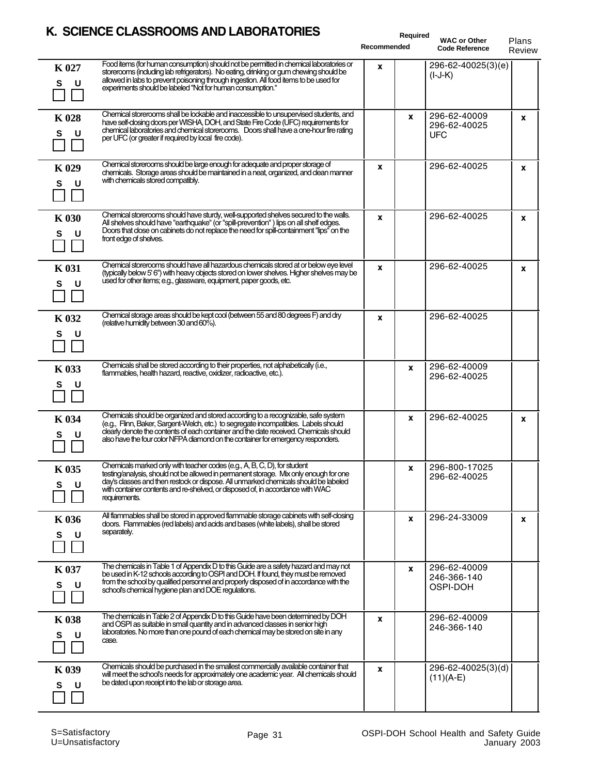|                         | <b>SULINGL GLASSING ONIS AND LADONATONILS</b>                                                                                                                                                                                                                                                                                                               |             | Required |                                              |                        |
|-------------------------|-------------------------------------------------------------------------------------------------------------------------------------------------------------------------------------------------------------------------------------------------------------------------------------------------------------------------------------------------------------|-------------|----------|----------------------------------------------|------------------------|
|                         |                                                                                                                                                                                                                                                                                                                                                             | Recommended |          | <b>WAC or Other</b><br><b>Code Reference</b> | Plans<br><b>Review</b> |
| K 027<br>S<br>U         | Food items (for human consumption) should not be permitted in chemical laboratories or<br>storerooms (including lab refrigerators). No eating, drinking or gum chewing should be<br>allowed in labs to prevent poisoning through ingestion. All food items to be used for<br>experiments should be labeled "Not for human consumption."                     | x           |          | 296-62-40025(3)(e)<br>$(I-J-K)$              |                        |
| <b>K</b> 028<br>S<br>U  | Chemical storerooms shall be lockable and inaccessible to unsupervised students, and<br>have self-dosing doors per WISHA, DOH, and State Fire Code (UFC) requirements for<br>chemical laboratories and chemical storerooms. Doors shall have a one-hour fire rating<br>per UFC (or greater if required by local fire code).                                 |             | X        | 296-62-40009<br>296-62-40025<br><b>UFC</b>   | x                      |
| K 029<br>S<br>- U       | Chemical storerooms should be large enough for adequate and proper storage of<br>chemicals. Storage areas should be maintained in a neat, organized, and clean manner<br>with chemicals stored compatibly.                                                                                                                                                  | x           |          | 296-62-40025                                 | $\mathbf{x}$           |
| <b>K</b> 030<br>S<br>U  | Chemical storerooms should have sturdy, well-supported shelves secured to the walls.<br>All shelves should have "earthquake" (or "spill-prevention") lips on all shelf edges.<br>Doors that close on cabinets do not replace the need for spill-containment "lips" on the<br>front edge of shelves.                                                         | x           |          | 296-62-40025                                 | $\mathbf{x}$           |
| <b>K</b> 031<br>S<br>U. | Chemical storerooms should have all hazardous chemicals stored at or below eye level<br>(typically below 5' 6") with heavy objects stored on lower shelves. Higher shelves may be<br>used for other items; e.g., glassware, equipment, paper goods, etc.                                                                                                    | x           |          | 296-62-40025                                 | $\mathbf{x}$           |
| K 032<br>S              | Chemical storage areas should be kept cool (between 55 and 80 degrees F) and dry<br>(relative humidity between 30 and 60%).                                                                                                                                                                                                                                 | x           |          | 296-62-40025                                 |                        |
| K 033<br>S<br>U         | Chemicals shall be stored according to their properties, not alphabetically (i.e.,<br>flammables, health hazard, reactive, oxidizer, radioactive, etc.).                                                                                                                                                                                                    |             | X        | 296-62-40009<br>296-62-40025                 |                        |
| K 034<br>S              | Chemicals should be organized and stored according to a recognizable, safe system<br>(e.g., Flinn, Baker, Sargent-Welch, etc.) to segregate incompatibles. Labels should<br>clearly denote the contents of each container and the date received. Chemicals should<br>also have the four color NFPA diamond on the container for emergency responders.       |             | x        | 296-62-40025                                 | $\mathbf{x}$           |
| K 035<br>s<br>U         | Chemicals marked only with teacher codes (e.g., A, B, C, D), for student<br>testing/analysis, should not be allowed in permanent storage. Mix only enough for one<br>day's classes and then restock or dispose. All unmarked chemicals should be labeled<br>with container contents and re-shelved, or disposed of, in accordance with WAC<br>requirements. |             | X        | 296-800-17025<br>296-62-40025                |                        |
| K 036<br>S<br>U         | All flammables shall be stored in approved flammable storage cabinets with self-dosing<br>doors. Flammables (red labels) and acids and bases (white labels), shall be stored<br>separately.                                                                                                                                                                 |             | X        | 296-24-33009                                 | X                      |
| K 037<br>S<br>U         | The chemicals in Table 1 of Appendix D to this Guide are a safety hazard and may not<br>be used in K-12 schools according to OSPI and DOH. If found, they must be removed<br>from the school by qualified personnel and properly disposed of in accordance with the<br>school's chemical hygiene plan and DOE regulations.                                  |             | X        | 296-62-40009<br>246-366-140<br>OSPI-DOH      |                        |
| <b>K038</b><br>s<br>U   | The chemicals in Table 2 of Appendix D to this Guide have been determined by DOH<br>and OSPI as suitable in small quantity and in advanced classes in senior high<br>laboratories. No more than one pound of each chemical may be stored on site in any<br>case.                                                                                            | x           |          | 296-62-40009<br>246-366-140                  |                        |
| K 039<br>S<br>U         | Chemicals should be purchased in the smallest commercially available container that<br>will meet the school's needs for approximately one academic year. All chemicals should<br>be dated upon receipt into the lab or storage area.                                                                                                                        | x           |          | 296-62-40025(3)(d)<br>$(11)(A-E)$            |                        |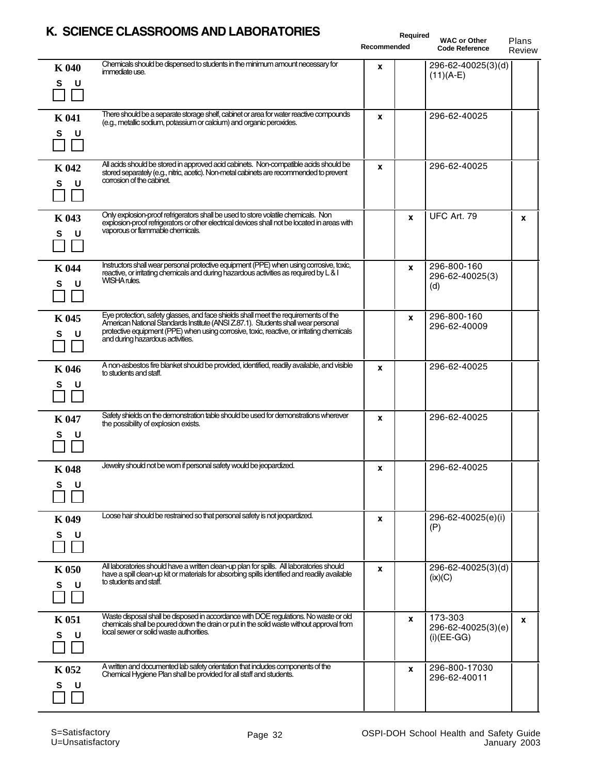$\overline{a}$ 

 $\overline{a}$ 

L,

L,

L

|                         | N. SUIENUE ULASSNUUMIS AND LADUNATUNIES<br>Required<br>Recommended                                                                                                                                                                                                                                       |              | <b>WAC or Other</b><br><b>Code Reference</b> | Plans<br>Review                                |   |
|-------------------------|----------------------------------------------------------------------------------------------------------------------------------------------------------------------------------------------------------------------------------------------------------------------------------------------------------|--------------|----------------------------------------------|------------------------------------------------|---|
| <b>K040</b><br>S<br>U   | Chemicals should be dispensed to students in the minimum amount necessary for<br>immediate use.                                                                                                                                                                                                          | X            |                                              | 296-62-40025(3)(d)<br>$(11)(A-E)$              |   |
| <b>K</b> 041<br>S.<br>U | There should be a separate storage shelf, cabinet or area for water reactive compounds<br>(e.g., metallic sodium, potassium or calcium) and organic peroxides.                                                                                                                                           | X            |                                              | 296-62-40025                                   |   |
| K 042<br>U<br>s         | All acids should be stored in approved acid cabinets. Non-compatible acids should be<br>stored separately (e.g., nitric, acetic). Non-metal cabinets are recommended to prevent<br>corrosion of the cabinet.                                                                                             | $\mathbf{x}$ |                                              | 296-62-40025                                   |   |
| K 043<br>S<br>U         | Only explosion-proof refrigerators shall be used to store volatile chemicals. Non<br>explosion-proof refrigerators or other electrical devices shall not be located in areas with<br>vaporous or flammable chemicals.                                                                                    |              | X                                            | <b>UFC Art. 79</b>                             | X |
| K 044<br>S<br>U         | Instructors shall wear personal protective equipment (PPE) when using corrosive, toxic,<br>reactive, or initating chemicals and during hazardous activities as required by L & I<br>WISHA rules.                                                                                                         |              | X                                            | 296-800-160<br>296-62-40025(3)<br>(d)          |   |
| K 045<br>U<br>S.        | Eye protection, safety glasses, and face shields shall meet the requirements of the<br>American National Standards Institute (ANSI Z.87.1). Students shall wear personal<br>protective equipment (PPE) when using corrosive, toxic, reactive, or initating chemicals<br>and during hazardous activities. |              | x                                            | 296-800-160<br>296-62-40009                    |   |
| K 046<br>U<br>S.        | A non-asbestos fire blanket should be provided, identified, readily available, and visible<br>to students and staff.                                                                                                                                                                                     | X            |                                              | 296-62-40025                                   |   |
| <b>K</b> 047<br>U<br>s  | Safety shields on the demonstration table should be used for demonstrations wherever<br>the possibility of explosion exists.                                                                                                                                                                             | $\mathbf{x}$ |                                              | 296-62-40025                                   |   |
| K 048<br>S.<br>U        | Jewelry should not be wom if personal safety would be jeopardized.                                                                                                                                                                                                                                       | x            |                                              | 296-62-40025                                   |   |
| K 049<br>S<br>U         | Loose hair should be restrained so that personal safety is not jeopardized.                                                                                                                                                                                                                              | $\mathbf{x}$ |                                              | 296-62-40025(e)(i)<br>(P)                      |   |
| <b>K</b> 050<br>U<br>s  | All laboratories should have a written clean-up plan for spills. All laboratories should<br>have a spill clean-up kit or materials for absorbing spills identified and readily available<br>to students and staff.                                                                                       | x            |                                              | 296-62-40025(3)(d)<br>(ix)(C)                  |   |
| <b>K</b> 051<br>U<br>s  | Waste disposal shall be disposed in accordance with DOE regulations. No waste or old<br>chemicals shall be poured down the drain or put in the solid waste without approval from<br>local sewer or solid waste authorities.                                                                              |              | x                                            | 173-303<br>296-62-40025(3)(e)<br>$(i)$ (EE-GG) | X |
| K 052<br>s<br>υ         | A written and documented lab safety orientation that includes components of the<br>Chemical Hygiene Plan shall be provided for all staff and students.                                                                                                                                                   |              | x                                            | 296-800-17030<br>296-62-40011                  |   |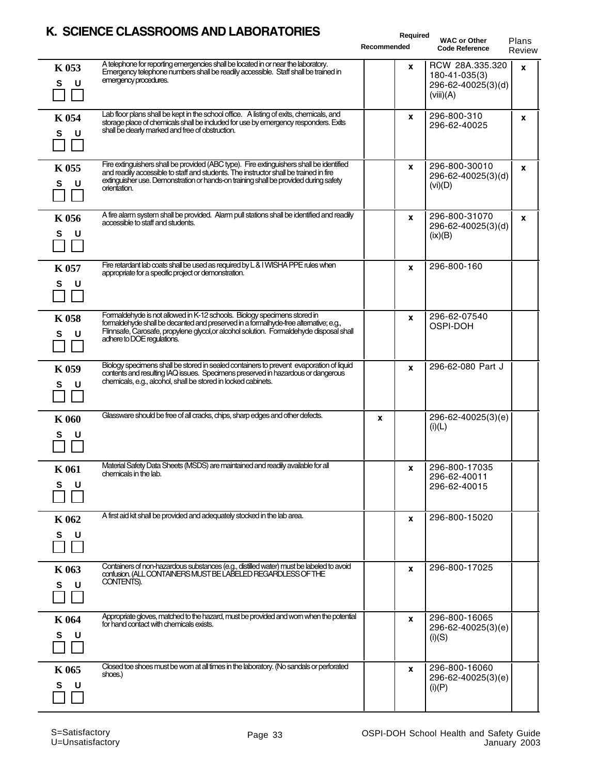|                        | K. SCIENCE CLASSROOMS AND LABORATORIES                                                                                                                                                                                                                                                     | Required<br>Recommended | <b>WAC or Other</b><br><b>Code Reference</b>                        | Plans<br>Review |
|------------------------|--------------------------------------------------------------------------------------------------------------------------------------------------------------------------------------------------------------------------------------------------------------------------------------------|-------------------------|---------------------------------------------------------------------|-----------------|
| K 053<br>S<br>- U      | A telephone for reporting emergencies shall be located in or near the laboratory.<br>Emergency telephone numbers shall be readily accessible. Staff shall be trained in<br>emergency procedures.                                                                                           | x                       | RCW 28A.335.320<br>180-41-035(3)<br>296-62-40025(3)(d)<br>(viii)(A) | X               |
| K 054<br>S<br>U        | Lab floor plans shall be kept in the school office. A listing of exits, chemicals, and<br>storage place of chemicals shall be included for use by emergency responders. Exits<br>shall be clearly marked and free of obstruction.                                                          | X                       | 296-800-310<br>296-62-40025                                         | x               |
| K 055<br>S<br>U        | Fire extinguishers shall be provided (ABC type). Fire extinguishers shall be identified<br>and readily accessible to staff and students. The instructor shall be trained in fire<br>extinguisher use. Demonstration or hands-on training shall be provided during safety<br>orientation.   | X                       | 296-800-30010<br>296-62-40025(3)(d)<br>(vi)(D)                      | X               |
| K 056<br>S<br>- U      | A fire alarm system shall be provided. Alarm pull stations shall be identified and readily<br>accessible to staff and students.                                                                                                                                                            | X                       | 296-800-31070<br>296-62-40025(3)(d)<br>(ix)(B)                      | X               |
| K 057<br>S<br>υ        | Fire retardant lab coats shall be used as required by L & I WISHA PPE rules when<br>appropriate for a specific project or demonstration.                                                                                                                                                   | X                       | 296-800-160                                                         |                 |
| <b>K058</b><br>S<br>U  | Formaldehyde is not allowed in K-12 schools. Biology specimens stored in<br>formaldehyde shall be decanted and preserved in a formal hyde-free alternative; e.g.,<br>Flinnsafe, Carosafe, propylene glycol, or alcohol solution. Formaldehyde disposal shall<br>adhere to DOE regulations. | x                       | 296-62-07540<br>OSPI-DOH                                            |                 |
| K 059<br>U<br>s        | Biology specimens shall be stored in sealed containers to prevent evaporation of liquid<br>contents and resulting IAQ issues. Specimens preserved in hazardous or dangerous<br>chemicals, e.g., alcohol, shall be stored in locked cabinets.                                               | X                       | 296-62-080 Part J                                                   |                 |
| <b>K</b> 060<br>s<br>U | Glassware should be free of all cracks, chips, sharp edges and other defects.                                                                                                                                                                                                              | X                       | 296-62-40025(3)(e)<br>(i)(L)                                        |                 |
| K 061<br>s<br>U        | Material Safety Data Sheets (MSDS) are maintained and readily available for all<br>chemicals in the lab.                                                                                                                                                                                   | $\mathbf x$             | 296-800-17035<br>296-62-40011<br>296-62-40015                       |                 |
| K 062<br>S<br>∣U       | A first aid kit shall be provided and adequately stocked in the lab area.                                                                                                                                                                                                                  | x                       | 296-800-15020                                                       |                 |
| K 063<br>s<br>U        | Containers of non-hazardous substances (e.g., distilled water) must be labeled to avoid<br>confusion. (ALL CONTAINERS MUST BE LABELED REGARDLESS OF THE<br>CONTENTS).                                                                                                                      | x                       | 296-800-17025                                                       |                 |
| K 064<br>s<br>U        | Appropriate gloves, matched to the hazard, must be provided and wom when the potential<br>for hand contact with chemicals exists.                                                                                                                                                          | x                       | 296-800-16065<br>296-62-40025(3)(e)<br>(i)(S)                       |                 |
| K 065<br>s<br>υ        | Closed toe shoes must be wom at all times in the laboratory. (No sandals or perforated<br>shoes.)                                                                                                                                                                                          | X                       | 296-800-16060<br>296-62-40025(3)(e)<br>(i)(P)                       |                 |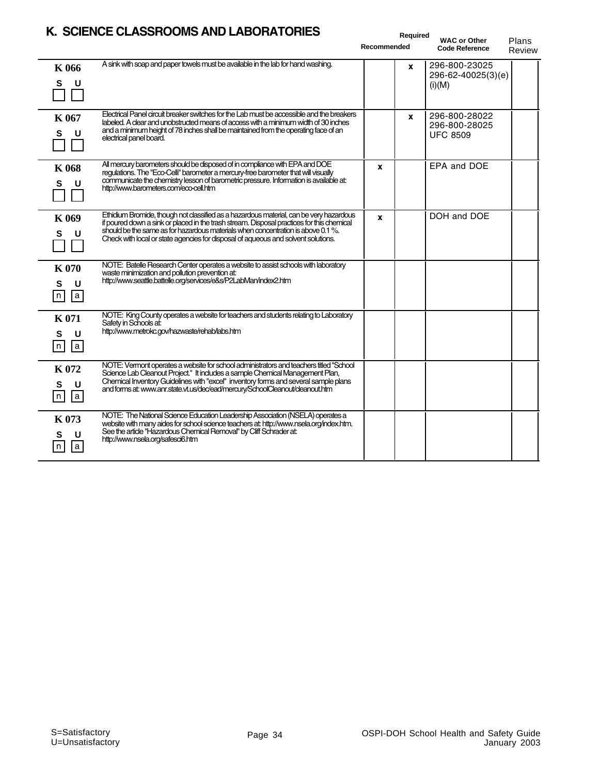| K. SCIENCE CLASSROOMS AND LABORATORIES<br>Required |                                                                                                                                                                                                                                                                                                                                                             |             |              |                                                   |                 |
|----------------------------------------------------|-------------------------------------------------------------------------------------------------------------------------------------------------------------------------------------------------------------------------------------------------------------------------------------------------------------------------------------------------------------|-------------|--------------|---------------------------------------------------|-----------------|
|                                                    |                                                                                                                                                                                                                                                                                                                                                             | Recommended |              | <b>WAC or Other</b><br><b>Code Reference</b>      | Plans<br>Review |
| K 066<br>S                                         | A sink with soap and paper towels must be available in the lab for hand washing.                                                                                                                                                                                                                                                                            |             | x            | 296-800-23025<br>296-62-40025(3)(e)<br>(i)(M)     |                 |
| K 067<br>S<br>U                                    | Electrical Panel circuit breaker switches for the Lab must be accessible and the breakers<br>labeled. A clear and unobstructed means of access with a minimum width of 30 inches<br>and a minimum height of 78 inches shall be maintained from the operating face of an<br>electrical panel board.                                                          |             | $\mathbf{x}$ | 296-800-28022<br>296-800-28025<br><b>UFC 8509</b> |                 |
| <b>K</b> 068<br>S<br>U                             | All mercury barometers should be disposed of in compliance with EPA and DOE<br>regulations. The "Eco-Celli" barometer a mercury-free barometer that will visually<br>communicate the chemistry lesson of barometric pressure. Information is available at:<br>http://www.barometers.com/eco-cell.htm                                                        | X           |              | EPA and DOE                                       |                 |
| K 069<br>S                                         | Ethidium Bromide, though not classified as a hazardous material, can be very hazardous<br>if poured down a sink or placed in the trash stream. Disposal practices for this chemical<br>should be the same as for hazardous materials when concentration is above 0.1%.<br>Check with local or state agencies for disposal of aqueous and solvent solutions. | X           |              | DOH and DOE                                       |                 |
| <b>K070</b><br>S<br>U<br>n<br> a                   | NOTE: Batelle Research Center operates a website to assist schools with laboratory<br>waste minimization and pollution prevention at:<br>http://www.seattle.battelle.org/services/e&s/P2LabMan/index2.htm                                                                                                                                                   |             |              |                                                   |                 |
| <b>K</b> 071<br>S<br>U<br>n<br> a                  | NOTE: King County operates a website for teachers and students relating to Laboratory<br>Safety in Schools at:<br>http://www.metrokc.gov/hazwaste/rehab/labs.htm                                                                                                                                                                                            |             |              |                                                   |                 |
| K 072<br>s<br>$\sqrt{a}$<br>$\sqrt{n}$             | NOTE: Vermont operates a website for school administrators and teachers titled "School<br>Science Lab Cleanout Project." It includes a sample Chemical Management Plan,<br>Chemical Inventory Guidelines with "excel" inventory forms and several sample plans<br>and forms at: www.anr.state.vt.us/dec/ead/mercury/SchoolCleanout/deanout.htm              |             |              |                                                   |                 |
| K 073<br>s<br>U<br> a<br>n                         | NOTE: The National Science Education Leadership Association (NSELA) operates a<br>website with many aides for school science teachers at: http://www.nsela.org/index.htm.<br>See the article "Hazardous Chemical Removal" by Cliff Schrader at:<br>http://www.nsela.org/safesci6.htm                                                                        |             |              |                                                   |                 |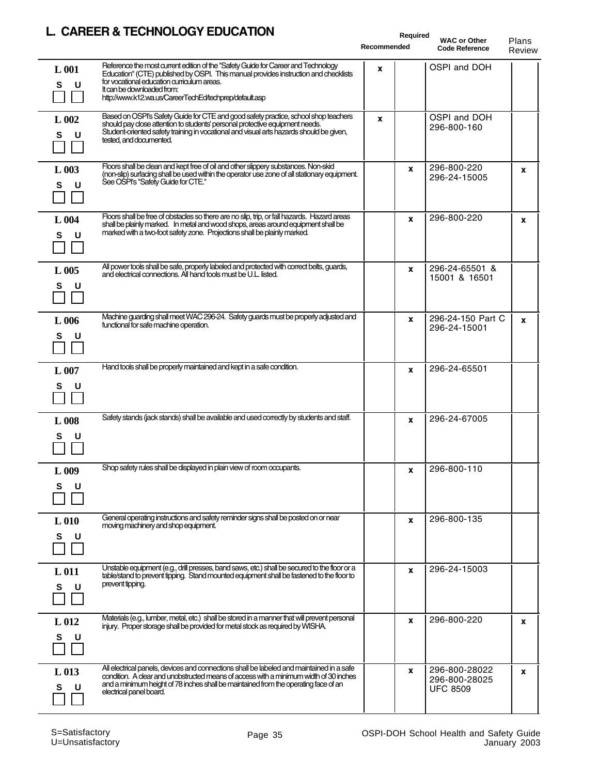#### **L. CAREER & TECHNOLOGY EDUCATION**

|                            | CANLLO & TLCI INCLUDIT LOUCATION                                                                                                                                                                                                                                                                               | <b>Required</b><br>Recommended | <b>WAC or Other</b><br><b>Code Reference</b>      | Plans<br>Review |
|----------------------------|----------------------------------------------------------------------------------------------------------------------------------------------------------------------------------------------------------------------------------------------------------------------------------------------------------------|--------------------------------|---------------------------------------------------|-----------------|
| L 001<br>S<br>U            | Reference the most current edition of the "Safety Guide for Career and Technology<br>Education" (CTE) published by OSPI. This manual provides instruction and checklists<br>for vocational education curriculum areas.<br>It can be downloaded from:<br>http://www.k12.wa.us/CareerTechEd/techprep/default.asp | X                              | OSPI and DOH                                      |                 |
| L 002<br>S                 | Based on OSPI's Safety Guide for CTE and good safety practice, school shop teachers<br>should pay close attention to students' personal protective equipment needs.<br>Student-oriented safety training in vocational and visual arts hazards should be given,<br>tested, and documented.                      | X                              | OSPI and DOH<br>296-800-160                       |                 |
| L 003<br>S.<br>U           | Floors shall be clean and kept free of oil and other slippery substances. Non-skid<br>(non-slip) surfacing shall be used within the operator use zone of all stationary equipment.<br>See OSPI's "Safety Guide for CTE."                                                                                       | X                              | 296-800-220<br>296-24-15005                       | X               |
| L 004<br>s<br>U            | Floors shall be free of obstacles so there are no slip, trip, or fall hazards. Hazard areas<br>shall be plainly marked. In metal and wood shops, areas around equipment shall be<br>marked with a two-foot safety zone. Projections shall be plainly marked.                                                   | $\mathbf{x}$                   | 296-800-220                                       | $\mathbf{x}$    |
| L 005<br>S.<br>U           | All power tools shall be safe, properly labeled and protected with correct belts, guards,<br>and electrical connections. All hand tools must be U.L. listed.                                                                                                                                                   | X                              | 296-24-65501 &<br>15001 & 16501                   |                 |
| L006<br>s<br>U             | Machine guarding shall meet WAC 296-24. Safety guards must be properly adjusted and<br>functional for safe machine operation.                                                                                                                                                                                  | X                              | 296-24-150 Part C<br>296-24-15001                 | $\mathbf{x}$    |
| L 007<br>S.<br>υ           | Hand tools shall be properly maintained and kept in a safe condition.                                                                                                                                                                                                                                          | X                              | 296-24-65501                                      |                 |
| L 008<br>S<br>U            | Safety stands (jack stands) shall be available and used correctly by students and staff.                                                                                                                                                                                                                       | X                              | 296-24-67005                                      |                 |
| L 009<br>s                 | Shop safety rules shall be displayed in plain view of room occupants.                                                                                                                                                                                                                                          | <b>X</b>                       | 296-800-110                                       |                 |
| $L_{010}$<br>S<br>U        | General operating instructions and safety reminder signs shall be posted on or near<br>moving machinery and shop equipment.                                                                                                                                                                                    | X                              | 296-800-135                                       |                 |
| L <sub>011</sub><br>S<br>υ | Unstable equipment (e.g., drill presses, band saws, etc.) shall be secured to the floor or a<br>table/stand to prevent tipping. Stand mounted equipment shall be fastened to the floor to<br>prevent tipping.                                                                                                  | X                              | 296-24-15003                                      |                 |
| $L_{012}$<br>S             | Materials (e.g., lumber, metal, etc.) shall be stored in a manner that will prevent personal<br>injury. Proper storage shall be provided for metal stock as required by WISHA.                                                                                                                                 | x                              | 296-800-220                                       | X               |
| $L$ 013<br>s               | All electrical panels, devices and connections shall be labeled and maintained in a safe<br>condition. A clear and unobstructed means of access with a minimum width of 30 inches<br>and a minimum height of 78 inches shall be maintained from the operating face of an<br>electrical panel board.            | X                              | 296-800-28022<br>296-800-28025<br><b>UFC 8509</b> | X               |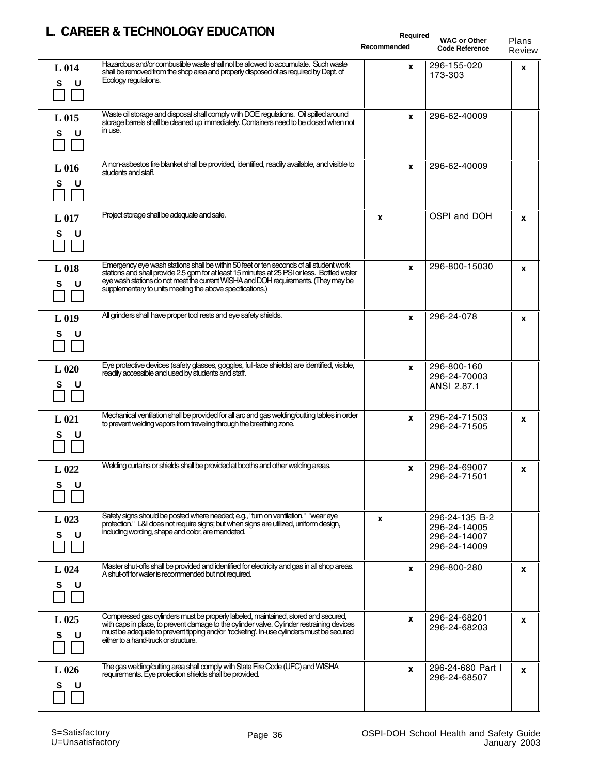|                            | CANCEN & TECHNOLOGY EDUCATION                                                                                                                                                                                                                                                                                                            | Required<br>Recommended | <b>WAC or Other</b><br><b>Code Reference</b>                   | Plans<br>Review |
|----------------------------|------------------------------------------------------------------------------------------------------------------------------------------------------------------------------------------------------------------------------------------------------------------------------------------------------------------------------------------|-------------------------|----------------------------------------------------------------|-----------------|
| L <sub>014</sub><br>s<br>U | Hazardous and/or combustible waste shall not be allowed to accumulate. Such waste<br>shall be removed from the shop area and properly disposed of as required by Dept. of<br>Ecology regulations.                                                                                                                                        | X                       | 296-155-020<br>173-303                                         | X               |
| L <sub>015</sub><br>s<br>U | Waste oil storage and disposal shall comply with DOE regulations. Oil spilled around<br>storage barrels shall be cleaned up immediately. Containers need to be closed when not<br>in use.                                                                                                                                                | x                       | 296-62-40009                                                   |                 |
| L <sub>016</sub><br>s<br>U | A non-asbestos fire blanket shall be provided, identified, readily available, and visible to<br>students and staff.                                                                                                                                                                                                                      | X                       | 296-62-40009                                                   |                 |
| L <sub>017</sub><br>S<br>υ | Project storage shall be adequate and safe.                                                                                                                                                                                                                                                                                              | X                       | OSPI and DOH                                                   | X               |
| L <sub>018</sub><br>S<br>U | Emergency eye wash stations shall be within 50 feet or ten seconds of all student work<br>stations and shall provide 2.5 gpm for at least 15 minutes at 25 PSI or less. Bottled water<br>eye wash stations do not meet the current WISHA and DOH requirements. (They may be<br>supplementary to units meeting the above specifications.) | X                       | 296-800-15030                                                  | x               |
| L <sub>019</sub><br>S      | All grinders shall have proper tool rests and eye safety shields.                                                                                                                                                                                                                                                                        | X                       | 296-24-078                                                     | X               |
| $L_{020}$<br>s<br>υ        | Eye protective devices (safety glasses, goggles, full-face shields) are identified, visible,<br>readily accessible and used by students and staff.                                                                                                                                                                                       | x                       | 296-800-160<br>296-24-70003<br>ANSI 2.87.1                     |                 |
| $L$ 021<br>S<br>υ          | Mechanical ventilation shall be provided for all arc and gas welding/cutting tables in order<br>to prevent welding vapors from traveling through the breathing zone.                                                                                                                                                                     | X                       | 296-24-71503<br>296-24-71505                                   | x               |
| $L_{022}$<br>S.<br>υ       | Welding curtains or shields shall be provided at booths and other welding areas.                                                                                                                                                                                                                                                         | x                       | 296-24-69007<br>296-24-71501                                   | x               |
| $L_{023}$<br>s<br>U        | Safety signs should be posted where needed; e.g., "turn on ventilation," "wear eye<br>protection." L&I does not require signs; but when signs are utilized, uniform design,<br>including wording, shape and color, are mandated.                                                                                                         | X                       | 296-24-135 B-2<br>296-24-14005<br>296-24-14007<br>296-24-14009 |                 |
| L 024<br>s<br>U            | Master shut-offs shall be provided and identified for electricity and gas in all shop areas.<br>A shut-off for water is recommended but not required.                                                                                                                                                                                    | x                       | 296-800-280                                                    | X               |
| $L$ 025<br>s<br>υ          | Compressed gas cylinders must be properly labeled, maintained, stored and secured,<br>with caps in place, to prevent damage to the cylinder valve. Cylinder restraining devices<br>must be adequate to prevent tipping and/or 'rocketing'. In use cylinders must be secured<br>either to a hand-truck or structure.                      | X                       | 296-24-68201<br>296-24-68203                                   | x               |
| $L_{026}$<br>s<br>υ        | The gas welding/cutting area shall comply with State Fire Code (UFC) and WISHA<br>requirements. Eye protection shields shall be provided.                                                                                                                                                                                                | x                       | 296-24-680 Part I<br>296-24-68507                              | X               |

## **L. CAREER & TECHNOLOGY EDUCATION**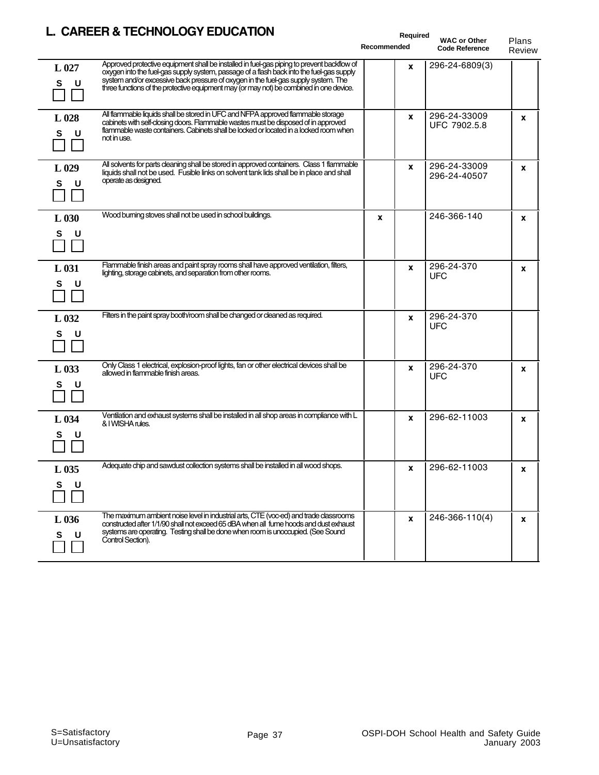## **L. CAREER & TECHNOLOGY EDUCATION**

|                       | L. CAREER & TECHNOLOGY EDUCATION                                                                                                                                                                                                                                                                                                                                        |             |          | Required                                     |                 |  |
|-----------------------|-------------------------------------------------------------------------------------------------------------------------------------------------------------------------------------------------------------------------------------------------------------------------------------------------------------------------------------------------------------------------|-------------|----------|----------------------------------------------|-----------------|--|
|                       |                                                                                                                                                                                                                                                                                                                                                                         | Recommended |          | <b>WAC or Other</b><br><b>Code Reference</b> | Plans<br>Review |  |
| L 027<br>s            | Approved protective equipment shall be installed in fuel-gas piping to prevent backflow of<br>oxygen into the fuel-gas supply system, passage of a flash back into the fuel-gas supply<br>system and/or excessive back pressure of oxygen in the fuel-gas supply system. The<br>three functions of the protective equipment may (or may not) be combined in one device. |             | X        | 296-24-6809(3)                               |                 |  |
| $L_{028}$<br>s<br>U   | All flammable liquids shall be stored in UFC and NFPA approved flammable storage<br>cabinets with self-closing doors. Flammable wastes must be disposed of in approved<br>flammable waste containers. Cabinets shall be locked or located in a locked room when<br>not in use.                                                                                          |             | X        | 296-24-33009<br>UFC 7902.5.8                 | X               |  |
| $L_{029}$<br>S<br>U   | All solvents for parts cleaning shall be stored in approved containers. Class 1 flammable<br>liquids shall not be used. Fusible links on solvent tank lids shall be in place and shall<br>operate as designed.                                                                                                                                                          |             | x        | 296-24-33009<br>296-24-40507                 | X               |  |
| $L_{030}$<br>S<br>∣U  | Wood burning stoves shall not be used in school buildings.                                                                                                                                                                                                                                                                                                              | X           |          | 246-366-140                                  | x               |  |
| $L_{031}$<br>S<br>U   | Flammable finish areas and paint spray rooms shall have approved ventilation, filters,<br>lighting, storage cabinets, and separation from other rooms.                                                                                                                                                                                                                  |             | X        | 296-24-370<br><b>UFC</b>                     | x               |  |
| L 032<br>s<br>U       | Filters in the paint spray booth/room shall be changed or cleaned as required.                                                                                                                                                                                                                                                                                          |             | X        | 296-24-370<br><b>UFC</b>                     |                 |  |
| L 033<br>S<br>U       | Only Class 1 electrical, explosion-proof lights, fan or other electrical devices shall be<br>allowed in flammable finish areas.                                                                                                                                                                                                                                         |             | X        | 296-24-370<br><b>UFC</b>                     | X               |  |
| L 034<br>S.           | Ventilation and exhaust systems shall be installed in all shop areas in compliance with L<br>& I WISHA rules.                                                                                                                                                                                                                                                           |             | X        | 296-62-11003                                 | x               |  |
| L 035<br>S<br>U       | Adequate chip and sawdust collection systems shall be installed in all wood shops.                                                                                                                                                                                                                                                                                      |             | <b>X</b> | 296-62-11003                                 | x               |  |
| $L_{0.036}$<br>s<br>U | The maximum ambient noise level in industrial arts, CTE (voc-ed) and trade classrooms<br>constructed after 1/1/90 shall not exceed 65 dBA when all fume hoods and dust exhaust<br>systems are operating. Testing shall be done when room is unoccupied. (See Sound<br>Control Section).                                                                                 |             | X        | 246-366-110(4)                               | X               |  |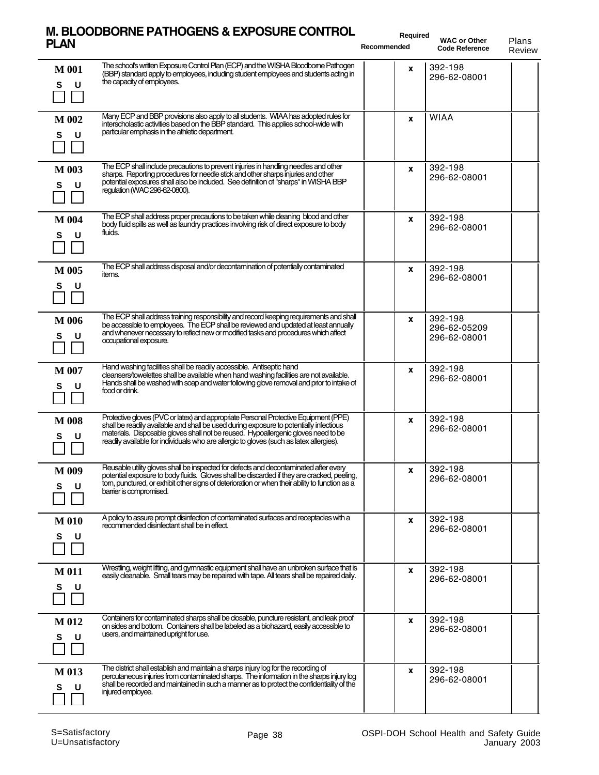#### **M. BLOODBORNE PATHOGENS & EXPOSURE CONTROL PLAN** WAC or Other Plans

**Required Recommended**

|                        |                                                                                                                                                                                                                                                                                                                                                                 |   |                                         | Review |
|------------------------|-----------------------------------------------------------------------------------------------------------------------------------------------------------------------------------------------------------------------------------------------------------------------------------------------------------------------------------------------------------------|---|-----------------------------------------|--------|
| <b>M</b> 001<br>S<br>U | The school's written Exposure Control Plan (ECP) and the WISHA Bloodborne Pathogen<br>(BBP) standard apply to employees, including student employees and students acting in<br>the capacity of employees.                                                                                                                                                       | X | 392-198<br>296-62-08001                 |        |
| M 002<br>S<br>U        | Many ECP and BBP provisions also apply to all students. WIAA has adopted rules for<br>interscholastic activities based on the BBP standard. This applies school-wide with<br>particular emphasis in the athletic department.                                                                                                                                    | X | <b>WIAA</b>                             |        |
| M 003<br>S<br>U        | The ECP shall include precautions to prevent injuries in handling needles and other<br>sharps. Reporting procedures for needle stick and other sharps injuries and other<br>potential exposures shall also be included. See definition of "sharps" in WISHA BBP<br>requlation (WAC 296-62-0800).                                                                | X | 392-198<br>296-62-08001                 |        |
| M 004<br>U<br>s        | The ECP shall address proper precautions to be taken while cleaning blood and other<br>body fluid spills as well as laundry practices involving risk of direct exposure to body<br>fluids.                                                                                                                                                                      | X | 392-198<br>296-62-08001                 |        |
| M 005<br>s<br>U        | The ECP shall address disposal and/or decontamination of potentially contaminated<br>items.                                                                                                                                                                                                                                                                     | X | 392-198<br>296-62-08001                 |        |
| M 006<br>S<br>U        | The ECP shall address training responsibility and record keeping requirements and shall<br>be accessible to employees. The ECP shall be reviewed and updated at least annually<br>and whenever necessary to reflect new or modified tasks and procedures which affect<br>occupational exposure.                                                                 | x | 392-198<br>296-62-05209<br>296-62-08001 |        |
| M 007<br>s<br>U        | Hand washing facilities shall be readily accessible. Antiseptic hand<br>cleansers/towelettes shall be available when hand washing facilities are not available.<br>Hands shall be washed with soap and water following glove removal and prior to intake of<br>food or drink.                                                                                   | x | 392-198<br>296-62-08001                 |        |
| <b>M</b> 008<br>s<br>U | Protective gloves (PVC or latex) and appropriate Personal Protective Equipment (PPE)<br>shall be readily available and shall be used during exposure to potentially infectious<br>materials. Disposable gloves shall not be reused. Hypoallergenic gloves need to be<br>readily available for individuals who are allergic to gloves (such as latex allergies). | X | 392-198<br>296-62-08001                 |        |
| M 009<br>S<br>U        | Reusable utility gloves shall be inspected for defects and decontaminated after every<br>potential exposure to body fluids. Gloves shall be discarded if they are cracked, peeling,<br>tom, punctured, or exhibit other signs of deterioration or when their ability to function as a<br>bamer is compromised.                                                  | X | 392-198<br>296-62-08001                 |        |
| <b>M</b> 010<br>S<br>U | A policy to assure prompt disinfection of contaminated surfaces and receptacles with a<br>recommended disinfectant shall be in effect.                                                                                                                                                                                                                          | X | 392-198<br>296-62-08001                 |        |
| <b>M011</b><br>S<br>U  | Wrestling, weight lifting, and gymnastic equipment shall have an unbroken surface that is<br>easily cleanable. Small tears may be repaired with tape. All tears shall be repaired daily.                                                                                                                                                                        | x | 392-198<br>296-62-08001                 |        |
| M 012<br>S<br>U        | Containers for contaminated sharps shall be closable, puncture resistant, and leak proof<br>on sides and bottom. Containers shall be labeled as a biohazard, easily accessible to<br>users, and maintained upright for use.                                                                                                                                     | x | 392-198<br>296-62-08001                 |        |
| M 013<br>s<br>U        | The district shall establish and maintain a sharps injury log for the recording of<br>percutaneous injuries from contaminated sharps. The information in the sharps injury log<br>shall be recorded and maintained in such a manner as to protect the confidentiality of the<br>injured employee.                                                               | X | 392-198<br>296-62-08001                 |        |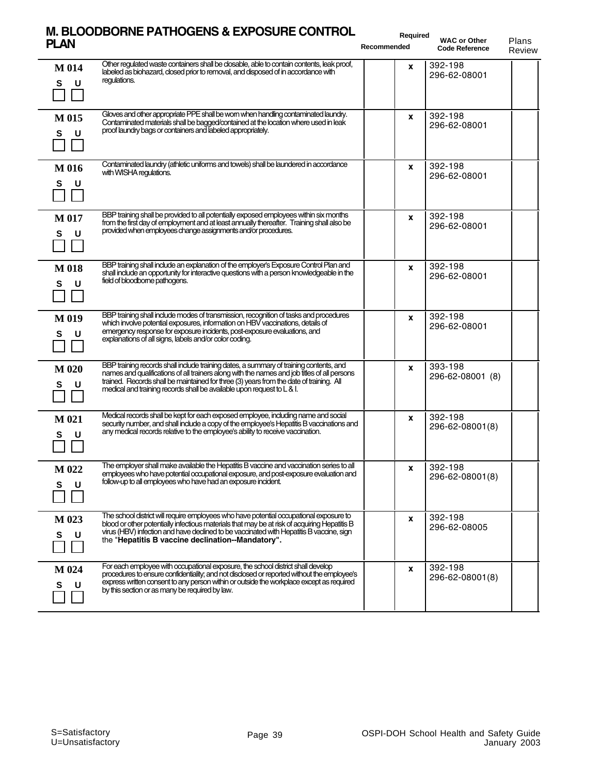#### **M. BLOODBORNE PATHOGENS & EXPOSURE CONTROL PLAN** WAC or Other Plans

**Required Recommended**

|                        |                                                                                                                                                                                                                                                                                                                                                                | reconnended | <b>Code Reference</b>       | Review |
|------------------------|----------------------------------------------------------------------------------------------------------------------------------------------------------------------------------------------------------------------------------------------------------------------------------------------------------------------------------------------------------------|-------------|-----------------------------|--------|
| M 014<br>S<br>U        | Other regulated waste containers shall be closable, able to contain contents, leak proof,<br>labeled as biohazard, closed prior to removal, and disposed of in accordance with<br>regulations.                                                                                                                                                                 | x           | 392-198<br>296-62-08001     |        |
| M 015<br>S<br>U        | Gloves and other appropriate PPE shall be wom when handling contaminated laundry.<br>Contaminated materials shall be bagged/contained at the location where used in leak<br>proof laundry bags or containers and labeled appropriately.                                                                                                                        | X           | 392-198<br>296-62-08001     |        |
| M 016<br>s<br>U        | Contaminated laundry (athletic uniforms and towels) shall be laundered in accordance<br>with WISHA regulations.                                                                                                                                                                                                                                                | X           | 392-198<br>296-62-08001     |        |
| M 017<br>s<br>U        | BBP training shall be provided to all potentially exposed employees within six months<br>from the first day of employment and at least annually thereafter. Training shall also be<br>provided when employees change assignments and/or procedures.                                                                                                            | X           | 392-198<br>296-62-08001     |        |
| <b>M 018</b><br>S<br>υ | BBP training shall include an explanation of the employer's Exposure Control Plan and<br>shall include an opportunity for interactive questions with a person knowledgeable in the<br>field of bloodborne pathogens.                                                                                                                                           | X           | 392-198<br>296-62-08001     |        |
| M 019<br>S<br>U        | BBP training shall include modes of transmission, recognition of tasks and procedures<br>which involve potential exposures, information on HBV vaccinations, details of<br>emergency response for exposure incidents, post-exposure evaluations, and<br>explanations of all signs, labels and/or color coding.                                                 | x           | 392-198<br>296-62-08001     |        |
| M 020<br>s             | BBP training records shall include training dates, a summary of training contents, and<br>names and qualifications of all trainers along with the names and job titles of all persons<br>trained. Records shall be maintained for three (3) years from the date of training. All<br>medical and training records shall be available upon request to $L \& 1$ . | X           | 393-198<br>296-62-08001 (8) |        |
| M 021<br>s<br>U        | Medical records shall be kept for each exposed employee, including name and social<br>security number, and shall include a copy of the employee's Hepatitis B vaccinations and<br>any medical records relative to the employee's ability to receive vaccination.                                                                                               | x           | 392-198<br>296-62-08001(8)  |        |
| M 022<br>s u           | The employer shall make available the Hepatitis B vaccine and vaccination series to all<br>employees who have potential occupational exposure, and post-exposure evaluation and<br>follow-up to all employees who have had an exposure incident.                                                                                                               | X           | 392-198<br>296-62-08001(8)  |        |
| M 023<br>s<br>U        | The school district will require employees who have potential occupational exposure to<br>blood or other potentially infectious materials that may be at risk of acquiring Hepatitis B<br>virus (HBV) infection and have declined to be vaccinated with Hepatitis B vaccine, sign<br>the "Hepatitis B vaccine declination--Mandatory".                         | x           | 392-198<br>296-62-08005     |        |
| M 024<br>s<br>U        | For each employee with occupational exposure, the school district shall develop<br>procedures to ensure confidentiality; and not disclosed or reported without the employee's<br>express written consent to any person within or outside the workplace except as required<br>by this section or as many be required by law.                                    | x           | 392-198<br>296-62-08001(8)  |        |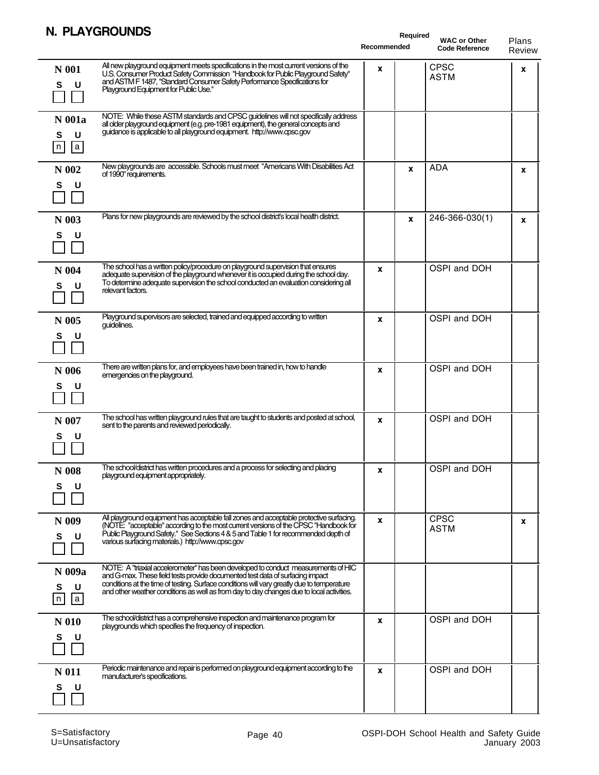## **N. PLAYGROUNDS**

| IN. FLATUNUINUS                                                                                                                                                                                                                                                                                                                                                                              | Recommended      | Required<br><b>WAC or Other</b><br><b>Code Reference</b> | Plans<br>Review |
|----------------------------------------------------------------------------------------------------------------------------------------------------------------------------------------------------------------------------------------------------------------------------------------------------------------------------------------------------------------------------------------------|------------------|----------------------------------------------------------|-----------------|
| All new playground equipment meets specifications in the most current versions of the<br>N 001<br>U.S. Consumer Product Safety Commission "Handbook for Public Playground Safety"<br>and ASTM F 1487, "Standard Consumer Safety Performance Specifications for<br>U<br>S<br>Playground Equipment for Public Use."                                                                            | x                | <b>CPSC</b><br><b>ASTM</b>                               | x               |
| NOTE: While these ASTM standards and CPSC guidelines will not specifically address<br>N 001a<br>all older playground equipment (e.g. pre-1981 equipment), the general concepts and<br>guidance is applicable to all playground equipment. http://www.cpsc.gov<br>U<br>s<br> n <br> a                                                                                                         |                  |                                                          |                 |
| New playgrounds are accessible. Schools must meet "Americans With Disabilities Act<br>N 002<br>of 1990" requirements.<br>s<br>U                                                                                                                                                                                                                                                              |                  | <b>ADA</b><br>X                                          | X               |
| Plans for new playgrounds are reviewed by the school district's local health district.<br>N 003<br>S<br>U                                                                                                                                                                                                                                                                                    |                  | 246-366-030(1)<br>X                                      | X               |
| The school has a written policy/procedure on playground supervision that ensures<br>N 004<br>adequate supervision of the playground whenever it is occupied during the school day.<br>To determine adequate supervision the school conducted an evaluation considering all<br>U<br>s<br>relevant factors.                                                                                    | $\mathbf x$      | OSPI and DOH                                             |                 |
| Playground supervisors are selected, trained and equipped according to written<br>N 005<br>guidelines.<br>s<br>U                                                                                                                                                                                                                                                                             | $\boldsymbol{x}$ | OSPI and DOH                                             |                 |
| There are written plans for, and employees have been trained in, how to handle<br>N 006<br>emergencies on the playground.<br>s<br>U                                                                                                                                                                                                                                                          | $\mathbf x$      | OSPI and DOH                                             |                 |
| The school has written playground rules that are taught to students and posted at school,<br>N 007<br>sent to the parents and reviewed periodically.<br>U<br>s                                                                                                                                                                                                                               | X                | OSPI and DOH                                             |                 |
| The school/district has written procedures and a process for selecting and placing<br>N 008<br>playground equipment appropriately.<br>s<br>u                                                                                                                                                                                                                                                 | x                | OSPI and DOH                                             |                 |
| All playground equipment has acceptable fall zones and acceptable protective surfacing.<br>N 009<br>(NOTE: "acceptable" according to the most current versions of the CPSC "Handbook for<br>Public Playground Safety." See Sections 4 & 5 and Table 1 for recommended depth of<br>U<br>S<br>various surfacing materials.) http://www.cpsc.gov                                                | X                | <b>CPSC</b><br><b>ASTM</b>                               | x               |
| NOTE: A "triaxial accelerometer" has been developed to conduct measurements of HIC<br>N 009a<br>and G-max. These field tests provide documented test data of surfacing impact<br>conditions at the time of testing. Surface conditions will vary greatly due to temperature<br>U<br>S<br>and other weather conditions as well as from day to day changes due to local activities.<br>n<br> a |                  |                                                          |                 |
| The school/district has a comprehensive inspection and maintenance program for<br>N 010<br>playgrounds which specifies the frequency of inspection.<br>S<br>U                                                                                                                                                                                                                                | $\mathbf{x}$     | OSPI and DOH                                             |                 |
| Periodic maintenance and repair is performed on playground equipment according to the<br>N 011<br>manufacturer's specifications.<br>s<br>U                                                                                                                                                                                                                                                   | x                | OSPI and DOH                                             |                 |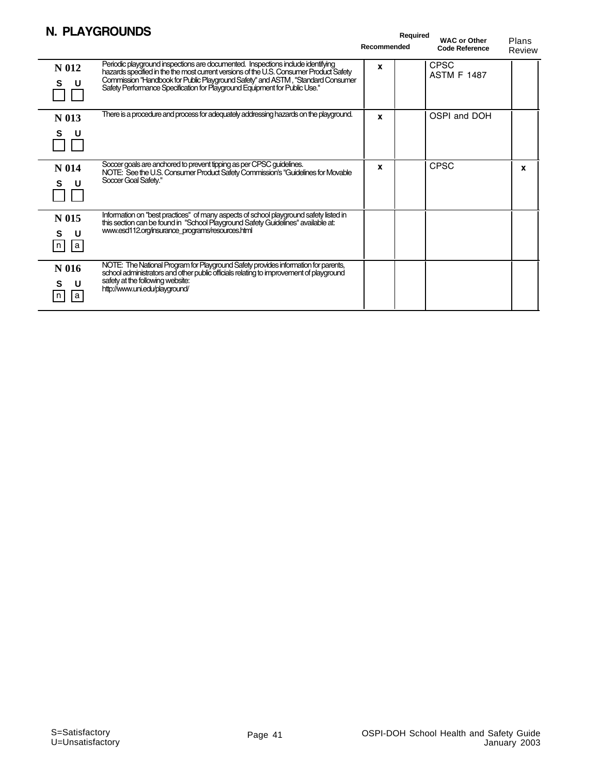## **N. PLAYGROUNDS**

|                              | II. FLATUNUUIVUJ                                                                                                                                                                                                                                                                                                                           | Recommended | Required<br><b>WAC or Other</b><br><b>Code Reference</b> | Plans<br>Review |
|------------------------------|--------------------------------------------------------------------------------------------------------------------------------------------------------------------------------------------------------------------------------------------------------------------------------------------------------------------------------------------|-------------|----------------------------------------------------------|-----------------|
| N 012<br>s<br>U              | Periodic playground inspections are documented. Inspections include identifying<br>hazards specified in the the most current versions of the U.S. Consumer Product Safety<br>Commission "Handbook for Public Playground Safety" and ASTM, "Standard Consumer<br>Safety Performance Specification for Playground Equipment for Public Use." | X           | <b>CPSC</b><br><b>ASTM F 1487</b>                        |                 |
| N 013<br>S<br>U              | There is a procedure and process for adequately addressing hazards on the playground.                                                                                                                                                                                                                                                      | x           | OSPI and DOH                                             |                 |
| N 014<br>U<br>s              | Soccer goals are anchored to prevent tipping as per CPSC guidelines.<br>NOTE: See the U.S. Consumer Product Safety Commission's "Guidelines for Movable<br>Soccer Goal Safety."                                                                                                                                                            | X           | <b>CPSC</b>                                              | X               |
| N 015<br>U<br>s<br> a <br> n | Information on "best practices" of many aspects of school playground safety listed in<br>this section can be found in "School Playground Safety Guidelines" available at:<br>www.esd112.org/insurance_programs/resources.html                                                                                                              |             |                                                          |                 |
| N 016<br>s<br>U<br>a<br>n    | NOTE: The National Program for Playground Safety provides information for parents,<br>school administrators and other public officials relating to improvement of playground<br>safety at the following website:<br>http://www.uni.edu/playground/                                                                                         |             |                                                          |                 |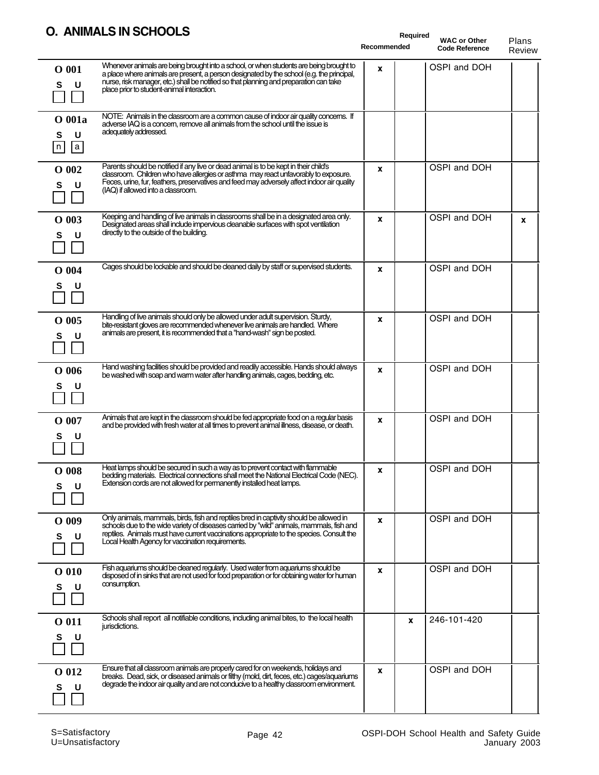## **O. ANIMALS IN SCHOOLS**

| U. AINIMALJ IN JUTUULJ                                                                                                                                                                                                                                                                                                                                   | Required<br>Recommended | <b>WAC or Other</b><br><b>Code Reference</b> | Plans<br>Review |
|----------------------------------------------------------------------------------------------------------------------------------------------------------------------------------------------------------------------------------------------------------------------------------------------------------------------------------------------------------|-------------------------|----------------------------------------------|-----------------|
| Whenever animals are being brought into a school, or when students are being brought to<br>$O$ 001<br>a place where animals are present, a person designated by the school (e.g. the principal,<br>nurse, risk manager, etc.) shall be notified so that planning and preparation can take<br>s<br>U<br>place prior to student-animal interaction.        | X                       | OSPI and DOH                                 |                 |
| NOTE: Animals in the classroom are a common cause of indoor air quality concems. If<br>O 001a<br>adverse IAQ is a concern, remove all animals from the school until the issue is<br>adequately addressed.<br>U<br>s<br> a <br> n                                                                                                                         |                         |                                              |                 |
| Parents should be notified if any live or dead animal is to be kept in their child's<br>$O$ 002<br>classroom. Children who have allergies or asthma may react unfavorably to exposure.<br>Feces, urine, fur, feathers, preservatives and feed may adversely affect indoor air quality<br>U<br>s<br>(IAQ) if allowed into a classroom.                    | X                       | OSPI and DOH                                 |                 |
| Keeping and handling of live animals in classrooms shall be in a designated area only.<br>$O$ 003<br>Designated areas shall include impervious cleanable surfaces with spot ventilation<br>directly to the outside of the building.<br>U<br>s                                                                                                            | X                       | OSPI and DOH                                 | X               |
| Cages should be lockable and should be cleaned daily by staff or supervised students.<br>$O$ 004<br>s<br>U                                                                                                                                                                                                                                               | X                       | OSPI and DOH                                 |                 |
| Handling of live animals should only be allowed under adult supervision. Sturdy,<br>$O$ 005<br>bite-resistant gloves are recommended whenever live animals are handled. Where<br>animals are present, it is recommended that a "hand-wash" sign be posted.<br>U<br>s                                                                                     | x                       | OSPI and DOH                                 |                 |
| Hand washing facilities should be provided and readily accessible. Hands should always<br>$O$ 006<br>be washed with soap and warm water after handling animals, cages, bedding, etc.<br>s<br>U                                                                                                                                                           | X                       | OSPI and DOH                                 |                 |
| Animals that are kept in the classroom should be fed appropriate food on a regular basis<br>O 007<br>and be provided with fresh water at all times to prevent animal illness, disease, or death.<br>υ                                                                                                                                                    | X                       | OSPI and DOH                                 |                 |
| Heat lamps should be secured in such a way as to prevent contact with flammable<br>$O$ 008<br>bedding materials. Electrical connections shall meet the National Electrical Code (NEC).<br>Extension cords are not allowed for permanently installed heat lamps.<br>U<br>s                                                                                | x                       | OSPI and DOH                                 |                 |
| Only animals, mammals, birds, fish and reptiles bred in captivity should be allowed in<br>$O$ 009<br>schools due to the wide variety of diseases carried by "wild" animals, mammals, fish and<br>reptiles. Animals must have current vaccinations appropriate to the species. Consult the<br>S<br>U<br>Local Health Agency for vaccination requirements. | x                       | OSPI and DOH                                 |                 |
| Fish aquariums should be cleaned regularly. Used water from aquariums should be<br>$O$ 010<br>disposed of in sinks that are not used for food preparation or for obtaining water for human<br>consumption.<br>U                                                                                                                                          | x                       | OSPI and DOH                                 |                 |
| Schools shall report all notifiable conditions, including animal bites, to the local health<br>O 011<br>jurisdictions.<br>U<br>S                                                                                                                                                                                                                         | x                       | 246-101-420                                  |                 |
| Ensure that all classroom animals are properly cared for on weekends, holidays and<br>O 012<br>breaks. Dead, sick, or diseased animals or fitthy (mold, dirt, feces, etc.) cages/aquariums<br>degrade the indoor air quality and are not conducive to a healthy classroom environment.<br>U<br>s                                                         | X                       | OSPI and DOH                                 |                 |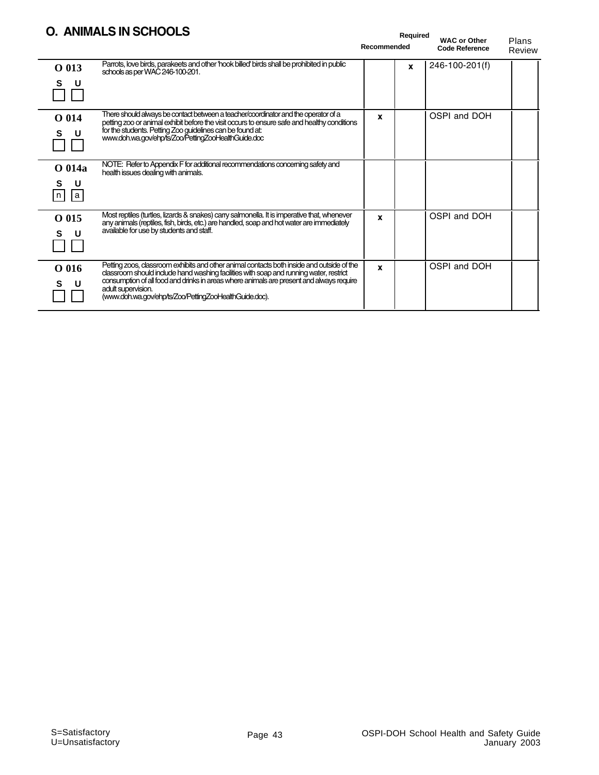#### **O. ANIMALS IN SCHOOLS**

|                               | O. ANIMALS IN SCHOOLS                                                                                                                                                                                                                                                                                                                                           | Recommended | Required | <b>WAC or Other</b><br><b>Code Reference</b> | Plans<br>Review |
|-------------------------------|-----------------------------------------------------------------------------------------------------------------------------------------------------------------------------------------------------------------------------------------------------------------------------------------------------------------------------------------------------------------|-------------|----------|----------------------------------------------|-----------------|
| O 013<br>s<br>U               | Parrots, love birds, parakeets and other 'hook billed' birds shall be prohibited in public<br>schools as per WAC 246-100-201.                                                                                                                                                                                                                                   |             | X        | 246-100-201(f)                               |                 |
| O 014<br>s<br>U               | There should always be contact between a teacher/coordinator and the operator of a<br>petting zoo or animal exhibit before the visit occurs to ensure safe and healthy conditions<br>for the students. Petting Zoo guidelines can be found at:<br>www.doh.wa.gov/ehp/ts/Zoo/PettingZooHealthGuide.doc                                                           | x           |          | OSPI and DOH                                 |                 |
| O 014a<br>s<br>U<br> a <br> n | NOTE: Refer to Appendix F for additional recommendations concerning safety and<br>health issues dealing with animals.                                                                                                                                                                                                                                           |             |          |                                              |                 |
| O 015<br>s<br>U               | Most reptiles (turtles, lizards & snakes) carry salmonella. It is imperative that, whenever<br>any animals (reptiles, fish, birds, etc.) are handled, soap and hot water are immediately<br>available for use by students and staff.                                                                                                                            | X           |          | OSPI and DOH                                 |                 |
| O 016                         | Petting zoos, classroom exhibits and other animal contacts both inside and outside of the<br>classroom should include hand washing facilities with soap and running water, restrict<br>consumption of all food and drinks in areas where animals are present and always require<br>adult supervision.<br>(www.doh.wa.gov/ehp/ts/Zoo/PettingZooHealthGuide.doc). | X           |          | OSPI and DOH                                 |                 |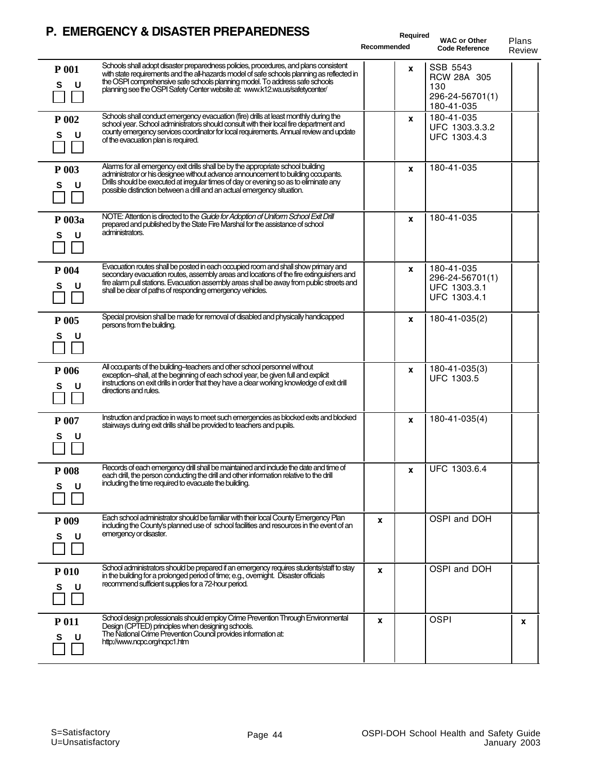### **P. EMERGENCY & DISASTER PREPAREDNESS**

|                        | P. EMERGENCT & DISASTER PREPAREDNESS                                                                                                                                                                                                                                                                                                             | Required<br>Recommended | <b>WAC or Other</b><br><b>Code Reference</b>                    | Plans<br>Review |
|------------------------|--------------------------------------------------------------------------------------------------------------------------------------------------------------------------------------------------------------------------------------------------------------------------------------------------------------------------------------------------|-------------------------|-----------------------------------------------------------------|-----------------|
| <b>P</b> 001<br>S<br>U | Schools shall adopt disaster preparedness policies, procedures, and plans consistent<br>with state requirements and the all-hazards model of safe schools planning as reflected in<br>the OSPI comprehensive safe schools planning model. To address safe schools<br>planning see the OSPI Safety Center website at: www.k12.wa.us/safetycenter/ | x                       | SSB 5543<br>RCW 28A 305<br>130<br>296-24-56701(1)<br>180-41-035 |                 |
| P 002<br>s<br>U        | Schools shall conduct emergency evacuation (fire) drills at least monthly during the<br>school year. School administrators should consult with their local fire department and<br>county emergency services coordinator for local requirements. Annual review and update<br>of the evacuation plan is required.                                  | x                       | 180-41-035<br>UFC 1303.3.3.2<br>UFC 1303.4.3                    |                 |
| P 003<br>s<br>υ        | Alarms for all emergency exit drills shall be by the appropriate school building<br>administrator or his designee without advance announcement to building occupants.<br>Drills should be executed at irregular times of day or evening so as to eliminate any<br>possible distinction between a drill and an actual emergency situation.        | x                       | 180-41-035                                                      |                 |
| P 003a<br>S<br>U       | NOTE: Attention is directed to the Guide for Adoption of Uniform School Exit Drill<br>prepared and published by the State Fire Marshal for the assistance of school<br>administrators.                                                                                                                                                           | X                       | 180-41-035                                                      |                 |
| P 004<br>s<br>U        | Evacuation routes shall be posted in each occupied room and shall show primary and<br>secondary evacuation routes, assembly areas and locations of the fire extinguishers and<br>fire alarm pull stations. Evacuation assembly areas shall be away from public streets and<br>shall be clear of paths of responding emergency vehicles.          | X                       | 180-41-035<br>296-24-56701(1)<br>UFC 1303.3.1<br>UFC 1303.4.1   |                 |
| P 005<br>s<br>U        | Special provision shall be made for removal of disabled and physically handicapped<br>persons from the building.                                                                                                                                                                                                                                 | X                       | 180-41-035(2)                                                   |                 |
| P 006<br>s             | All occupants of the building-teachers and other school personnel without<br>exception-shall, at the beginning of each school year, be given full and explicit<br>instructions on exit drills in order that they have a clear working knowledge of exit drill<br>directions and rules.                                                           | x                       | 180-41-035(3)<br><b>UFC 1303.5</b>                              |                 |
| P 007<br>U<br>s        | Instruction and practice in ways to meet such emergencies as blocked exits and blocked<br>stairways during exit drills shall be provided to teachers and pupils.                                                                                                                                                                                 | x                       | 180-41-035(4)                                                   |                 |
| P 008<br>s<br>U        | Records of each emergency drill shall be maintained and include the date and time of<br>each drill, the person conducting the drill and other information relative to the drill<br>including the time required to evacuate the building.                                                                                                         | $\mathbf{x}$            | UFC 1303.6.4                                                    |                 |
| <b>P</b> 009<br>S<br>U | Each school administrator should be familiar with their local County Emergency Plan<br>including the County's planned use of school facilities and resources in the event of an<br>emergency or disaster.                                                                                                                                        | X                       | OSPI and DOH                                                    |                 |
| P 010<br>U<br>s        | School administrators should be prepared if an emergency requires students/staff to stay<br>in the building for a prolonged period of time; e.g., overnight. Disaster officials<br>recommend sufficient supplies for a 72-hour period.                                                                                                           | X                       | OSPI and DOH                                                    |                 |
| P 011<br>s             | School design professionals should employ Crime Prevention Through Environmental<br>Design (CPTED) principles when designing schools.<br>The National Crime Prevention Council provides information at:<br>http://www.napc.org/napc1.htm                                                                                                         | x                       | <b>OSPI</b>                                                     | X               |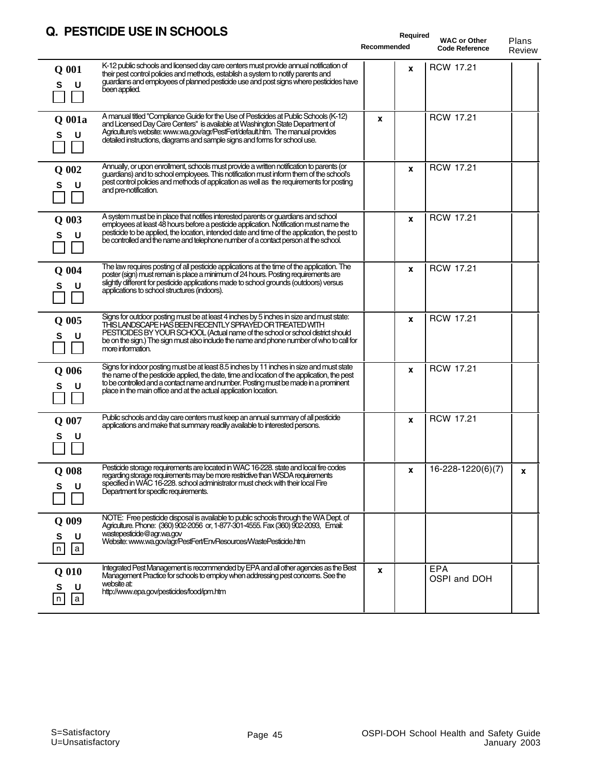## **Q. PESTICIDE USE IN SCHOOLS**

| Q. PESTICIDE USE IN SCHOOLS                                                                                                                                                                                                                                                                                                                                                            | Recommended | Required     | <b>WAC or Other</b><br><b>Code Reference</b> | Plans<br>Review |
|----------------------------------------------------------------------------------------------------------------------------------------------------------------------------------------------------------------------------------------------------------------------------------------------------------------------------------------------------------------------------------------|-------------|--------------|----------------------------------------------|-----------------|
| K-12 public schools and licensed day care centers must provide annual notification of<br>Q 001<br>their pest control policies and methods, establish a system to notify parents and<br>guardians and employees of planned pesticide use and post signs where pesticides have<br>s<br>U<br>been applied.                                                                                |             | $\mathbf{x}$ | <b>RCW 17.21</b>                             |                 |
| A manual titled "Compliance Guide for the Use of Pesticides at Public Schools (K-12)<br>Q 001a<br>and Licensed Day Care Centers" is available at Washington State Department of<br>Agriculture's website: www.wa.gov/agr/PestFert/default.htm. The manual provides<br>U<br>s<br>detailed instructions, diagrams and sample signs and forms for school use.                             | x           |              | <b>RCW 17.21</b>                             |                 |
| Annually, or upon enrollment, schools must provide a written notification to parents (or<br>Q 002<br>guardians) and to school employees. This notification must inform them of the school's<br>pest control policies and methods of application as well as the requirements for posting<br>S<br>U<br>and pre-notification.                                                             |             | X            | <b>RCW 17.21</b>                             |                 |
| A system must be in place that notifies interested parents or guardians and school<br>Q 003<br>employees at least 48 hours before a pesticide application. Notification must name the<br>pesticide to be applied, the location, intended date and time of the application, the pest to<br>U<br>s<br>be controlled and the name and telephone number of a contact person at the school. |             | X            | <b>RCW 17.21</b>                             |                 |
| The law requires posting of all pesticide applications at the time of the application. The<br>Q 004<br>poster (sign) must remain is place a minimum of 24 hours. Posting requirements are<br>slightly different for pesticide applications made to school grounds (outdoors) versus<br>S<br>U<br>applications to school structures (indoors).                                          |             | $\mathbf{x}$ | <b>RCW 17.21</b>                             |                 |
| Signs for outdoor posting must be at least 4 inches by 5 inches in size and must state:<br>Q 005<br>THIS LANDSCAPE HAS BEEN RECENTLY SPRAYED OR TREATED WITH<br>PESTICIDES BY YOUR SCHOOL (Actual name of the school or school district should<br>S<br>U<br>be on the sign.) The sign must also include the name and phone number of who to call for<br>more information.              |             | $\mathbf x$  | <b>RCW 17.21</b>                             |                 |
| Signs for indoor posting must be at least 8.5 inches by 11 inches in size and must state<br>$Q$ 006<br>the name of the pesticide applied, the date, time and location of the application, the pest<br>to be controlled and a contact name and number. Posting must be made in a prominent<br>U<br>place in the main office and at the actual application location.                     |             | X            | <b>RCW 17.21</b>                             |                 |
| Public schools and day care centers must keep an annual summary of all pesticide<br>Q 007<br>applications and make that summary readily available to interested persons.<br>U                                                                                                                                                                                                          |             | X            | <b>RCW 17.21</b>                             |                 |
| Pesticide storage requirements are located in WAC 16-228. state and local fire codes<br>$Q$ 008<br>regarding storage requirements may be more restrictive than WSDA requirements<br>specified in WAC 16-228. school administrator must check with their local Fire<br>U<br>Department for specific requirements.                                                                       |             | x            | 16-228-1220(6)(7)                            | X               |
| NOTE: Free pesticide disposal is available to public schools through the WA Dept. of<br>Q 009<br>Agriculture. Phone: (360) 902-2056 or, 1-877-301-4555. Fax (360) 902-2093, Email:<br>wastepesticide@agr.wa.gov<br>S<br>U<br>Website: www.wa.gov/agr/PestFert/EnvResources/WastePesticide.htm<br> a <br>n                                                                              |             |              |                                              |                 |
| Integrated Pest Management is recommended by EPA and all other agencies as the Best<br>$Q$ 010<br>Management Practice for schools to employ when addressing pest concerns. See the<br>website at:<br>S<br>U<br>http://www.epa.gov/pesticides/food/ipm.htm<br>  a  <br>n                                                                                                                | X           |              | <b>EPA</b><br>OSPI and DOH                   |                 |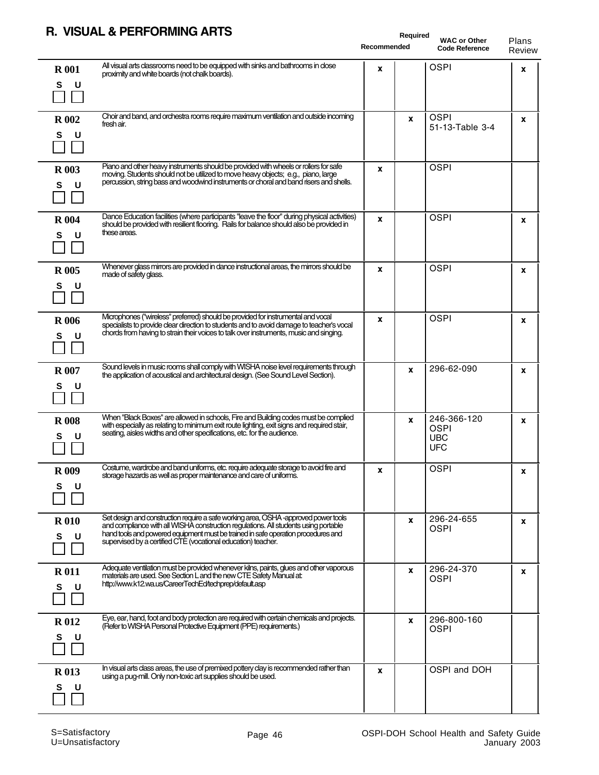#### **R. VISUAL & PERFORMING ARTS**

|                        | VISUAL & FLNI UNIIIING ANTS                                                                                                                                                                                                                                                                                                      | <b>Recommended</b> | Required | <b>WAC or Other</b><br><b>Code Reference</b>           | Plans<br>Review |
|------------------------|----------------------------------------------------------------------------------------------------------------------------------------------------------------------------------------------------------------------------------------------------------------------------------------------------------------------------------|--------------------|----------|--------------------------------------------------------|-----------------|
| <b>R</b> 001<br>S<br>U | All visual arts classrooms need to be equipped with sinks and bathrooms in close<br>proximity and white boards (not chalk boards).                                                                                                                                                                                               | x                  |          | <b>OSPI</b>                                            | x               |
| <b>R</b> 002<br>s<br>U | Choir and band, and orchestra rooms require maximum ventilation and outside incoming<br>fresh air.                                                                                                                                                                                                                               |                    | X        | <b>OSPI</b><br>51-13-Table 3-4                         | x               |
| <b>R</b> 003<br>S<br>U | Piano and other heavy instruments should be provided with wheels or rollers for safe<br>moving. Students should not be utilized to move heavy objects; e.g., piano, large<br>percussion, string bass and woodwind instruments or choral and band risers and shells.                                                              | x                  |          | <b>OSPI</b>                                            |                 |
| <b>R</b> 004<br>s<br>U | Dance Education facilities (where participants "leave the floor" during physical activities)<br>should be provided with resilient flooring. Rails for balance should also be provided in<br>these areas.                                                                                                                         | X                  |          | <b>OSPI</b>                                            | X               |
| <b>R</b> 005<br>s<br>U | Whenever glass mirrors are provided in dance instructional areas, the mirrors should be<br>made of safety glass.                                                                                                                                                                                                                 | X                  |          | <b>OSPI</b>                                            | x               |
| <b>R</b> 006<br>U<br>s | Microphones ("wireless" preferred) should be provided for instrumental and vocal<br>specialists to provide clear direction to students and to avoid damage to teacher's vocal<br>chords from having to strain their voices to talk over instruments, music and singing.                                                          | X                  |          | <b>OSPI</b>                                            | X               |
| <b>R</b> 007<br>S<br>υ | Sound levels in music rooms shall comply with WISHA noise level requirements through<br>the application of acoustical and architectural design. (See Sound Level Section).                                                                                                                                                       |                    | x        | 296-62-090                                             | X               |
| <b>R</b> 008<br>S<br>U | When "Black Boxes" are allowed in schools, Fire and Building codes must be complied<br>with especially as relating to minimum exit route lighting, exit signs and required stair,<br>seating, aisles widths and other specifications, etc. for the audience.                                                                     |                    | X        | 246-366-120<br><b>OSPI</b><br><b>UBC</b><br><b>UFC</b> | X               |
| <b>R</b> 009<br>S<br>U | Costume, wardrobe and band uniforms, etc. require adequate storage to avoid fire and<br>storage hazards as well as proper maintenance and care of uniforms.                                                                                                                                                                      | x                  |          | <b>OSPI</b>                                            | x               |
| <b>R010</b><br>S<br>U  | Set design and construction require a safe working area, OSHA -approved power tools<br>and compliance with all WISHA construction regulations. All students using portable<br>hand tools and powered equipment must be trained in safe operation procedures and<br>supervised by a certified CTE (vocational education) teacher. |                    | x        | 296-24-655<br><b>OSPI</b>                              | x               |
| <b>R011</b><br>s<br>U  | Adequate ventilation must be provided whenever kilns, paints, glues and other vaporous<br>materials are used. See Section L and the new CTE Safety Manual at:<br>http://www.k12.wa.us/CareerTechEd/techprep/default.asp                                                                                                          |                    | X        | 296-24-370<br><b>OSPI</b>                              | X               |
| <b>R012</b><br>S<br>υ  | Eye, ear, hand, foot and body protection are required with certain chemicals and projects.<br>(Refer to WISHA Personal Protective Equipment (PPE) requirements.)                                                                                                                                                                 |                    | X        | 296-800-160<br><b>OSPI</b>                             |                 |
| <b>R013</b><br>s<br>υ  | In visual arts class areas, the use of premixed pottery clay is recommended rather than<br>using a pug-mill. Only non-toxic art supplies should be used.                                                                                                                                                                         | X                  |          | OSPI and DOH                                           |                 |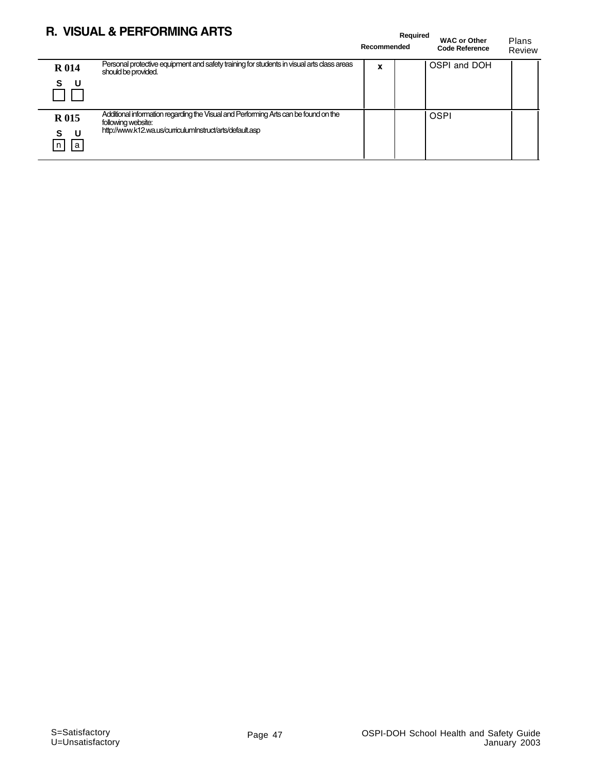## **R. VISUAL & PERFORMING ARTS**

|                            | R. VISUAL & PERFORMING ARTS                                                                                                                                           | Recommended | Required | <b>WAC or Other</b><br><b>Code Reference</b> | Plans<br>Review |
|----------------------------|-----------------------------------------------------------------------------------------------------------------------------------------------------------------------|-------------|----------|----------------------------------------------|-----------------|
| <b>R014</b><br>- U<br>S    | Personal protective equipment and safety training for students in visual arts class areas<br>should be provided.                                                      | x           |          | OSPI and DOH                                 |                 |
| <b>R015</b><br>S<br>a<br>n | Additional information regarding the Visual and Performing Arts can be found on the<br>following website:<br>http://www.k12.wa.us/curriculumInstruct/arts/default.asp |             |          | <b>OSPI</b>                                  |                 |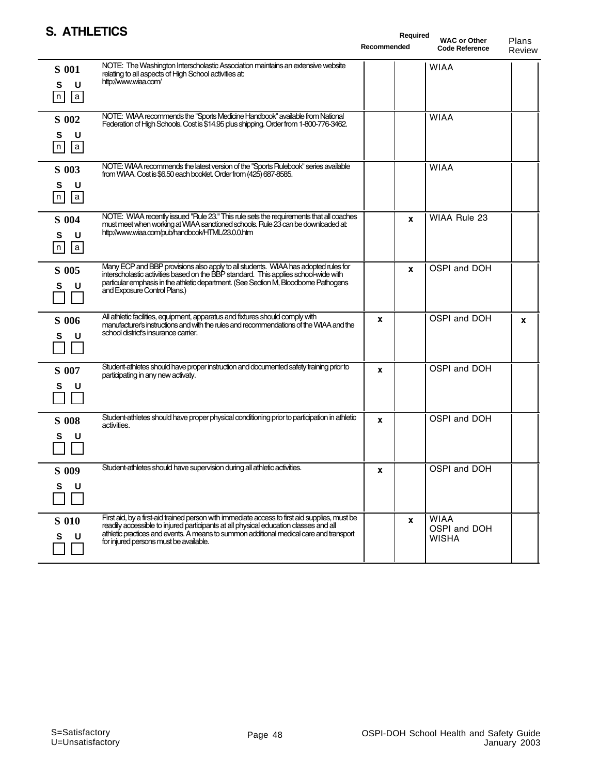| <b>S. ATHLETICS</b>                 |                                                                                                                                                                                                                                                                                                                           | Recommended | Required | <b>WAC or Other</b><br><b>Code Reference</b> | Plans<br>Review |
|-------------------------------------|---------------------------------------------------------------------------------------------------------------------------------------------------------------------------------------------------------------------------------------------------------------------------------------------------------------------------|-------------|----------|----------------------------------------------|-----------------|
| <b>S</b> 001<br>U<br>S<br> a <br> n | NOTE: The Washington Interscholastic Association maintains an extensive website<br>relating to all aspects of High School activities at:<br>http://www.wiaa.com/                                                                                                                                                          |             |          | <b>WIAA</b>                                  |                 |
| S 002<br>U<br>S<br> a <br> n        | NOTE: WIAA recommends the "Sports Medicine Handbook" available from National<br>Federation of High Schools. Cost is \$14.95 plus shipping. Order from 1-800-776-3462.                                                                                                                                                     |             |          | <b>WIAA</b>                                  |                 |
| S 003<br>U<br>S<br> a <br>n         | NOTE: WIAA recommends the latest version of the "Sports Rulebook" series available<br>from WIAA. Cost is \$6.50 each booklet. Order from (425) 687-8585.                                                                                                                                                                  |             |          | <b>WIAA</b>                                  |                 |
| S 004<br>U<br>s<br> a <br> n        | NOTE: WIAA recently issued "Rule 23." This rule sets the requirements that all coaches<br>must meet when working at WIAA sanctioned schools. Rule 23 can be downloaded at:<br>http://www.wiaa.com/pub/handbook/HTML/23.0.0.htm                                                                                            |             | X        | WIAA Rule 23                                 |                 |
| S 005<br>U<br>s                     | Many ECP and BBP provisions also apply to all students. WIAA has adopted rules for<br>interscholastic activities based on the BBP standard. This applies school wide with<br>particular emphasis in the athletic department. (See Section M, Bloodborne Pathogens<br>and Exposure Control Plans.)                         |             | X        | OSPI and DOH                                 |                 |
| S 006<br>s<br>U                     | All athletic facilities, equipment, apparatus and fixtures should comply with<br>manufacturer's instructions and with the rules and recommendations of the WIAA and the<br>school district's insurance carrier.                                                                                                           | x           |          | OSPI and DOH                                 | X               |
| S 007<br>s<br>U                     | Student-athletes should have proper instruction and documented safety training prior to<br>participating in any new activaty.                                                                                                                                                                                             | X           |          | OSPI and DOH                                 |                 |
| <b>S</b> 008                        | Student-athletes should have proper physical conditioning prior to participation in athletic<br>activities.                                                                                                                                                                                                               | $\mathbf x$ |          | OSPI and DOH                                 |                 |
| S 009<br>S<br>U                     | Student-athletes should have supervision during all athletic activities.                                                                                                                                                                                                                                                  | x           |          | OSPI and DOH                                 |                 |
| <b>S</b> 010<br>U                   | First aid, by a first-aid trained person with immediate access to first aid supplies, must be<br>readily accessible to injured participants at all physical education classes and all<br>athletic practices and events. A means to summon additional medical care and transport<br>for injured persons must be available. |             | X        | <b>WIAA</b><br>OSPI and DOH<br>WISHA         |                 |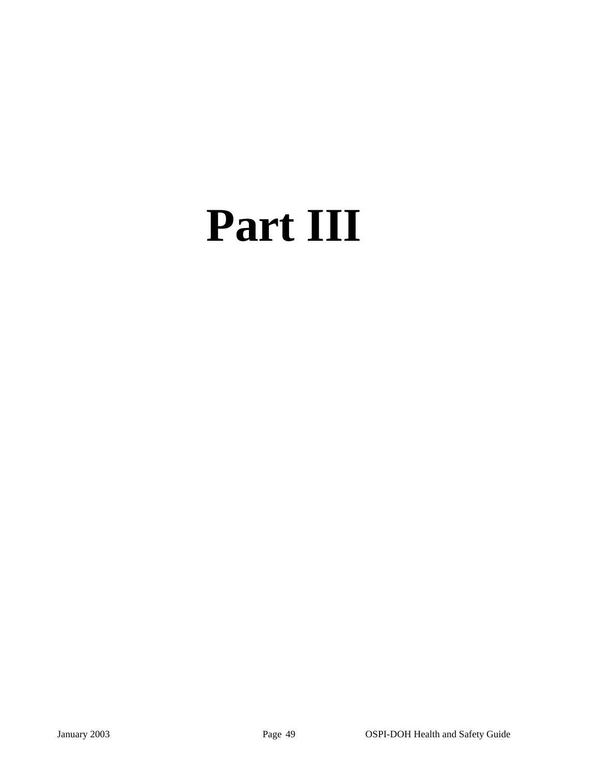# **Part III**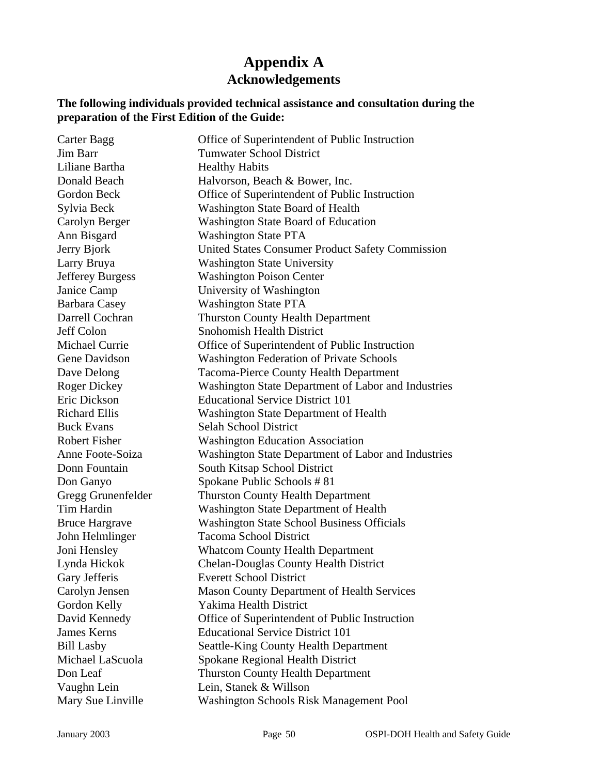## **Appendix A Acknowledgements**

#### **The following individuals provided technical assistance and consultation during the preparation of the First Edition of the Guide:**

| Carter Bagg             | Office of Superintendent of Public Instruction          |
|-------------------------|---------------------------------------------------------|
| Jim Barr                | <b>Tumwater School District</b>                         |
| Liliane Bartha          | <b>Healthy Habits</b>                                   |
| Donald Beach            | Halvorson, Beach & Bower, Inc.                          |
| Gordon Beck             | Office of Superintendent of Public Instruction          |
| Sylvia Beck             | Washington State Board of Health                        |
| Carolyn Berger          | Washington State Board of Education                     |
| Ann Bisgard             | <b>Washington State PTA</b>                             |
| Jerry Bjork             | <b>United States Consumer Product Safety Commission</b> |
| Larry Bruya             | <b>Washington State University</b>                      |
| <b>Jefferey Burgess</b> | <b>Washington Poison Center</b>                         |
| Janice Camp             | University of Washington                                |
| <b>Barbara Casey</b>    | <b>Washington State PTA</b>                             |
| Darrell Cochran         | <b>Thurston County Health Department</b>                |
| Jeff Colon              | <b>Snohomish Health District</b>                        |
| <b>Michael Currie</b>   | Office of Superintendent of Public Instruction          |
| Gene Davidson           | <b>Washington Federation of Private Schools</b>         |
| Dave Delong             | <b>Tacoma-Pierce County Health Department</b>           |
| <b>Roger Dickey</b>     | Washington State Department of Labor and Industries     |
| Eric Dickson            | <b>Educational Service District 101</b>                 |
| <b>Richard Ellis</b>    | Washington State Department of Health                   |
| <b>Buck Evans</b>       | Selah School District                                   |
| <b>Robert Fisher</b>    | <b>Washington Education Association</b>                 |
| Anne Foote-Soiza        | Washington State Department of Labor and Industries     |
| Donn Fountain           | South Kitsap School District                            |
| Don Ganyo               | Spokane Public Schools #81                              |
| Gregg Grunenfelder      | <b>Thurston County Health Department</b>                |
| Tim Hardin              | <b>Washington State Department of Health</b>            |
| <b>Bruce Hargrave</b>   | <b>Washington State School Business Officials</b>       |
| John Helmlinger         | <b>Tacoma School District</b>                           |
| Joni Hensley            | <b>Whatcom County Health Department</b>                 |
| Lynda Hickok            | <b>Chelan-Douglas County Health District</b>            |
| Gary Jefferis           | <b>Everett School District</b>                          |
| Carolyn Jensen          | <b>Mason County Department of Health Services</b>       |
| Gordon Kelly            | Yakima Health District                                  |
| David Kennedy           | Office of Superintendent of Public Instruction          |
| <b>James Kerns</b>      | <b>Educational Service District 101</b>                 |
| <b>Bill Lasby</b>       | <b>Seattle-King County Health Department</b>            |
| Michael LaScuola        | <b>Spokane Regional Health District</b>                 |
| Don Leaf                | <b>Thurston County Health Department</b>                |
| Vaughn Lein             | Lein, Stanek & Willson                                  |
| Mary Sue Linville       | <b>Washington Schools Risk Management Pool</b>          |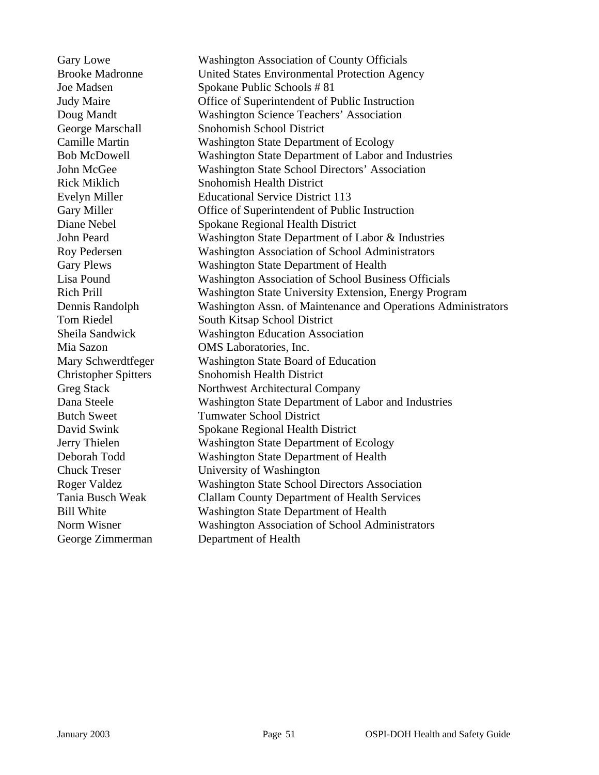Gary Lowe Washington Association of County Officials Brooke Madronne United States Environmental Protection Agency Joe Madsen Spokane Public Schools # 81 Judy Maire Office of Superintendent of Public Instruction Doug Mandt Washington Science Teachers' Association George Marschall Snohomish School District Camille Martin Washington State Department of Ecology Bob McDowell Washington State Department of Labor and Industries John McGee Washington State School Directors' Association Rick Miklich Snohomish Health District Evelyn Miller Educational Service District 113 Gary Miller **Cary Miller** Office of Superintendent of Public Instruction Diane Nebel Spokane Regional Health District John Peard Washington State Department of Labor & Industries Roy Pedersen Washington Association of School Administrators Gary Plews Washington State Department of Health Lisa Pound Washington Association of School Business Officials Rich Prill Washington State University Extension, Energy Program Dennis Randolph Washington Assn. of Maintenance and Operations Administrators Tom Riedel South Kitsap School District Sheila Sandwick Washington Education Association Mia Sazon OMS Laboratories, Inc. Mary Schwerdtfeger Washington State Board of Education Christopher Spitters Snohomish Health District Greg Stack Northwest Architectural Company Dana Steele Washington State Department of Labor and Industries Butch Sweet Tumwater School District David Swink Spokane Regional Health District Jerry Thielen Washington State Department of Ecology Deborah Todd Washington State Department of Health Chuck Treser University of Washington Roger Valdez Washington State School Directors Association Tania Busch Weak Clallam County Department of Health Services Bill White Washington State Department of Health Norm Wisner Washington Association of School Administrators George Zimmerman Department of Health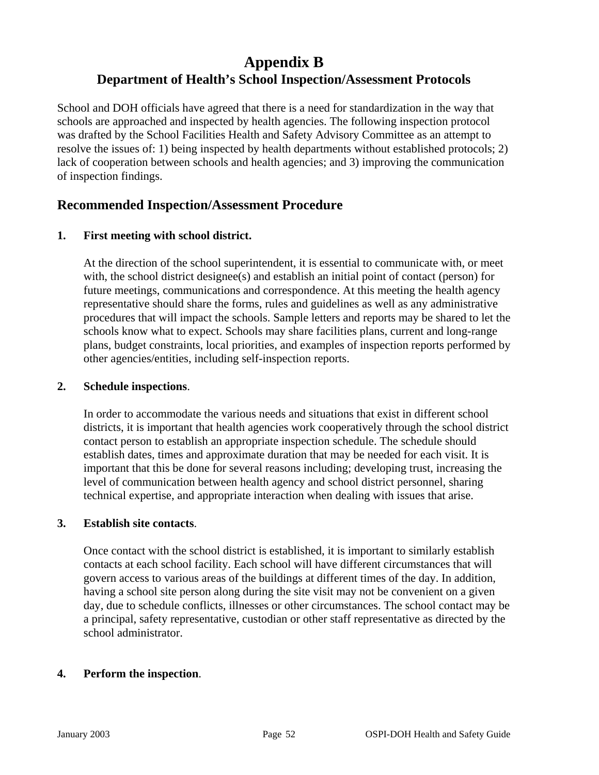## **Appendix B Department of Health's School Inspection/Assessment Protocols**

School and DOH officials have agreed that there is a need for standardization in the way that schools are approached and inspected by health agencies. The following inspection protocol was drafted by the School Facilities Health and Safety Advisory Committee as an attempt to resolve the issues of: 1) being inspected by health departments without established protocols; 2) lack of cooperation between schools and health agencies; and 3) improving the communication of inspection findings.

#### **Recommended Inspection/Assessment Procedure**

#### **1. First meeting with school district.**

At the direction of the school superintendent, it is essential to communicate with, or meet with, the school district designee(s) and establish an initial point of contact (person) for future meetings, communications and correspondence. At this meeting the health agency representative should share the forms, rules and guidelines as well as any administrative procedures that will impact the schools. Sample letters and reports may be shared to let the schools know what to expect. Schools may share facilities plans, current and long-range plans, budget constraints, local priorities, and examples of inspection reports performed by other agencies/entities, including self-inspection reports.

#### **2. Schedule inspections**.

In order to accommodate the various needs and situations that exist in different school districts, it is important that health agencies work cooperatively through the school district contact person to establish an appropriate inspection schedule. The schedule should establish dates, times and approximate duration that may be needed for each visit. It is important that this be done for several reasons including; developing trust, increasing the level of communication between health agency and school district personnel, sharing technical expertise, and appropriate interaction when dealing with issues that arise.

#### **3. Establish site contacts**.

Once contact with the school district is established, it is important to similarly establish contacts at each school facility. Each school will have different circumstances that will govern access to various areas of the buildings at different times of the day. In addition, having a school site person along during the site visit may not be convenient on a given day, due to schedule conflicts, illnesses or other circumstances. The school contact may be a principal, safety representative, custodian or other staff representative as directed by the school administrator.

#### **4. Perform the inspection**.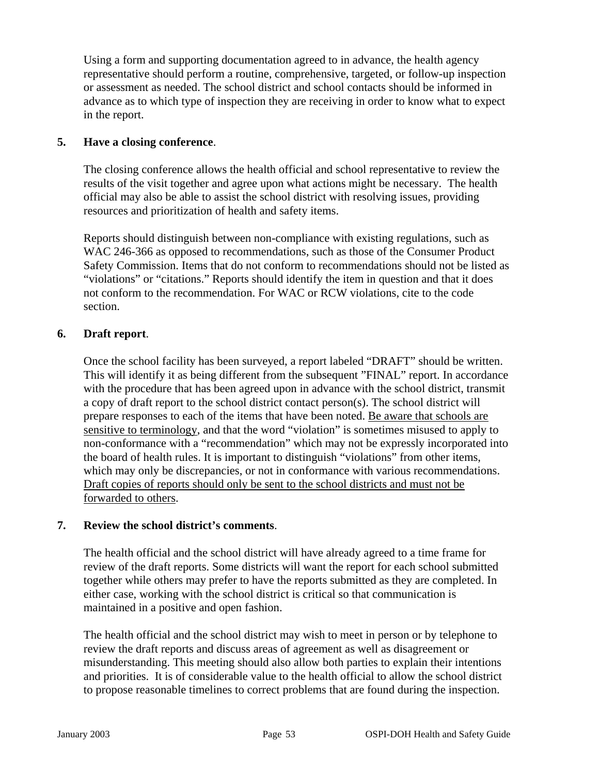Using a form and supporting documentation agreed to in advance, the health agency representative should perform a routine, comprehensive, targeted, or follow-up inspection or assessment as needed. The school district and school contacts should be informed in advance as to which type of inspection they are receiving in order to know what to expect in the report.

#### **5. Have a closing conference**.

The closing conference allows the health official and school representative to review the results of the visit together and agree upon what actions might be necessary. The health official may also be able to assist the school district with resolving issues, providing resources and prioritization of health and safety items.

Reports should distinguish between non-compliance with existing regulations, such as WAC 246-366 as opposed to recommendations, such as those of the Consumer Product Safety Commission. Items that do not conform to recommendations should not be listed as "violations" or "citations." Reports should identify the item in question and that it does not conform to the recommendation. For WAC or RCW violations, cite to the code section.

#### **6. Draft report**.

Once the school facility has been surveyed, a report labeled "DRAFT" should be written. This will identify it as being different from the subsequent "FINAL" report. In accordance with the procedure that has been agreed upon in advance with the school district, transmit a copy of draft report to the school district contact person(s). The school district will prepare responses to each of the items that have been noted. Be aware that schools are sensitive to terminology, and that the word "violation" is sometimes misused to apply to non-conformance with a "recommendation" which may not be expressly incorporated into the board of health rules. It is important to distinguish "violations" from other items, which may only be discrepancies, or not in conformance with various recommendations. Draft copies of reports should only be sent to the school districts and must not be forwarded to others.

#### **7. Review the school district's comments**.

The health official and the school district will have already agreed to a time frame for review of the draft reports. Some districts will want the report for each school submitted together while others may prefer to have the reports submitted as they are completed. In either case, working with the school district is critical so that communication is maintained in a positive and open fashion.

The health official and the school district may wish to meet in person or by telephone to review the draft reports and discuss areas of agreement as well as disagreement or misunderstanding. This meeting should also allow both parties to explain their intentions and priorities. It is of considerable value to the health official to allow the school district to propose reasonable timelines to correct problems that are found during the inspection.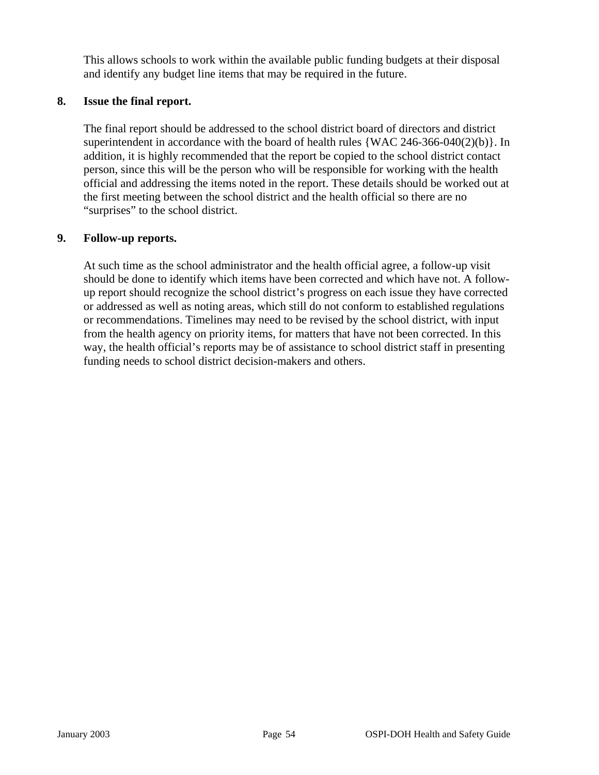This allows schools to work within the available public funding budgets at their disposal and identify any budget line items that may be required in the future.

#### **8. Issue the final report.**

The final report should be addressed to the school district board of directors and district superintendent in accordance with the board of health rules  $\{WAC\,246-366-040(2)(b)\}\$ . In addition, it is highly recommended that the report be copied to the school district contact person, since this will be the person who will be responsible for working with the health official and addressing the items noted in the report. These details should be worked out at the first meeting between the school district and the health official so there are no "surprises" to the school district.

#### **9. Follow-up reports.**

At such time as the school administrator and the health official agree, a follow-up visit should be done to identify which items have been corrected and which have not. A followup report should recognize the school district's progress on each issue they have corrected or addressed as well as noting areas, which still do not conform to established regulations or recommendations. Timelines may need to be revised by the school district, with input from the health agency on priority items, for matters that have not been corrected. In this way, the health official's reports may be of assistance to school district staff in presenting funding needs to school district decision-makers and others.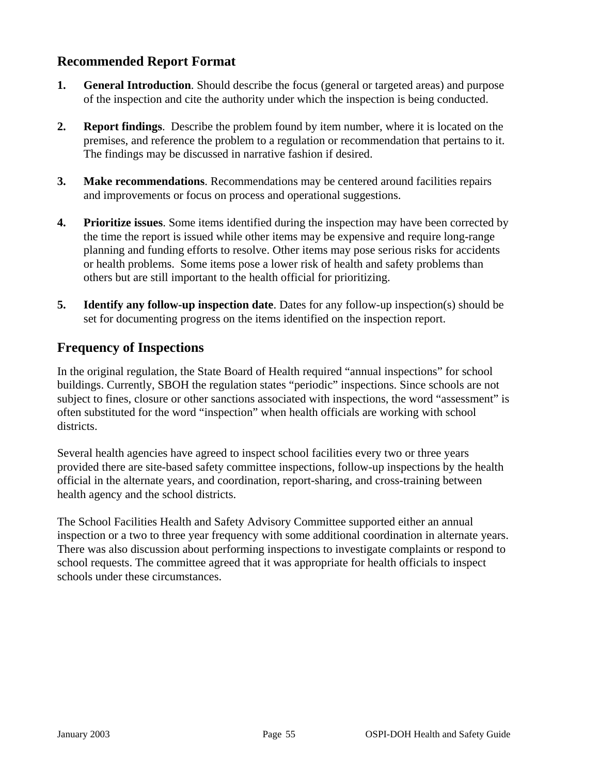## **Recommended Report Format**

- **1. General Introduction**. Should describe the focus (general or targeted areas) and purpose of the inspection and cite the authority under which the inspection is being conducted.
- **2. Report findings**. Describe the problem found by item number, where it is located on the premises, and reference the problem to a regulation or recommendation that pertains to it. The findings may be discussed in narrative fashion if desired.
- **3. Make recommendations**. Recommendations may be centered around facilities repairs and improvements or focus on process and operational suggestions.
- **4. Prioritize issues**. Some items identified during the inspection may have been corrected by the time the report is issued while other items may be expensive and require long-range planning and funding efforts to resolve. Other items may pose serious risks for accidents or health problems. Some items pose a lower risk of health and safety problems than others but are still important to the health official for prioritizing.
- **5. Identify any follow-up inspection date**. Dates for any follow-up inspection(s) should be set for documenting progress on the items identified on the inspection report.

## **Frequency of Inspections**

In the original regulation, the State Board of Health required "annual inspections" for school buildings. Currently, SBOH the regulation states "periodic" inspections. Since schools are not subject to fines, closure or other sanctions associated with inspections, the word "assessment" is often substituted for the word "inspection" when health officials are working with school districts.

Several health agencies have agreed to inspect school facilities every two or three years provided there are site-based safety committee inspections, follow-up inspections by the health official in the alternate years, and coordination, report-sharing, and cross-training between health agency and the school districts.

The School Facilities Health and Safety Advisory Committee supported either an annual inspection or a two to three year frequency with some additional coordination in alternate years. There was also discussion about performing inspections to investigate complaints or respond to school requests. The committee agreed that it was appropriate for health officials to inspect schools under these circumstances.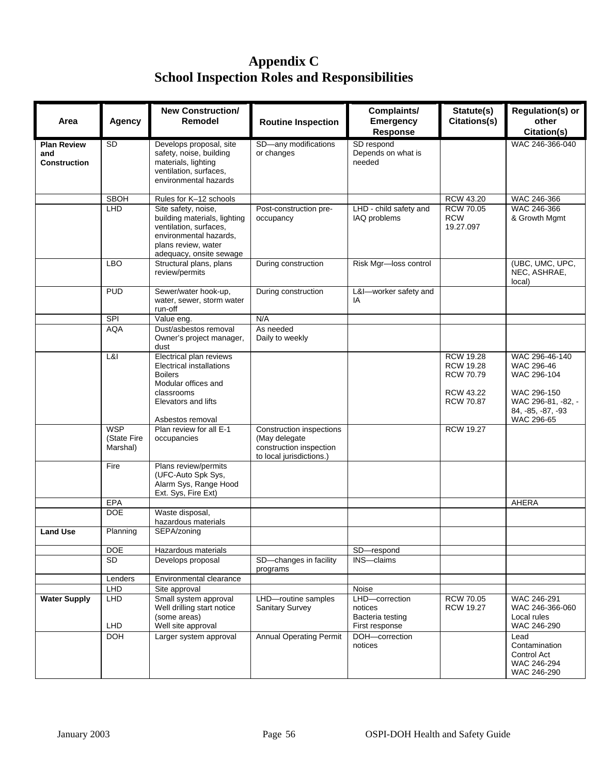## **Appendix C School Inspection Roles and Responsibilities**

| Area                                             | <b>Agency</b>                         | <b>New Construction/</b><br>Remodel                                                                                                                       | <b>Routine Inspection</b>                                                                        | Complaints/<br><b>Emergency</b><br><b>Response</b>     | Statute(s)<br>Citations(s)                                                                | <b>Regulation(s) or</b><br>other<br>Citation(s)                                                       |
|--------------------------------------------------|---------------------------------------|-----------------------------------------------------------------------------------------------------------------------------------------------------------|--------------------------------------------------------------------------------------------------|--------------------------------------------------------|-------------------------------------------------------------------------------------------|-------------------------------------------------------------------------------------------------------|
| <b>Plan Review</b><br>and<br><b>Construction</b> | <b>SD</b>                             | Develops proposal, site<br>safety, noise, building<br>materials, lighting<br>ventilation, surfaces,<br>environmental hazards                              | SD-any modifications<br>or changes                                                               | SD respond<br>Depends on what is<br>needed             |                                                                                           | WAC 246-366-040                                                                                       |
|                                                  | <b>SBOH</b>                           | Rules for K-12 schools                                                                                                                                    |                                                                                                  |                                                        | RCW 43.20                                                                                 | WAC 246-366                                                                                           |
|                                                  | LHD                                   | Site safety, noise,<br>building materials, lighting<br>ventilation, surfaces,<br>environmental hazards,<br>plans review, water<br>adequacy, onsite sewage | Post-construction pre-<br>occupancy                                                              | LHD - child safety and<br>IAQ problems                 | <b>RCW 70.05</b><br><b>RCW</b><br>19.27.097                                               | WAC 246-366<br>& Growth Mgmt                                                                          |
|                                                  | <b>LBO</b>                            | Structural plans, plans<br>review/permits                                                                                                                 | During construction                                                                              | Risk Mgr-loss control                                  |                                                                                           | (UBC, UMC, UPC,<br>NEC, ASHRAE,<br>local)                                                             |
|                                                  | <b>PUD</b>                            | Sewer/water hook-up,<br>water, sewer, storm water<br>run-off                                                                                              | During construction                                                                              | L&I-worker safety and<br>IA                            |                                                                                           |                                                                                                       |
|                                                  | SPI                                   | Value eng.                                                                                                                                                | N/A                                                                                              |                                                        |                                                                                           |                                                                                                       |
|                                                  | <b>AQA</b>                            | Dust/asbestos removal<br>Owner's project manager,<br>dust                                                                                                 | As needed<br>Daily to weekly                                                                     |                                                        |                                                                                           |                                                                                                       |
|                                                  | L&I                                   | Electrical plan reviews<br><b>Electrical installations</b><br><b>Boilers</b><br>Modular offices and<br>classrooms<br>Elevators and lifts                  |                                                                                                  |                                                        | <b>RCW 19.28</b><br><b>RCW 19.28</b><br><b>RCW 70.79</b><br>RCW 43.22<br><b>RCW 70.87</b> | WAC 296-46-140<br>WAC 296-46<br>WAC 296-104<br>WAC 296-150<br>WAC 296-81, -82, -<br>84, -85, -87, -93 |
|                                                  | <b>WSP</b><br>(State Fire<br>Marshal) | Asbestos removal<br>Plan review for all E-1<br>occupancies                                                                                                | Construction inspections<br>(May delegate<br>construction inspection<br>to local jurisdictions.) |                                                        | <b>RCW 19.27</b>                                                                          | WAC 296-65                                                                                            |
|                                                  | Fire                                  | Plans review/permits<br>(UFC-Auto Spk Sys,<br>Alarm Sys, Range Hood<br>Ext. Sys, Fire Ext)                                                                |                                                                                                  |                                                        |                                                                                           |                                                                                                       |
|                                                  | EPA                                   |                                                                                                                                                           |                                                                                                  |                                                        |                                                                                           | <b>AHERA</b>                                                                                          |
| <b>Land Use</b>                                  | <b>DOE</b><br>Planning                | Waste disposal,<br>hazardous materials<br>SEPA/zoning                                                                                                     |                                                                                                  |                                                        |                                                                                           |                                                                                                       |
|                                                  |                                       |                                                                                                                                                           |                                                                                                  |                                                        |                                                                                           |                                                                                                       |
|                                                  | <b>DOE</b>                            | Hazardous materials                                                                                                                                       |                                                                                                  | SD-respond                                             |                                                                                           |                                                                                                       |
|                                                  | <b>SD</b>                             | Develops proposal                                                                                                                                         | SD-changes in facility<br>programs                                                               | INS-claims                                             |                                                                                           |                                                                                                       |
|                                                  | Lenders                               | Environmental clearance                                                                                                                                   |                                                                                                  |                                                        |                                                                                           |                                                                                                       |
| <b>Water Supply</b>                              | LHD<br><b>LHD</b>                     | Site approval<br>Small system approval<br>Well drilling start notice<br>(some areas)                                                                      | LHD-routine samples<br>Sanitary Survey                                                           | Noise<br>LHD-correction<br>notices<br>Bacteria testing | <b>RCW 70.05</b><br><b>RCW 19.27</b>                                                      | WAC 246-291<br>WAC 246-366-060<br>Local rules                                                         |
|                                                  | <b>LHD</b>                            | Well site approval                                                                                                                                        |                                                                                                  | First response                                         |                                                                                           | WAC 246-290                                                                                           |
|                                                  | <b>DOH</b>                            | Larger system approval                                                                                                                                    | <b>Annual Operating Permit</b>                                                                   | DOH-correction<br>notices                              |                                                                                           | Lead<br>Contamination<br>Control Act<br>WAC 246-294<br>WAC 246-290                                    |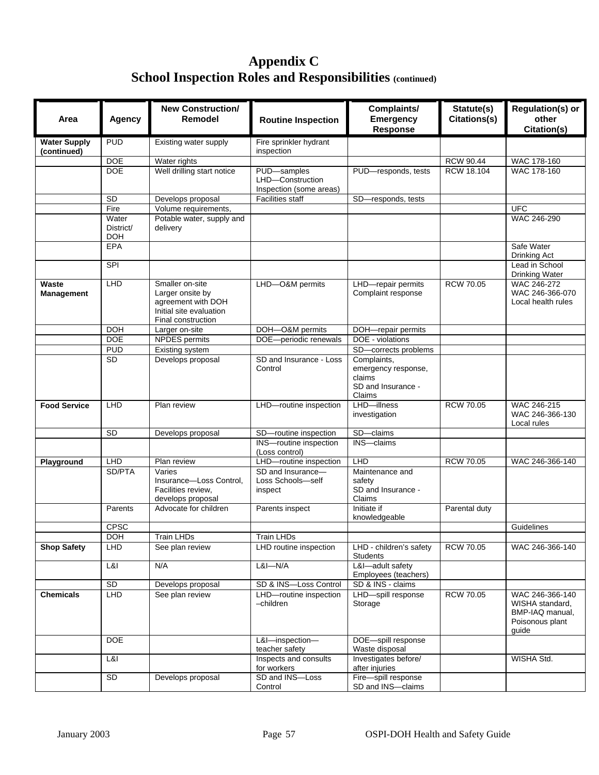## **Appendix C School Inspection Roles and Responsibilities (continued)**

| Area                       | <b>Agency</b>                    | <b>New Construction/</b><br>Remodel                                                                        | <b>Routine Inspection</b>                                  | Complaints/<br><b>Emergency</b><br><b>Response</b>                           | Statute(s)<br>Citations(s) | <b>Regulation(s) or</b><br>other<br>Citation(s)                                   |
|----------------------------|----------------------------------|------------------------------------------------------------------------------------------------------------|------------------------------------------------------------|------------------------------------------------------------------------------|----------------------------|-----------------------------------------------------------------------------------|
| <b>Water Supply</b>        | <b>PUD</b>                       | Existing water supply                                                                                      | Fire sprinkler hydrant                                     |                                                                              |                            |                                                                                   |
| (continued)                |                                  |                                                                                                            | inspection                                                 |                                                                              |                            |                                                                                   |
|                            | <b>DOE</b>                       | Water rights                                                                                               |                                                            |                                                                              | <b>RCW 90.44</b>           | WAC 178-160                                                                       |
|                            | <b>DOE</b>                       | Well drilling start notice                                                                                 | PUD-samples<br>LHD-Construction<br>Inspection (some areas) | PUD-responds, tests                                                          | RCW 18.104                 | <b>WAC 178-160</b>                                                                |
|                            | $\overline{SD}$                  | Develops proposal                                                                                          | <b>Facilities staff</b>                                    | SD-responds, tests                                                           |                            |                                                                                   |
|                            | Fire                             | Volume requirements,                                                                                       |                                                            |                                                                              |                            | <b>UFC</b>                                                                        |
|                            | Water<br>District/<br><b>DOH</b> | Potable water, supply and<br>delivery                                                                      |                                                            |                                                                              |                            | WAC 246-290                                                                       |
|                            | <b>EPA</b>                       |                                                                                                            |                                                            |                                                                              |                            | Safe Water<br>Drinking Act                                                        |
|                            | SPI                              |                                                                                                            |                                                            |                                                                              |                            | Lead in School<br><b>Drinking Water</b>                                           |
| Waste<br><b>Management</b> | <b>LHD</b>                       | Smaller on-site<br>Larger onsite by<br>agreement with DOH<br>Initial site evaluation<br>Final construction | LHD-O&M permits                                            | LHD-repair permits<br>Complaint response                                     | <b>RCW 70.05</b>           | WAC 246-272<br>WAC 246-366-070<br>Local health rules                              |
|                            | <b>DOH</b>                       | Larger on-site                                                                                             | DOH-O&M permits                                            | DOH-repair permits                                                           |                            |                                                                                   |
|                            | <b>DOE</b>                       | <b>NPDES</b> permits                                                                                       | DOE-periodic renewals                                      | DOE - violations                                                             |                            |                                                                                   |
|                            | <b>PUD</b>                       | Existing system                                                                                            |                                                            | SD-corrects problems                                                         |                            |                                                                                   |
|                            | <b>SD</b>                        | Develops proposal                                                                                          | SD and Insurance - Loss<br>Control                         | Complaints,<br>emergency response,<br>claims<br>SD and Insurance -<br>Claims |                            |                                                                                   |
| <b>Food Service</b>        | LHD                              | Plan review                                                                                                | LHD-routine inspection                                     | LHD-illness<br>investigation                                                 | <b>RCW 70.05</b>           | WAC 246-215<br>WAC 246-366-130<br>Local rules                                     |
|                            | <b>SD</b>                        | Develops proposal                                                                                          | SD-routine inspection                                      | SD-claims                                                                    |                            |                                                                                   |
|                            |                                  |                                                                                                            | INS-routine inspection<br>(Loss control)                   | INS-claims                                                                   |                            |                                                                                   |
| Playground                 | LHD                              | Plan review                                                                                                | LHD-routine inspection                                     | LHD                                                                          | <b>RCW 70.05</b>           | WAC 246-366-140                                                                   |
|                            | SD/PTA                           | Varies<br>Insurance-Loss Control,<br>Facilities review,<br>develops proposal                               | SD and Insurance-<br>Loss Schools-self<br>inspect          | Maintenance and<br>safety<br>SD and Insurance -<br>Claims                    |                            |                                                                                   |
|                            | Parents                          | Advocate for children                                                                                      | Parents inspect                                            | Initiate if<br>knowledgeable                                                 | Parental duty              |                                                                                   |
|                            | <b>CPSC</b>                      |                                                                                                            |                                                            |                                                                              |                            | Guidelines                                                                        |
|                            | <b>DOH</b>                       | Train LHDs                                                                                                 | Train LHDs                                                 |                                                                              |                            |                                                                                   |
| <b>Shop Safety</b>         | <b>LHD</b>                       | See plan review                                                                                            | LHD routine inspection                                     | LHD - children's safety<br><b>Students</b>                                   | <b>RCW 70.05</b>           | WAC 246-366-140                                                                   |
|                            | L&I                              | N/A                                                                                                        | $L&I-M/A$                                                  | L&I-adult safety<br>Employees (teachers)                                     |                            |                                                                                   |
|                            | <b>SD</b>                        | Develops proposal                                                                                          | SD & INS-Loss Control                                      | SD & INS - claims                                                            |                            |                                                                                   |
| <b>Chemicals</b>           | LHD                              | See plan review                                                                                            | LHD-routine inspection<br>-children                        | LHD-spill response<br>Storage                                                | <b>RCW 70.05</b>           | WAC 246-366-140<br>WISHA standard,<br>BMP-IAQ manual.<br>Poisonous plant<br>guide |
|                            | <b>DOE</b>                       |                                                                                                            | L&I-inspection-<br>teacher safety                          | DOE-spill response<br>Waste disposal                                         |                            |                                                                                   |
|                            | L&l                              |                                                                                                            | Inspects and consults<br>for workers                       | Investigates before/<br>after injuries                                       |                            | WISHA Std.                                                                        |
|                            | <b>SD</b>                        | Develops proposal                                                                                          | SD and INS-Loss<br>Control                                 | Fire-spill response<br>SD and INS-claims                                     |                            |                                                                                   |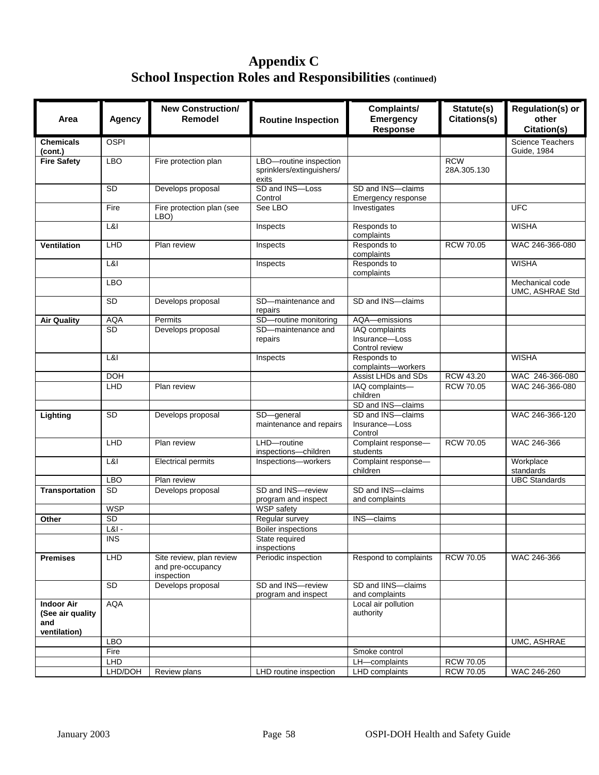## **Appendix C School Inspection Roles and Responsibilities (continued)**

| Area                                                         | Agency      | <b>New Construction/</b><br><b>Remodel</b>                  | <b>Routine Inspection</b>                                    | Complaints/<br><b>Emergency</b><br>Response        | Statute(s)<br>Citations(s) | <b>Regulation(s) or</b><br>other<br>Citation(s) |
|--------------------------------------------------------------|-------------|-------------------------------------------------------------|--------------------------------------------------------------|----------------------------------------------------|----------------------------|-------------------------------------------------|
| <b>Chemicals</b><br>(cont.)                                  | <b>OSPI</b> |                                                             |                                                              |                                                    |                            | <b>Science Teachers</b><br>Guide, 1984          |
| <b>Fire Safety</b>                                           | <b>LBO</b>  | Fire protection plan                                        | LBO-routine inspection<br>sprinklers/extinguishers/<br>exits |                                                    | <b>RCW</b><br>28A.305.130  |                                                 |
|                                                              | <b>SD</b>   | Develops proposal                                           | SD and INS-Loss<br>Control                                   | SD and INS-claims<br>Emergency response            |                            |                                                 |
|                                                              | Fire        | Fire protection plan (see<br>LBO)                           | See LBO                                                      | Investigates                                       |                            | <b>UFC</b>                                      |
|                                                              | L&I         |                                                             | Inspects                                                     | Responds to<br>complaints                          |                            | <b>WISHA</b>                                    |
| <b>Ventilation</b>                                           | LHD         | Plan review                                                 | Inspects                                                     | Responds to<br>complaints                          | <b>RCW 70.05</b>           | WAC 246-366-080                                 |
|                                                              | L&l         |                                                             | Inspects                                                     | Responds to<br>complaints                          |                            | <b>WISHA</b>                                    |
|                                                              | <b>LBO</b>  |                                                             |                                                              |                                                    |                            | Mechanical code<br>UMC, ASHRAE Std              |
|                                                              | <b>SD</b>   | Develops proposal                                           | SD-maintenance and<br>repairs                                | SD and INS-claims                                  |                            |                                                 |
| <b>Air Quality</b>                                           | <b>AQA</b>  | Permits                                                     | SD-routine monitoring                                        | AQA-emissions                                      |                            |                                                 |
|                                                              | <b>SD</b>   | Develops proposal                                           | SD-maintenance and<br>repairs                                | IAQ complaints<br>Insurance-Loss<br>Control review |                            |                                                 |
|                                                              | L&I         |                                                             | Inspects                                                     | Responds to<br>complaints-workers                  |                            | <b>WISHA</b>                                    |
|                                                              | <b>DOH</b>  |                                                             |                                                              | Assist LHDs and SDs                                | RCW 43.20                  | WAC 246-366-080                                 |
|                                                              | LHD         | Plan review                                                 |                                                              | IAQ complaints-<br>children                        | <b>RCW 70.05</b>           | WAC 246-366-080                                 |
|                                                              |             |                                                             |                                                              | SD and INS-claims                                  |                            |                                                 |
| Lighting                                                     | <b>SD</b>   | Develops proposal                                           | SD-general<br>maintenance and repairs                        | SD and INS-claims<br>Insurance-Loss<br>Control     |                            | WAC 246-366-120                                 |
|                                                              | LHD         | Plan review                                                 | LHD-routine<br>inspections-children                          | Complaint response-<br>students                    | <b>RCW 70.05</b>           | WAC 246-366                                     |
|                                                              | L&I         | <b>Electrical permits</b>                                   | Inspections-workers                                          | Complaint response-<br>children                    |                            | Workplace<br>standards                          |
|                                                              | LBO         | Plan review                                                 |                                                              |                                                    |                            | <b>UBC Standards</b>                            |
| Transportation                                               | SD          | Develops proposal                                           | SD and INS-review<br>program and inspect                     | SD and INS-claims<br>and complaints                |                            |                                                 |
|                                                              | <b>WSP</b>  |                                                             | <b>WSP</b> safety                                            |                                                    |                            |                                                 |
| Other                                                        | SD          |                                                             | Regular survey                                               | INS-claims                                         |                            |                                                 |
|                                                              | $L&l$ -     |                                                             | <b>Boiler</b> inspections                                    |                                                    |                            |                                                 |
|                                                              | <b>INS</b>  |                                                             | State required<br>inspections                                |                                                    |                            |                                                 |
| <b>Premises</b>                                              | LHD         | Site review, plan review<br>and pre-occupancy<br>inspection | Periodic inspection                                          | Respond to complaints                              | <b>RCW 70.05</b>           | WAC 246-366                                     |
|                                                              | <b>SD</b>   | Develops proposal                                           | SD and INS-review<br>program and inspect                     | SD and IINS-claims<br>and complaints               |                            |                                                 |
| <b>Indoor Air</b><br>(See air quality<br>and<br>ventilation) | <b>AQA</b>  |                                                             |                                                              | Local air pollution<br>authority                   |                            |                                                 |
|                                                              | <b>LBO</b>  |                                                             |                                                              |                                                    |                            | UMC, ASHRAE                                     |
|                                                              | Fire        |                                                             |                                                              | Smoke control                                      |                            |                                                 |
|                                                              | LHD         |                                                             |                                                              | LH-complaints                                      | <b>RCW 70.05</b>           |                                                 |
|                                                              | LHD/DOH     | Review plans                                                | LHD routine inspection                                       | LHD complaints                                     | <b>RCW 70.05</b>           | WAC 246-260                                     |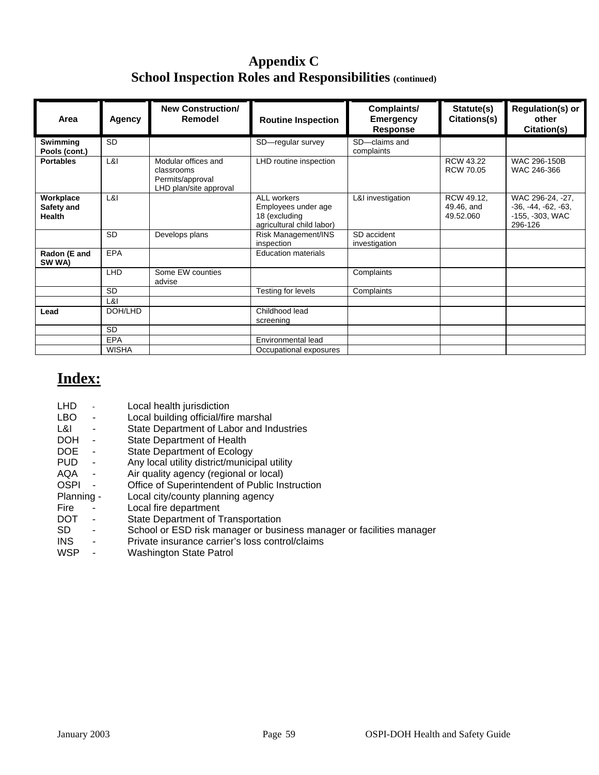## **Appendix C School Inspection Roles and Responsibilities (continued)**

| Area                                     | <b>Agency</b> | <b>New Construction/</b><br>Remodel                                             | <b>Routine Inspection</b>                                                        | Complaints/<br><b>Emergency</b><br><b>Response</b> | Statute(s)<br>Citations(s)            | Regulation(s) or<br>other<br>Citation(s)                                |
|------------------------------------------|---------------|---------------------------------------------------------------------------------|----------------------------------------------------------------------------------|----------------------------------------------------|---------------------------------------|-------------------------------------------------------------------------|
| Swimming<br>Pools (cont.)                | <b>SD</b>     |                                                                                 | SD-regular survey                                                                | SD-claims and<br>complaints                        |                                       |                                                                         |
| <b>Portables</b>                         | L&I           | Modular offices and<br>classrooms<br>Permits/approval<br>LHD plan/site approval | LHD routine inspection                                                           |                                                    | <b>RCW 43.22</b><br><b>RCW 70.05</b>  | WAC 296-150B<br>WAC 246-366                                             |
| Workplace<br>Safety and<br><b>Health</b> | L&I           |                                                                                 | ALL workers<br>Employees under age<br>18 (excluding<br>agricultural child labor) | L&I investigation                                  | RCW 49.12,<br>49.46, and<br>49.52.060 | WAC 296-24, -27,<br>$-36, -44, -62, -63,$<br>-155, -303, WAC<br>296-126 |
|                                          | <b>SD</b>     | Develops plans                                                                  | Risk Management/INS<br>inspection                                                | SD accident<br>investigation                       |                                       |                                                                         |
| Radon (E and<br>SW WA)                   | <b>EPA</b>    |                                                                                 | <b>Education materials</b>                                                       |                                                    |                                       |                                                                         |
|                                          | <b>LHD</b>    | Some EW counties<br>advise                                                      |                                                                                  | Complaints                                         |                                       |                                                                         |
|                                          | <b>SD</b>     |                                                                                 | Testing for levels                                                               | Complaints                                         |                                       |                                                                         |
|                                          | L&I           |                                                                                 |                                                                                  |                                                    |                                       |                                                                         |
| Lead                                     | DOH/LHD       |                                                                                 | Childhood lead<br>screening                                                      |                                                    |                                       |                                                                         |
|                                          | <b>SD</b>     |                                                                                 |                                                                                  |                                                    |                                       |                                                                         |
|                                          | <b>EPA</b>    |                                                                                 | Environmental lead                                                               |                                                    |                                       |                                                                         |
|                                          | <b>WISHA</b>  |                                                                                 | Occupational exposures                                                           |                                                    |                                       |                                                                         |

## **Index:**

| LHD                                    | Local health jurisdiction                                            |
|----------------------------------------|----------------------------------------------------------------------|
| LBO.<br>$\overline{\phantom{a}}$       | Local building official/fire marshal                                 |
| L&I<br>٠                               | State Department of Labor and Industries                             |
| <b>DOH</b><br>$\overline{\phantom{a}}$ | <b>State Department of Health</b>                                    |
| DOE.<br>$\blacksquare$                 | State Department of Ecology                                          |
| PUD.<br>$\blacksquare$                 | Any local utility district/municipal utility                         |
| AQA<br>$\overline{\phantom{a}}$        | Air quality agency (regional or local)                               |
| <b>OSPI</b><br>$\blacksquare$          | Office of Superintendent of Public Instruction                       |
| Planning -                             | Local city/county planning agency                                    |
| Fire<br>-                              | Local fire department                                                |
| <b>DOT</b><br>$\overline{\phantom{a}}$ | State Department of Transportation                                   |
| SD.<br>$\overline{a}$                  | School or ESD risk manager or business manager or facilities manager |
| <b>INS</b><br>$\overline{\phantom{0}}$ | Private insurance carrier's loss control/claims                      |
| <b>WSP</b><br>$\overline{\phantom{a}}$ | <b>Washington State Patrol</b>                                       |
|                                        |                                                                      |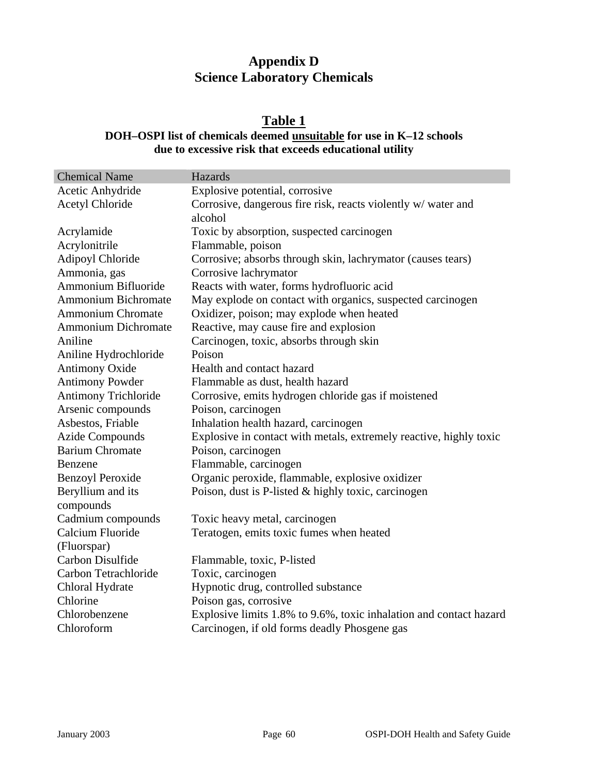## **Appendix D Science Laboratory Chemicals**

## **Table 1**

## **DOH–OSPI list of chemicals deemed unsuitable for use in K–12 schools due to excessive risk that exceeds educational utility**

| <b>Chemical Name</b>           | Hazards                                                            |
|--------------------------------|--------------------------------------------------------------------|
| Acetic Anhydride               | Explosive potential, corrosive                                     |
| <b>Acetyl Chloride</b>         | Corrosive, dangerous fire risk, reacts violently w/water and       |
|                                | alcohol                                                            |
| Acrylamide                     | Toxic by absorption, suspected carcinogen                          |
| Acrylonitrile                  | Flammable, poison                                                  |
| <b>Adipoyl Chloride</b>        | Corrosive; absorbs through skin, lachrymator (causes tears)        |
| Ammonia, gas                   | Corrosive lachrymator                                              |
| Ammonium Bifluoride            | Reacts with water, forms hydrofluoric acid                         |
| <b>Ammonium Bichromate</b>     | May explode on contact with organics, suspected carcinogen         |
| <b>Ammonium Chromate</b>       | Oxidizer, poison; may explode when heated                          |
| <b>Ammonium Dichromate</b>     | Reactive, may cause fire and explosion                             |
| Aniline                        | Carcinogen, toxic, absorbs through skin                            |
| Aniline Hydrochloride          | Poison                                                             |
| <b>Antimony Oxide</b>          | Health and contact hazard                                          |
| <b>Antimony Powder</b>         | Flammable as dust, health hazard                                   |
| <b>Antimony Trichloride</b>    | Corrosive, emits hydrogen chloride gas if moistened                |
| Arsenic compounds              | Poison, carcinogen                                                 |
| Asbestos, Friable              | Inhalation health hazard, carcinogen                               |
| <b>Azide Compounds</b>         | Explosive in contact with metals, extremely reactive, highly toxic |
| <b>Barium Chromate</b>         | Poison, carcinogen                                                 |
| Benzene                        | Flammable, carcinogen                                              |
| <b>Benzoyl Peroxide</b>        | Organic peroxide, flammable, explosive oxidizer                    |
| Beryllium and its<br>compounds | Poison, dust is P-listed & highly toxic, carcinogen                |
| Cadmium compounds              | Toxic heavy metal, carcinogen                                      |
| Calcium Fluoride               | Teratogen, emits toxic fumes when heated                           |
| (Fluorspar)                    |                                                                    |
| Carbon Disulfide               | Flammable, toxic, P-listed                                         |
| Carbon Tetrachloride           | Toxic, carcinogen                                                  |
| Chloral Hydrate                | Hypnotic drug, controlled substance                                |
| Chlorine                       | Poison gas, corrosive                                              |
| Chlorobenzene                  | Explosive limits 1.8% to 9.6%, toxic inhalation and contact hazard |
| Chloroform                     | Carcinogen, if old forms deadly Phosgene gas                       |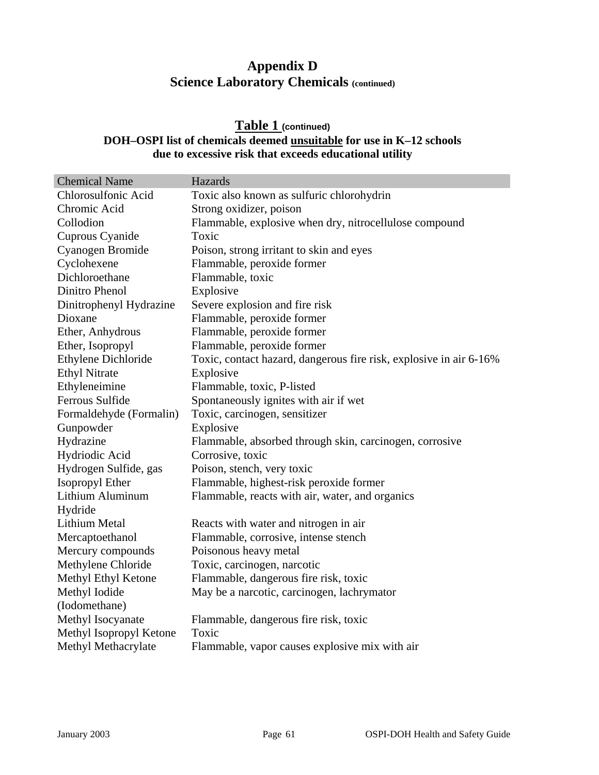#### **Table 1 (continued) DOH–OSPI list of chemicals deemed unsuitable for use in K–12 schools due to excessive risk that exceeds educational utility**

| <b>Chemical Name</b>    | Hazards                                                            |
|-------------------------|--------------------------------------------------------------------|
| Chlorosulfonic Acid     | Toxic also known as sulfuric chlorohydrin                          |
| Chromic Acid            | Strong oxidizer, poison                                            |
| Collodion               | Flammable, explosive when dry, nitrocellulose compound             |
| Cuprous Cyanide         | Toxic                                                              |
| Cyanogen Bromide        | Poison, strong irritant to skin and eyes                           |
| Cyclohexene             | Flammable, peroxide former                                         |
| Dichloroethane          | Flammable, toxic                                                   |
| Dinitro Phenol          | Explosive                                                          |
| Dinitrophenyl Hydrazine | Severe explosion and fire risk                                     |
| Dioxane                 | Flammable, peroxide former                                         |
| Ether, Anhydrous        | Flammable, peroxide former                                         |
| Ether, Isopropyl        | Flammable, peroxide former                                         |
| Ethylene Dichloride     | Toxic, contact hazard, dangerous fire risk, explosive in air 6-16% |
| <b>Ethyl Nitrate</b>    | Explosive                                                          |
| Ethyleneimine           | Flammable, toxic, P-listed                                         |
| Ferrous Sulfide         | Spontaneously ignites with air if wet                              |
| Formaldehyde (Formalin) | Toxic, carcinogen, sensitizer                                      |
| Gunpowder               | Explosive                                                          |
| Hydrazine               | Flammable, absorbed through skin, carcinogen, corrosive            |
| Hydriodic Acid          | Corrosive, toxic                                                   |
| Hydrogen Sulfide, gas   | Poison, stench, very toxic                                         |
| Isopropyl Ether         | Flammable, highest-risk peroxide former                            |
| Lithium Aluminum        | Flammable, reacts with air, water, and organics                    |
| Hydride                 |                                                                    |
| <b>Lithium Metal</b>    | Reacts with water and nitrogen in air                              |
| Mercaptoethanol         | Flammable, corrosive, intense stench                               |
| Mercury compounds       | Poisonous heavy metal                                              |
| Methylene Chloride      | Toxic, carcinogen, narcotic                                        |
| Methyl Ethyl Ketone     | Flammable, dangerous fire risk, toxic                              |
| Methyl Iodide           | May be a narcotic, carcinogen, lachrymator                         |
| (Iodomethane)           |                                                                    |
| Methyl Isocyanate       | Flammable, dangerous fire risk, toxic                              |
| Methyl Isopropyl Ketone | Toxic                                                              |
| Methyl Methacrylate     | Flammable, vapor causes explosive mix with air                     |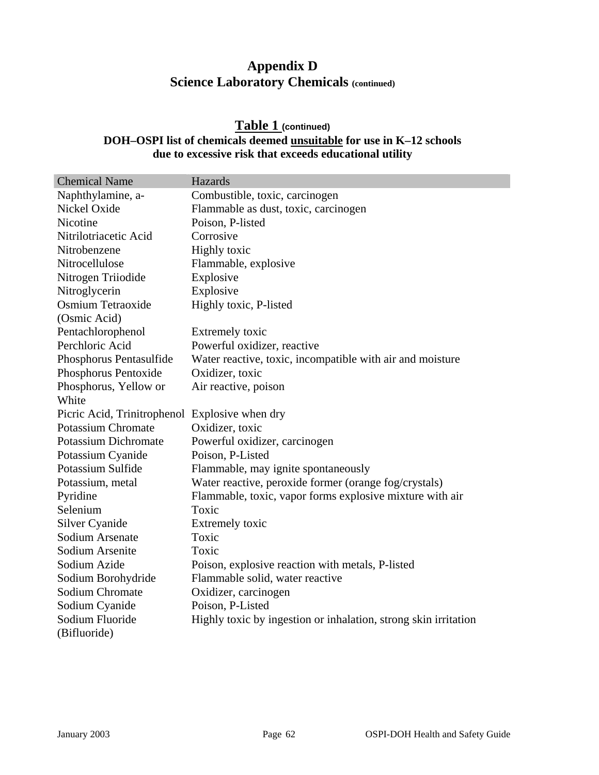#### **Table 1 (continued) DOH–OSPI list of chemicals deemed unsuitable for use in K–12 schools due to excessive risk that exceeds educational utility**

| <b>Chemical Name</b>                           | Hazards                                                         |
|------------------------------------------------|-----------------------------------------------------------------|
| Naphthylamine, a-                              | Combustible, toxic, carcinogen                                  |
| Nickel Oxide                                   | Flammable as dust, toxic, carcinogen                            |
| Nicotine                                       | Poison, P-listed                                                |
| Nitrilotriacetic Acid                          | Corrosive                                                       |
| Nitrobenzene                                   | <b>Highly toxic</b>                                             |
| Nitrocellulose                                 | Flammable, explosive                                            |
| Nitrogen Triiodide                             | Explosive                                                       |
| Nitroglycerin                                  | Explosive                                                       |
| Osmium Tetraoxide                              | Highly toxic, P-listed                                          |
| (Osmic Acid)                                   |                                                                 |
| Pentachlorophenol                              | Extremely toxic                                                 |
| Perchloric Acid                                | Powerful oxidizer, reactive                                     |
| Phosphorus Pentasulfide                        | Water reactive, toxic, incompatible with air and moisture       |
| Phosphorus Pentoxide                           | Oxidizer, toxic                                                 |
| Phosphorus, Yellow or                          | Air reactive, poison                                            |
| White                                          |                                                                 |
| Picric Acid, Trinitrophenol Explosive when dry |                                                                 |
| <b>Potassium Chromate</b>                      | Oxidizer, toxic                                                 |
| <b>Potassium Dichromate</b>                    | Powerful oxidizer, carcinogen                                   |
| Potassium Cyanide                              | Poison, P-Listed                                                |
| Potassium Sulfide                              | Flammable, may ignite spontaneously                             |
| Potassium, metal                               | Water reactive, peroxide former (orange fog/crystals)           |
| Pyridine                                       | Flammable, toxic, vapor forms explosive mixture with air        |
| Selenium                                       | Toxic                                                           |
| Silver Cyanide                                 | Extremely toxic                                                 |
| Sodium Arsenate                                | Toxic                                                           |
| Sodium Arsenite                                | Toxic                                                           |
| Sodium Azide                                   | Poison, explosive reaction with metals, P-listed                |
| Sodium Borohydride                             | Flammable solid, water reactive                                 |
| Sodium Chromate                                | Oxidizer, carcinogen                                            |
| Sodium Cyanide                                 | Poison, P-Listed                                                |
| Sodium Fluoride                                | Highly toxic by ingestion or inhalation, strong skin irritation |
| (Bifluoride)                                   |                                                                 |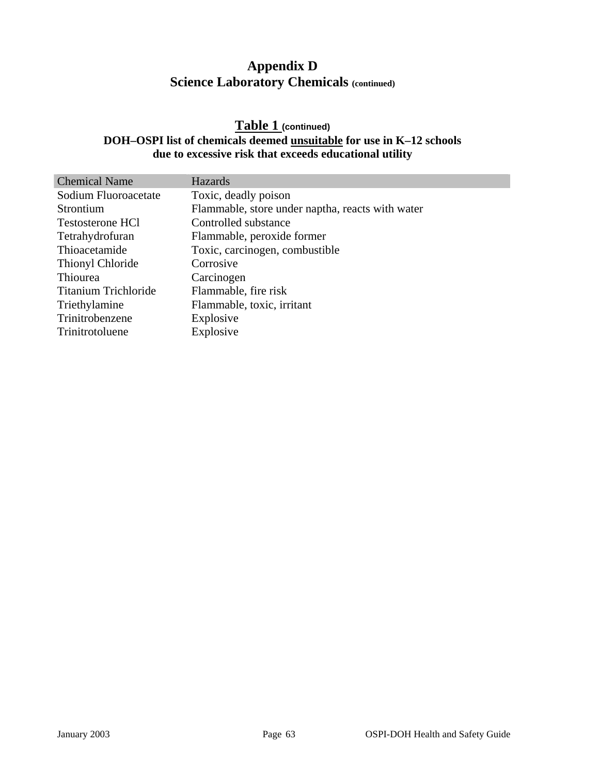#### **Table 1 (continued) DOH–OSPI list of chemicals deemed unsuitable for use in K–12 schools due to excessive risk that exceeds educational utility**

| <b>Chemical Name</b>        | <b>Hazards</b>                                   |
|-----------------------------|--------------------------------------------------|
| Sodium Fluoroacetate        | Toxic, deadly poison                             |
| Strontium                   | Flammable, store under naptha, reacts with water |
| <b>Testosterone HCl</b>     | Controlled substance                             |
| Tetrahydrofuran             | Flammable, peroxide former                       |
| Thioacetamide               | Toxic, carcinogen, combustible                   |
| Thionyl Chloride            | Corrosive                                        |
| Thiourea                    | Carcinogen                                       |
| <b>Titanium Trichloride</b> | Flammable, fire risk                             |
| Triethylamine               | Flammable, toxic, irritant                       |
| Trinitrobenzene             | Explosive                                        |
| Trinitrotoluene             | Explosive                                        |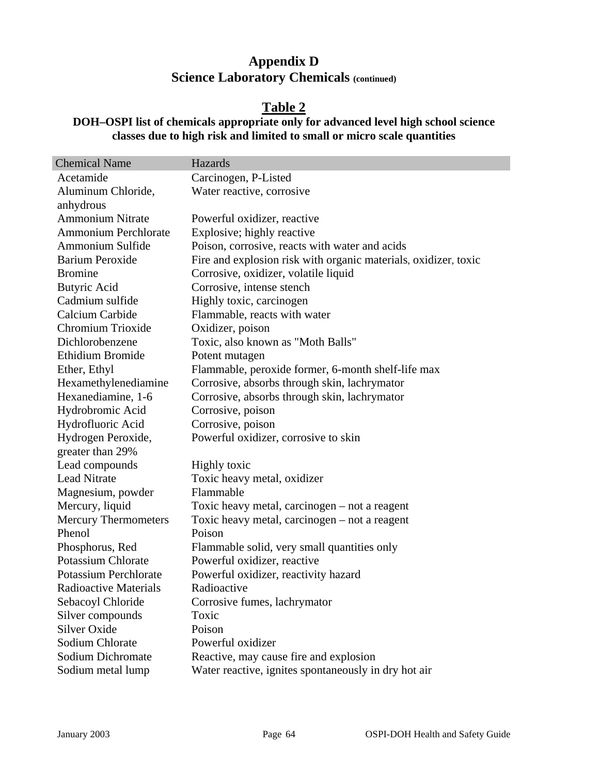#### **Table 2**

#### **DOH–OSPI list of chemicals appropriate only for advanced level high school science classes due to high risk and limited to small or micro scale quantities**

| <b>Chemical Name</b>         | Hazards                                                         |
|------------------------------|-----------------------------------------------------------------|
| Acetamide                    | Carcinogen, P-Listed                                            |
| Aluminum Chloride,           | Water reactive, corrosive                                       |
| anhydrous                    |                                                                 |
| <b>Ammonium Nitrate</b>      | Powerful oxidizer, reactive                                     |
| <b>Ammonium Perchlorate</b>  | Explosive; highly reactive                                      |
| Ammonium Sulfide             | Poison, corrosive, reacts with water and acids                  |
| <b>Barium Peroxide</b>       | Fire and explosion risk with organic materials, oxidizer, toxic |
| <b>Bromine</b>               | Corrosive, oxidizer, volatile liquid                            |
| <b>Butyric Acid</b>          | Corrosive, intense stench                                       |
| Cadmium sulfide              | Highly toxic, carcinogen                                        |
| Calcium Carbide              | Flammable, reacts with water                                    |
| Chromium Trioxide            | Oxidizer, poison                                                |
| Dichlorobenzene              | Toxic, also known as "Moth Balls"                               |
| Ethidium Bromide             | Potent mutagen                                                  |
| Ether, Ethyl                 | Flammable, peroxide former, 6-month shelf-life max              |
| Hexamethylenediamine         | Corrosive, absorbs through skin, lachrymator                    |
| Hexanediamine, 1-6           | Corrosive, absorbs through skin, lachrymator                    |
| Hydrobromic Acid             | Corrosive, poison                                               |
| Hydrofluoric Acid            | Corrosive, poison                                               |
| Hydrogen Peroxide,           | Powerful oxidizer, corrosive to skin                            |
| greater than 29%             |                                                                 |
| Lead compounds               | Highly toxic                                                    |
| <b>Lead Nitrate</b>          | Toxic heavy metal, oxidizer                                     |
| Magnesium, powder            | Flammable                                                       |
| Mercury, liquid              | Toxic heavy metal, carcinogen – not a reagent                   |
| <b>Mercury Thermometers</b>  | Toxic heavy metal, carcinogen – not a reagent                   |
| Phenol                       | Poison                                                          |
| Phosphorus, Red              | Flammable solid, very small quantities only                     |
| <b>Potassium Chlorate</b>    | Powerful oxidizer, reactive                                     |
| <b>Potassium Perchlorate</b> | Powerful oxidizer, reactivity hazard                            |
| <b>Radioactive Materials</b> | Radioactive                                                     |
| Sebacoyl Chloride            | Corrosive fumes, lachrymator                                    |
| Silver compounds             | Toxic                                                           |
| <b>Silver Oxide</b>          | Poison                                                          |
| <b>Sodium Chlorate</b>       | Powerful oxidizer                                               |
| <b>Sodium Dichromate</b>     | Reactive, may cause fire and explosion                          |
| Sodium metal lump            | Water reactive, ignites spontaneously in dry hot air            |

n T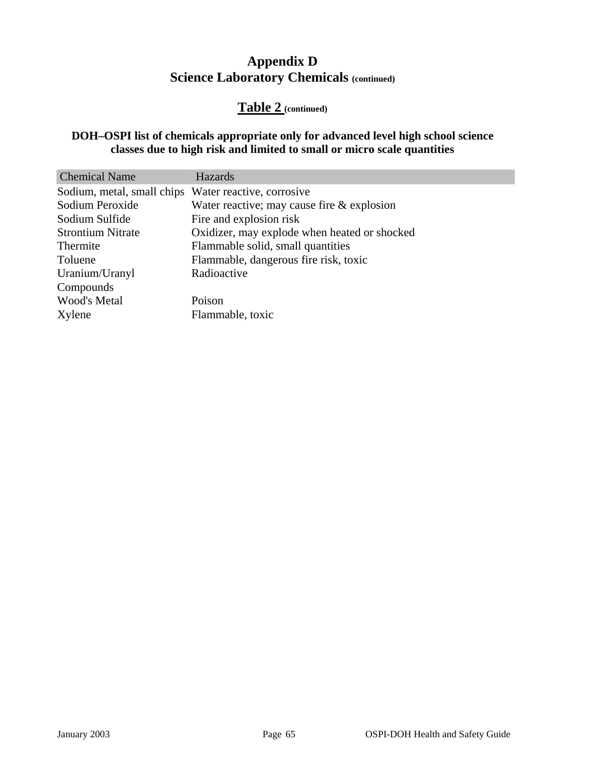## **Table 2 (continued)**

#### **DOH–OSPI list of chemicals appropriate only for advanced level high school science classes due to high risk and limited to small or micro scale quantities**

| <b>Chemical Name</b>       | Hazards                                      |
|----------------------------|----------------------------------------------|
| Sodium, metal, small chips | Water reactive, corrosive                    |
| Sodium Peroxide            | Water reactive; may cause fire $&$ explosion |
| Sodium Sulfide             | Fire and explosion risk                      |
| <b>Strontium Nitrate</b>   | Oxidizer, may explode when heated or shocked |
| Thermite                   | Flammable solid, small quantities            |
| Toluene                    | Flammable, dangerous fire risk, toxic        |
| Uranium/Uranyl             | Radioactive                                  |
| Compounds                  |                                              |
| <b>Wood's Metal</b>        | Poison                                       |
| Xylene                     | Flammable, toxic                             |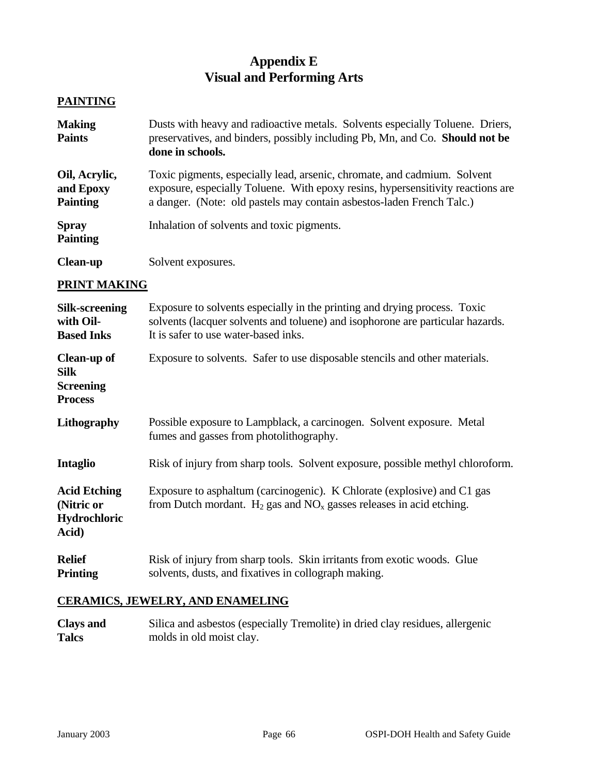## **Appendix E Visual and Performing Arts**

#### **PAINTING**

| <b>Making</b><br><b>Paints</b>                | Dusts with heavy and radioactive metals. Solvents especially Toluene. Driers,<br>preservatives, and binders, possibly including Pb, Mn, and Co. Should not be<br>done in schools.                                                    |
|-----------------------------------------------|--------------------------------------------------------------------------------------------------------------------------------------------------------------------------------------------------------------------------------------|
| Oil, Acrylic,<br>and Epoxy<br><b>Painting</b> | Toxic pigments, especially lead, arsenic, chromate, and cadmium. Solvent<br>exposure, especially Toluene. With epoxy resins, hypersensitivity reactions are<br>a danger. (Note: old pastels may contain asbestos-laden French Talc.) |
| <b>Spray</b><br><b>Painting</b>               | Inhalation of solvents and toxic pigments.                                                                                                                                                                                           |
| <b>Clean-up</b>                               | Solvent exposures.                                                                                                                                                                                                                   |

#### **PRINT MAKING**

| Silk-screening<br>with Oil-<br><b>Based Inks</b>                  | Exposure to solvents especially in the printing and drying process. Toxic<br>solvents (lacquer solvents and toluene) and isophorone are particular hazards.<br>It is safer to use water-based inks. |
|-------------------------------------------------------------------|-----------------------------------------------------------------------------------------------------------------------------------------------------------------------------------------------------|
| Clean-up of<br><b>Silk</b><br><b>Screening</b><br><b>Process</b>  | Exposure to solvents. Safer to use disposable stencils and other materials.                                                                                                                         |
| Lithography                                                       | Possible exposure to Lampblack, a carcinogen. Solvent exposure. Metal<br>fumes and gasses from photolithography.                                                                                    |
| <b>Intaglio</b>                                                   | Risk of injury from sharp tools. Solvent exposure, possible methyl chloroform.                                                                                                                      |
| <b>Acid Etching</b><br>(Nitric or<br><b>Hydrochloric</b><br>Acid) | Exposure to asphaltum (carcinogenic). K Chlorate (explosive) and C1 gas<br>from Dutch mordant. $H_2$ gas and $NO_x$ gasses releases in acid etching.                                                |
| <b>Relief</b><br><b>Printing</b>                                  | Risk of injury from sharp tools. Skin irritants from exotic woods. Glue<br>solvents, dusts, and fixatives in collograph making.                                                                     |

#### **CERAMICS, JEWELRY, AND ENAMELING**

**Clays and Talcs**  Silica and asbestos (especially Tremolite) in dried clay residues, allergenic molds in old moist clay.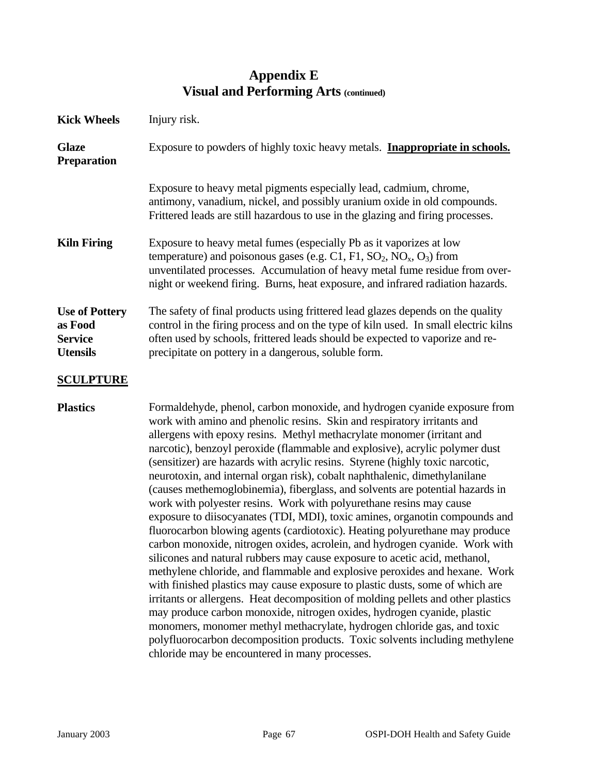| <b>Kick Wheels</b>                                                    | Injury risk.                                                                                                                                                                                                                                                                                                                                                                                                                                                                                                                                                                                                                                                                                                                                                                                                                                                                                                                                                                                                                                                                                                                                                                                                                                                                                                                                                                                                                                                                                              |
|-----------------------------------------------------------------------|-----------------------------------------------------------------------------------------------------------------------------------------------------------------------------------------------------------------------------------------------------------------------------------------------------------------------------------------------------------------------------------------------------------------------------------------------------------------------------------------------------------------------------------------------------------------------------------------------------------------------------------------------------------------------------------------------------------------------------------------------------------------------------------------------------------------------------------------------------------------------------------------------------------------------------------------------------------------------------------------------------------------------------------------------------------------------------------------------------------------------------------------------------------------------------------------------------------------------------------------------------------------------------------------------------------------------------------------------------------------------------------------------------------------------------------------------------------------------------------------------------------|
| <b>Glaze</b><br><b>Preparation</b>                                    | Exposure to powders of highly toxic heavy metals. <b>Inappropriate in schools.</b>                                                                                                                                                                                                                                                                                                                                                                                                                                                                                                                                                                                                                                                                                                                                                                                                                                                                                                                                                                                                                                                                                                                                                                                                                                                                                                                                                                                                                        |
|                                                                       | Exposure to heavy metal pigments especially lead, cadmium, chrome,<br>antimony, vanadium, nickel, and possibly uranium oxide in old compounds.<br>Frittered leads are still hazardous to use in the glazing and firing processes.                                                                                                                                                                                                                                                                                                                                                                                                                                                                                                                                                                                                                                                                                                                                                                                                                                                                                                                                                                                                                                                                                                                                                                                                                                                                         |
| <b>Kiln Firing</b>                                                    | Exposure to heavy metal fumes (especially Pb as it vaporizes at low<br>temperature) and poisonous gases (e.g. C1, F1, $SO_2$ , NO <sub>x</sub> , O <sub>3</sub> ) from<br>unventilated processes. Accumulation of heavy metal fume residue from over-<br>night or weekend firing. Burns, heat exposure, and infrared radiation hazards.                                                                                                                                                                                                                                                                                                                                                                                                                                                                                                                                                                                                                                                                                                                                                                                                                                                                                                                                                                                                                                                                                                                                                                   |
| <b>Use of Pottery</b><br>as Food<br><b>Service</b><br><b>Utensils</b> | The safety of final products using frittered lead glazes depends on the quality<br>control in the firing process and on the type of kiln used. In small electric kilns<br>often used by schools, frittered leads should be expected to vaporize and re-<br>precipitate on pottery in a dangerous, soluble form.                                                                                                                                                                                                                                                                                                                                                                                                                                                                                                                                                                                                                                                                                                                                                                                                                                                                                                                                                                                                                                                                                                                                                                                           |
| <b>SCULPTURE</b>                                                      |                                                                                                                                                                                                                                                                                                                                                                                                                                                                                                                                                                                                                                                                                                                                                                                                                                                                                                                                                                                                                                                                                                                                                                                                                                                                                                                                                                                                                                                                                                           |
| <b>Plastics</b>                                                       | Formaldehyde, phenol, carbon monoxide, and hydrogen cyanide exposure from<br>work with amino and phenolic resins. Skin and respiratory irritants and<br>allergens with epoxy resins. Methyl methacrylate monomer (irritant and<br>narcotic), benzoyl peroxide (flammable and explosive), acrylic polymer dust<br>(sensitizer) are hazards with acrylic resins. Styrene (highly toxic narcotic,<br>neurotoxin, and internal organ risk), cobalt naphthalenic, dimethylanilane<br>(causes methemoglobinemia), fiberglass, and solvents are potential hazards in<br>work with polyester resins. Work with polyurethane resins may cause<br>exposure to diisocyanates (TDI, MDI), toxic amines, organotin compounds and<br>fluorocarbon blowing agents (cardiotoxic). Heating polyurethane may produce<br>carbon monoxide, nitrogen oxides, acrolein, and hydrogen cyanide. Work with<br>silicones and natural rubbers may cause exposure to acetic acid, methanol,<br>methylene chloride, and flammable and explosive peroxides and hexane. Work<br>with finished plastics may cause exposure to plastic dusts, some of which are<br>irritants or allergens. Heat decomposition of molding pellets and other plastics<br>may produce carbon monoxide, nitrogen oxides, hydrogen cyanide, plastic<br>monomers, monomer methyl methacrylate, hydrogen chloride gas, and toxic<br>polyfluorocarbon decomposition products. Toxic solvents including methylene<br>chloride may be encountered in many processes. |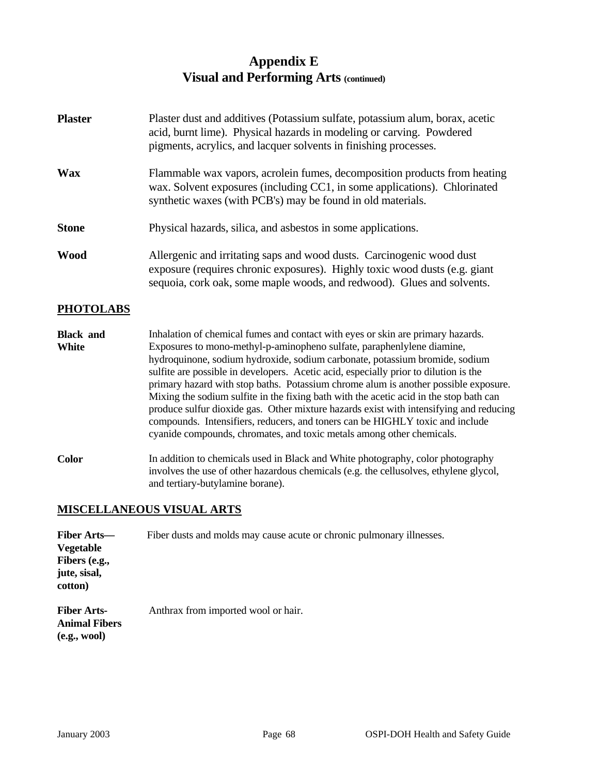| <b>Plaster</b> | Plaster dust and additives (Potassium sulfate, potassium alum, borax, acetic<br>acid, burnt lime). Physical hazards in modeling or carving. Powdered<br>pigments, acrylics, and lacquer solvents in finishing processes.      |
|----------------|-------------------------------------------------------------------------------------------------------------------------------------------------------------------------------------------------------------------------------|
| <b>Wax</b>     | Flammable wax vapors, acrolein fumes, decomposition products from heating<br>wax. Solvent exposures (including CC1, in some applications). Chlorinated<br>synthetic waxes (with PCB's) may be found in old materials.         |
| <b>Stone</b>   | Physical hazards, silica, and asbestos in some applications.                                                                                                                                                                  |
| <b>Wood</b>    | Allergenic and irritating saps and wood dusts. Carcinogenic wood dust<br>exposure (requires chronic exposures). Highly toxic wood dusts (e.g. giant<br>sequoia, cork oak, some maple woods, and redwood). Glues and solvents. |

#### **PHOTOLABS**

- **Black and White**  Inhalation of chemical fumes and contact with eyes or skin are primary hazards. Exposures to mono-methyl-p-aminopheno sulfate, paraphenlylene diamine, hydroquinone, sodium hydroxide, sodium carbonate, potassium bromide, sodium sulfite are possible in developers. Acetic acid, especially prior to dilution is the primary hazard with stop baths. Potassium chrome alum is another possible exposure. Mixing the sodium sulfite in the fixing bath with the acetic acid in the stop bath can produce sulfur dioxide gas. Other mixture hazards exist with intensifying and reducing compounds. Intensifiers, reducers, and toners can be HIGHLY toxic and include cyanide compounds, chromates, and toxic metals among other chemicals.
- **Color** In addition to chemicals used in Black and White photography, color photography involves the use of other hazardous chemicals (e.g. the cellusolves, ethylene glycol, and tertiary-butylamine borane).

#### **MISCELLANEOUS VISUAL ARTS**

| <b>Fiber Arts—</b><br><b>Vegetable</b><br>Fibers (e.g.,<br>jute, sisal,<br>cotton) | Fiber dusts and molds may cause acute or chronic pulmonary illnesses. |
|------------------------------------------------------------------------------------|-----------------------------------------------------------------------|
| <b>Fiber Arts-</b><br><b>Animal Fibers</b><br>(e.g., wool)                         | Anthrax from imported wool or hair.                                   |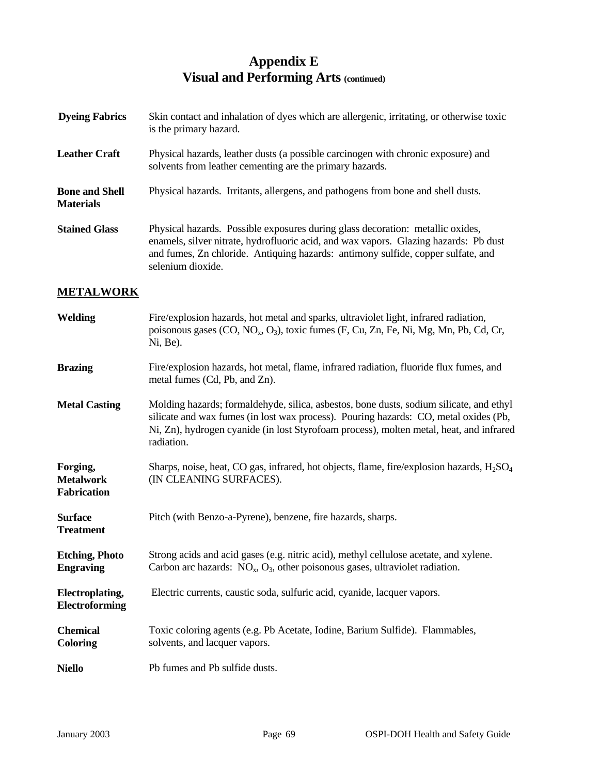| <b>Dyeing Fabrics</b>                     | Skin contact and inhalation of dyes which are allergenic, irritating, or otherwise toxic<br>is the primary hazard.                                                                                                                                                              |  |
|-------------------------------------------|---------------------------------------------------------------------------------------------------------------------------------------------------------------------------------------------------------------------------------------------------------------------------------|--|
| <b>Leather Craft</b>                      | Physical hazards, leather dusts (a possible carcinogen with chronic exposure) and<br>solvents from leather cementing are the primary hazards.                                                                                                                                   |  |
| <b>Bone and Shell</b><br><b>Materials</b> | Physical hazards. Irritants, allergens, and pathogens from bone and shell dusts.                                                                                                                                                                                                |  |
| <b>Stained Glass</b>                      | Physical hazards. Possible exposures during glass decoration: metallic oxides,<br>enamels, silver nitrate, hydrofluoric acid, and wax vapors. Glazing hazards: Pb dust<br>and fumes, Zn chloride. Antiquing hazards: antimony sulfide, copper sulfate, and<br>selenium dioxide. |  |

#### **METALWORK**

| <b>Welding</b>                                     | Fire/explosion hazards, hot metal and sparks, ultraviolet light, infrared radiation,<br>poisonous gases $(CO, NO_x, O_3)$ , toxic fumes $(F, Cu, Zn, Fe, Ni, Mg, Mn, Pb, Cd, Cr,$<br>Ni, Be).                                                                                            |
|----------------------------------------------------|------------------------------------------------------------------------------------------------------------------------------------------------------------------------------------------------------------------------------------------------------------------------------------------|
| <b>Brazing</b>                                     | Fire/explosion hazards, hot metal, flame, infrared radiation, fluoride flux fumes, and<br>metal fumes (Cd, Pb, and Zn).                                                                                                                                                                  |
| <b>Metal Casting</b>                               | Molding hazards; formaldehyde, silica, asbestos, bone dusts, sodium silicate, and ethyl<br>silicate and wax fumes (in lost wax process). Pouring hazards: CO, metal oxides (Pb,<br>Ni, Zn), hydrogen cyanide (in lost Styrofoam process), molten metal, heat, and infrared<br>radiation. |
| Forging,<br><b>Metalwork</b><br><b>Fabrication</b> | Sharps, noise, heat, CO gas, infrared, hot objects, flame, fire/explosion hazards, $H_2SO_4$<br>(IN CLEANING SURFACES).                                                                                                                                                                  |
| <b>Surface</b><br><b>Treatment</b>                 | Pitch (with Benzo-a-Pyrene), benzene, fire hazards, sharps.                                                                                                                                                                                                                              |
| <b>Etching, Photo</b><br><b>Engraving</b>          | Strong acids and acid gases (e.g. nitric acid), methyl cellulose acetate, and xylene.<br>Carbon arc hazards: $NO_x$ , $O_3$ , other poisonous gases, ultraviolet radiation.                                                                                                              |
| <b>Electroplating,</b><br>Electroforming           | Electric currents, caustic soda, sulfuric acid, cyanide, lacquer vapors.                                                                                                                                                                                                                 |
| <b>Chemical</b><br><b>Coloring</b>                 | Toxic coloring agents (e.g. Pb Acetate, Iodine, Barium Sulfide). Flammables,<br>solvents, and lacquer vapors.                                                                                                                                                                            |
| <b>Niello</b>                                      | Pb fumes and Pb sulfide dusts.                                                                                                                                                                                                                                                           |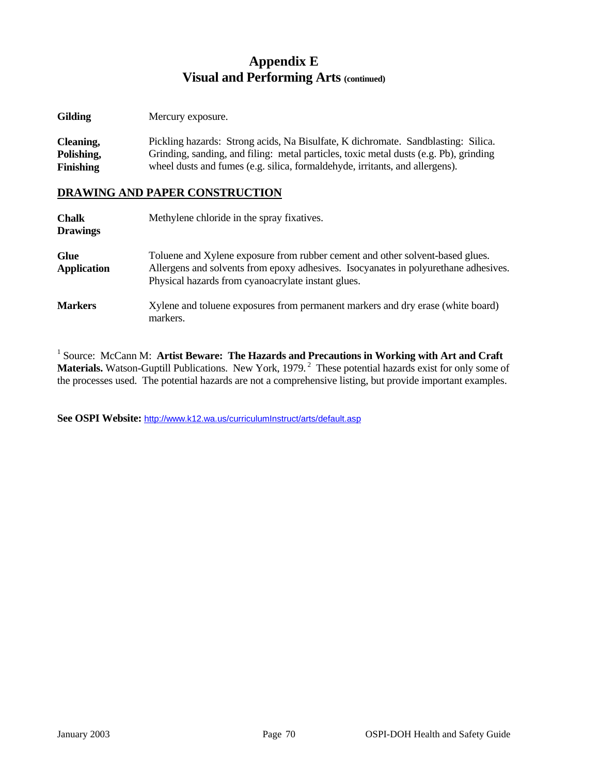| <b>Gilding</b> | Mercury exposure. |
|----------------|-------------------|
|                |                   |

**Cleaning, Polishing, Finishing**  Pickling hazards: Strong acids, Na Bisulfate, K dichromate. Sandblasting: Silica. Grinding, sanding, and filing: metal particles, toxic metal dusts (e.g. Pb), grinding wheel dusts and fumes (e.g. silica, formaldehyde, irritants, and allergens).

#### **DRAWING AND PAPER CONSTRUCTION**

| <b>Chalk</b><br><b>Drawings</b>   | Methylene chloride in the spray fixatives.                                                                                                                                                                                 |
|-----------------------------------|----------------------------------------------------------------------------------------------------------------------------------------------------------------------------------------------------------------------------|
| <b>Glue</b><br><b>Application</b> | Toluene and Xylene exposure from rubber cement and other solvent-based glues.<br>Allergens and solvents from epoxy adhesives. Isocyanates in polyurethane adhesives.<br>Physical hazards from cyanoacrylate instant glues. |
| <b>Markers</b>                    | Xylene and toluene exposures from permanent markers and dry erase (white board)<br>markers.                                                                                                                                |

<sup>1</sup> Source: McCann M: Artist Beware: The Hazards and Precautions in Working with Art and Craft **Materials.** Watson-Guptill Publications. New York, 1979.<sup>2</sup> These potential hazards exist for only some of the processes used. The potential hazards are not a comprehensive listing, but provide important examples.

**See OSPI Website:** <http://www.k12.wa.us/curriculumInstruct/arts/default.asp>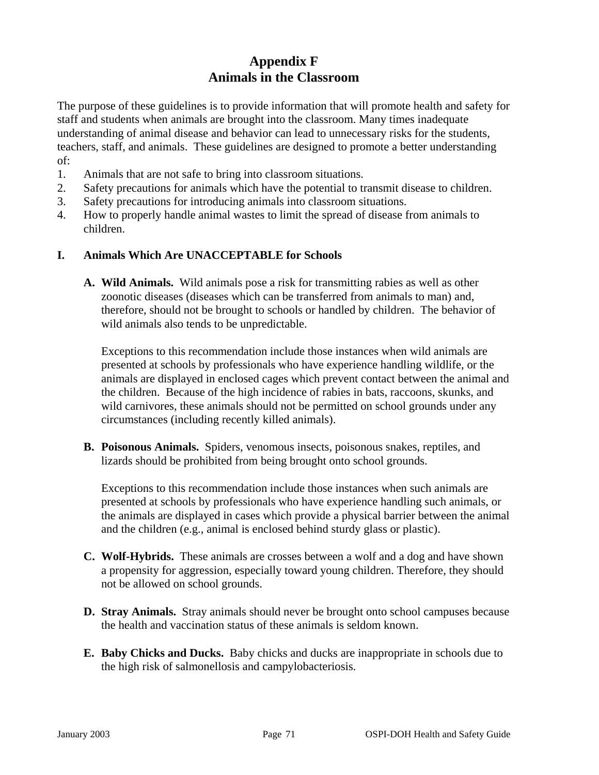## **Appendix F Animals in the Classroom**

The purpose of these guidelines is to provide information that will promote health and safety for staff and students when animals are brought into the classroom. Many times inadequate understanding of animal disease and behavior can lead to unnecessary risks for the students, teachers, staff, and animals. These guidelines are designed to promote a better understanding of:

- 1. Animals that are not safe to bring into classroom situations.
- 2. Safety precautions for animals which have the potential to transmit disease to children.
- 3. Safety precautions for introducing animals into classroom situations.
- 4. How to properly handle animal wastes to limit the spread of disease from animals to children.

#### **I. Animals Which Are UNACCEPTABLE for Schools**

**A. Wild Animals.** Wild animals pose a risk for transmitting rabies as well as other zoonotic diseases (diseases which can be transferred from animals to man) and, therefore, should not be brought to schools or handled by children. The behavior of wild animals also tends to be unpredictable.

Exceptions to this recommendation include those instances when wild animals are presented at schools by professionals who have experience handling wildlife, or the animals are displayed in enclosed cages which prevent contact between the animal and the children. Because of the high incidence of rabies in bats, raccoons, skunks, and wild carnivores, these animals should not be permitted on school grounds under any circumstances (including recently killed animals).

**B. Poisonous Animals.** Spiders, venomous insects, poisonous snakes, reptiles, and lizards should be prohibited from being brought onto school grounds.

Exceptions to this recommendation include those instances when such animals are presented at schools by professionals who have experience handling such animals, or the animals are displayed in cases which provide a physical barrier between the animal and the children (e.g., animal is enclosed behind sturdy glass or plastic).

- **C. Wolf-Hybrids.** These animals are crosses between a wolf and a dog and have shown a propensity for aggression, especially toward young children. Therefore, they should not be allowed on school grounds.
- **D. Stray Animals.** Stray animals should never be brought onto school campuses because the health and vaccination status of these animals is seldom known.
- **E. Baby Chicks and Ducks.** Baby chicks and ducks are inappropriate in schools due to the high risk of salmonellosis and campylobacteriosis.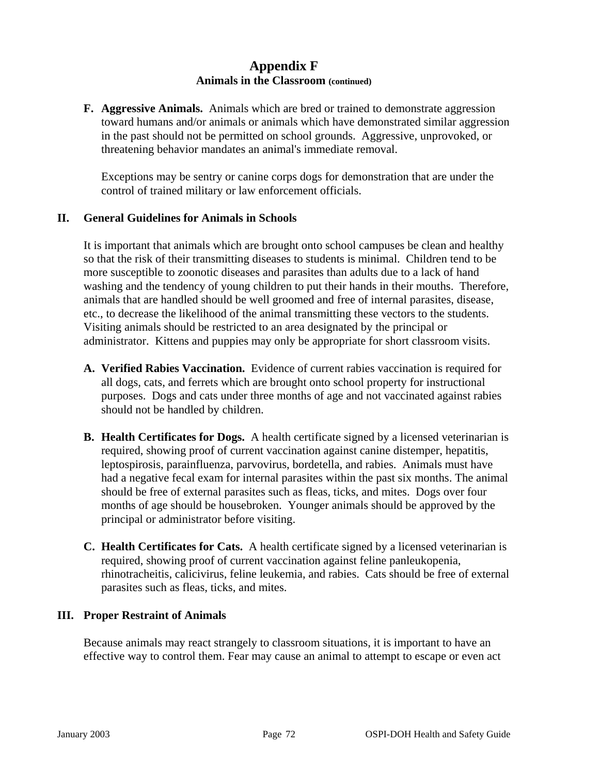**F. Aggressive Animals.** Animals which are bred or trained to demonstrate aggression toward humans and/or animals or animals which have demonstrated similar aggression in the past should not be permitted on school grounds. Aggressive, unprovoked, or threatening behavior mandates an animal's immediate removal.

Exceptions may be sentry or canine corps dogs for demonstration that are under the control of trained military or law enforcement officials.

#### **II. General Guidelines for Animals in Schools**

It is important that animals which are brought onto school campuses be clean and healthy so that the risk of their transmitting diseases to students is minimal. Children tend to be more susceptible to zoonotic diseases and parasites than adults due to a lack of hand washing and the tendency of young children to put their hands in their mouths. Therefore, animals that are handled should be well groomed and free of internal parasites, disease, etc., to decrease the likelihood of the animal transmitting these vectors to the students. Visiting animals should be restricted to an area designated by the principal or administrator. Kittens and puppies may only be appropriate for short classroom visits.

- **A. Verified Rabies Vaccination.** Evidence of current rabies vaccination is required for all dogs, cats, and ferrets which are brought onto school property for instructional purposes. Dogs and cats under three months of age and not vaccinated against rabies should not be handled by children.
- **B. Health Certificates for Dogs.** A health certificate signed by a licensed veterinarian is required, showing proof of current vaccination against canine distemper, hepatitis, leptospirosis, parainfluenza, parvovirus, bordetella, and rabies. Animals must have had a negative fecal exam for internal parasites within the past six months. The animal should be free of external parasites such as fleas, ticks, and mites. Dogs over four months of age should be housebroken. Younger animals should be approved by the principal or administrator before visiting.
- **C. Health Certificates for Cats.** A health certificate signed by a licensed veterinarian is required, showing proof of current vaccination against feline panleukopenia, rhinotracheitis, calicivirus, feline leukemia, and rabies. Cats should be free of external parasites such as fleas, ticks, and mites.

#### **III. Proper Restraint of Animals**

Because animals may react strangely to classroom situations, it is important to have an effective way to control them. Fear may cause an animal to attempt to escape or even act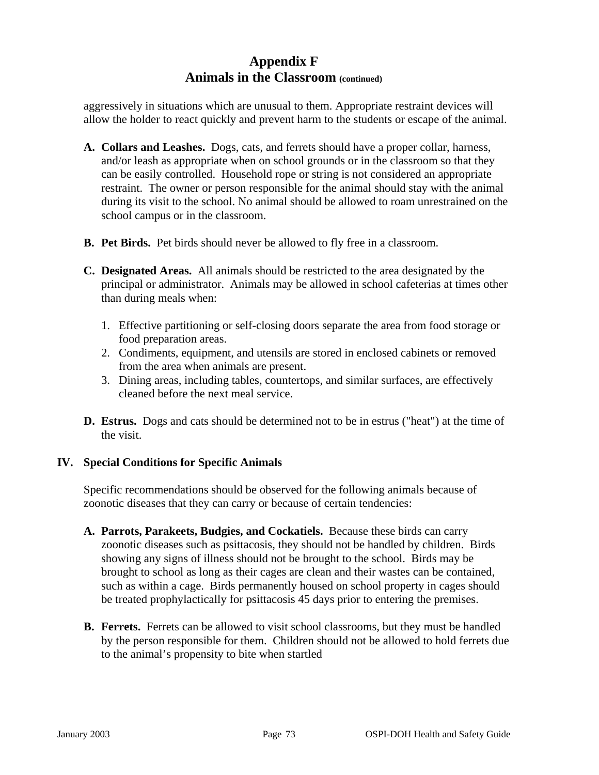aggressively in situations which are unusual to them. Appropriate restraint devices will allow the holder to react quickly and prevent harm to the students or escape of the animal.

- **A. Collars and Leashes.** Dogs, cats, and ferrets should have a proper collar, harness, and/or leash as appropriate when on school grounds or in the classroom so that they can be easily controlled. Household rope or string is not considered an appropriate restraint. The owner or person responsible for the animal should stay with the animal during its visit to the school. No animal should be allowed to roam unrestrained on the school campus or in the classroom.
- **B. Pet Birds.** Pet birds should never be allowed to fly free in a classroom.
- **C. Designated Areas.** All animals should be restricted to the area designated by the principal or administrator. Animals may be allowed in school cafeterias at times other than during meals when:
	- 1. Effective partitioning or self-closing doors separate the area from food storage or food preparation areas.
	- 2. Condiments, equipment, and utensils are stored in enclosed cabinets or removed from the area when animals are present.
	- 3. Dining areas, including tables, countertops, and similar surfaces, are effectively cleaned before the next meal service.
- **D. Estrus.** Dogs and cats should be determined not to be in estrus ("heat") at the time of the visit.

#### **IV. Special Conditions for Specific Animals**

Specific recommendations should be observed for the following animals because of zoonotic diseases that they can carry or because of certain tendencies:

- **A. Parrots, Parakeets, Budgies, and Cockatiels.** Because these birds can carry zoonotic diseases such as psittacosis, they should not be handled by children. Birds showing any signs of illness should not be brought to the school. Birds may be brought to school as long as their cages are clean and their wastes can be contained, such as within a cage. Birds permanently housed on school property in cages should be treated prophylactically for psittacosis 45 days prior to entering the premises.
- **B. Ferrets.** Ferrets can be allowed to visit school classrooms, but they must be handled by the person responsible for them. Children should not be allowed to hold ferrets due to the animal's propensity to bite when startled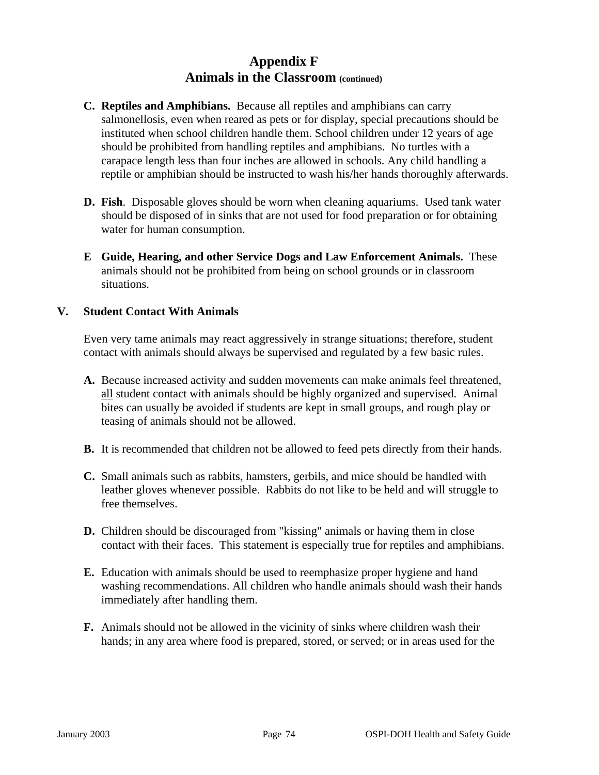- **C. Reptiles and Amphibians.** Because all reptiles and amphibians can carry salmonellosis, even when reared as pets or for display, special precautions should be instituted when school children handle them. School children under 12 years of age should be prohibited from handling reptiles and amphibians. No turtles with a carapace length less than four inches are allowed in schools. Any child handling a reptile or amphibian should be instructed to wash his/her hands thoroughly afterwards.
- **D. Fish**. Disposable gloves should be worn when cleaning aquariums. Used tank water should be disposed of in sinks that are not used for food preparation or for obtaining water for human consumption.
- **E Guide, Hearing, and other Service Dogs and Law Enforcement Animals.** These animals should not be prohibited from being on school grounds or in classroom situations.

#### **V. Student Contact With Animals**

Even very tame animals may react aggressively in strange situations; therefore, student contact with animals should always be supervised and regulated by a few basic rules.

- **A.** Because increased activity and sudden movements can make animals feel threatened, all student contact with animals should be highly organized and supervised. Animal bites can usually be avoided if students are kept in small groups, and rough play or teasing of animals should not be allowed.
- **B.** It is recommended that children not be allowed to feed pets directly from their hands.
- **C.** Small animals such as rabbits, hamsters, gerbils, and mice should be handled with leather gloves whenever possible. Rabbits do not like to be held and will struggle to free themselves.
- **D.** Children should be discouraged from "kissing" animals or having them in close contact with their faces. This statement is especially true for reptiles and amphibians.
- **E.** Education with animals should be used to reemphasize proper hygiene and hand washing recommendations. All children who handle animals should wash their hands immediately after handling them.
- **F.** Animals should not be allowed in the vicinity of sinks where children wash their hands; in any area where food is prepared, stored, or served; or in areas used for the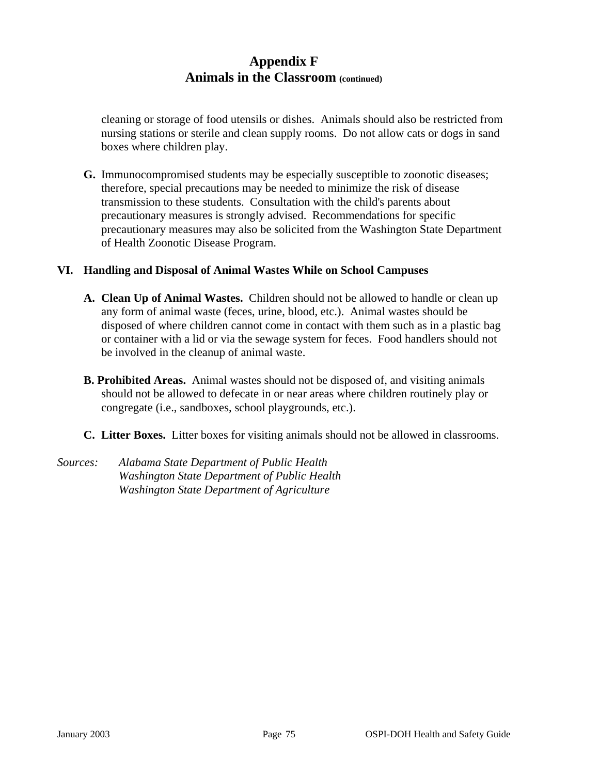cleaning or storage of food utensils or dishes. Animals should also be restricted from nursing stations or sterile and clean supply rooms. Do not allow cats or dogs in sand boxes where children play.

**G.** Immunocompromised students may be especially susceptible to zoonotic diseases; therefore, special precautions may be needed to minimize the risk of disease transmission to these students. Consultation with the child's parents about precautionary measures is strongly advised. Recommendations for specific precautionary measures may also be solicited from the Washington State Department of Health Zoonotic Disease Program.

#### **VI. Handling and Disposal of Animal Wastes While on School Campuses**

- **A. Clean Up of Animal Wastes.** Children should not be allowed to handle or clean up any form of animal waste (feces, urine, blood, etc.). Animal wastes should be disposed of where children cannot come in contact with them such as in a plastic bag or container with a lid or via the sewage system for feces. Food handlers should not be involved in the cleanup of animal waste.
- **B. Prohibited Areas.** Animal wastes should not be disposed of, and visiting animals should not be allowed to defecate in or near areas where children routinely play or congregate (i.e., sandboxes, school playgrounds, etc.).
- **C. Litter Boxes.** Litter boxes for visiting animals should not be allowed in classrooms.
- *Sources: Alabama State Department of Public Health Washington State Department of Public Health Washington State Department of Agriculture*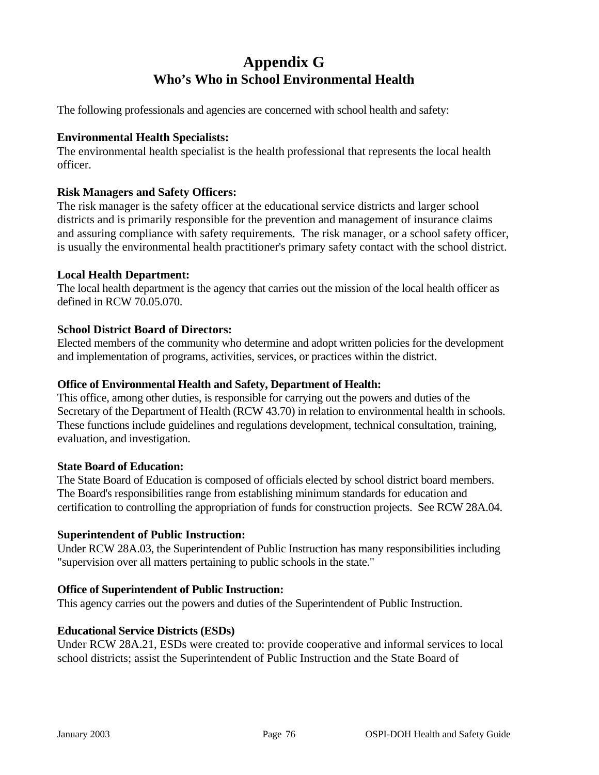# **Appendix G Who's Who in School Environmental Health**

The following professionals and agencies are concerned with school health and safety:

#### **Environmental Health Specialists:**

The environmental health specialist is the health professional that represents the local health officer.

#### **Risk Managers and Safety Officers:**

The risk manager is the safety officer at the educational service districts and larger school districts and is primarily responsible for the prevention and management of insurance claims and assuring compliance with safety requirements. The risk manager, or a school safety officer, is usually the environmental health practitioner's primary safety contact with the school district.

#### **Local Health Department:**

The local health department is the agency that carries out the mission of the local health officer as defined in RCW 70.05.070.

#### **School District Board of Directors:**

Elected members of the community who determine and adopt written policies for the development and implementation of programs, activities, services, or practices within the district.

#### **Office of Environmental Health and Safety, Department of Health:**

This office, among other duties, is responsible for carrying out the powers and duties of the Secretary of the Department of Health (RCW 43.70) in relation to environmental health in schools. These functions include guidelines and regulations development, technical consultation, training, evaluation, and investigation.

#### **State Board of Education:**

The State Board of Education is composed of officials elected by school district board members. The Board's responsibilities range from establishing minimum standards for education and certification to controlling the appropriation of funds for construction projects. See RCW 28A.04.

#### **Superintendent of Public Instruction:**

Under RCW 28A.03, the Superintendent of Public Instruction has many responsibilities including "supervision over all matters pertaining to public schools in the state."

#### **Office of Superintendent of Public Instruction:**

This agency carries out the powers and duties of the Superintendent of Public Instruction.

#### **Educational Service Districts (ESDs)**

Under RCW 28A.21, ESDs were created to: provide cooperative and informal services to local school districts; assist the Superintendent of Public Instruction and the State Board of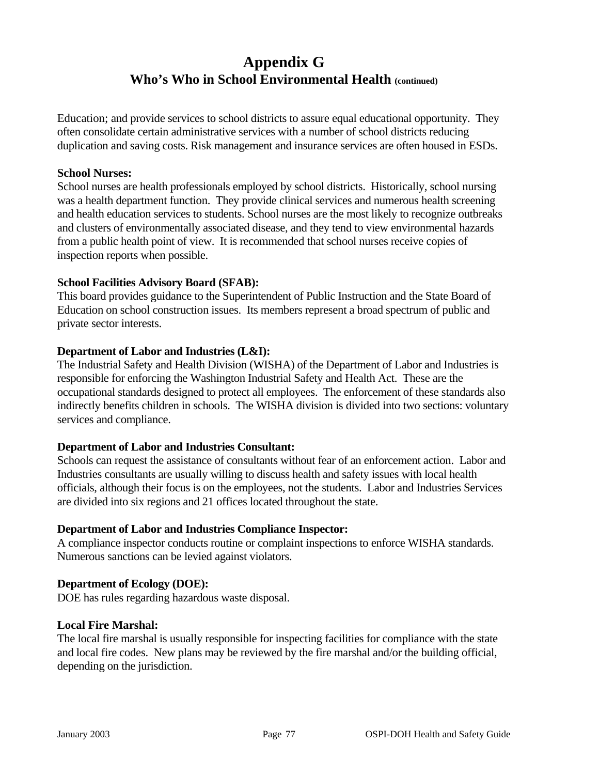# **Appendix G Who's Who in School Environmental Health (continued)**

Education; and provide services to school districts to assure equal educational opportunity. They often consolidate certain administrative services with a number of school districts reducing duplication and saving costs. Risk management and insurance services are often housed in ESDs.

#### **School Nurses:**

School nurses are health professionals employed by school districts. Historically, school nursing was a health department function. They provide clinical services and numerous health screening and health education services to students. School nurses are the most likely to recognize outbreaks and clusters of environmentally associated disease, and they tend to view environmental hazards from a public health point of view. It is recommended that school nurses receive copies of inspection reports when possible.

#### **School Facilities Advisory Board (SFAB):**

This board provides guidance to the Superintendent of Public Instruction and the State Board of Education on school construction issues. Its members represent a broad spectrum of public and private sector interests.

#### **Department of Labor and Industries (L&I):**

The Industrial Safety and Health Division (WISHA) of the Department of Labor and Industries is responsible for enforcing the Washington Industrial Safety and Health Act. These are the occupational standards designed to protect all employees. The enforcement of these standards also indirectly benefits children in schools. The WISHA division is divided into two sections: voluntary services and compliance.

#### **Department of Labor and Industries Consultant:**

Schools can request the assistance of consultants without fear of an enforcement action. Labor and Industries consultants are usually willing to discuss health and safety issues with local health officials, although their focus is on the employees, not the students. Labor and Industries Services are divided into six regions and 21 offices located throughout the state.

#### **Department of Labor and Industries Compliance Inspector:**

A compliance inspector conducts routine or complaint inspections to enforce WISHA standards. Numerous sanctions can be levied against violators.

#### **Department of Ecology (DOE):**

DOE has rules regarding hazardous waste disposal.

#### **Local Fire Marshal:**

The local fire marshal is usually responsible for inspecting facilities for compliance with the state and local fire codes. New plans may be reviewed by the fire marshal and/or the building official, depending on the jurisdiction.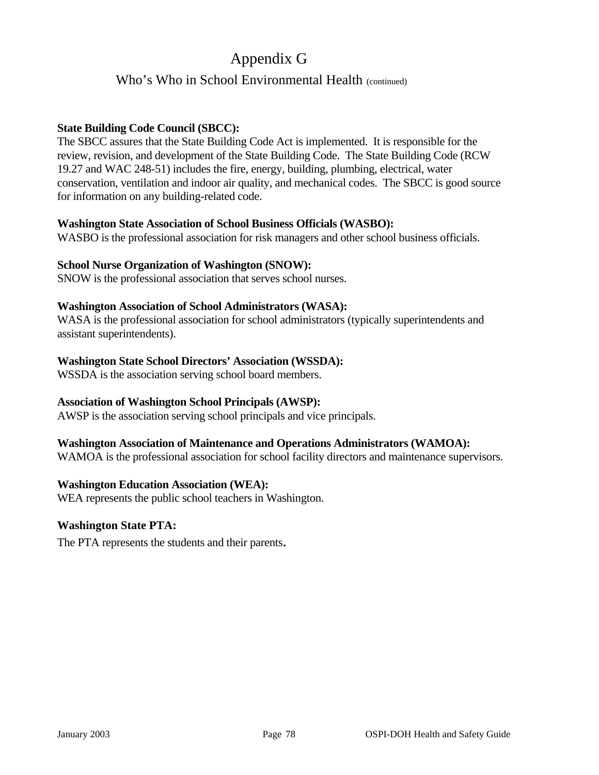# Appendix G

### Who's Who in School Environmental Health (continued)

#### **State Building Code Council (SBCC):**

The SBCC assures that the State Building Code Act is implemented. It is responsible for the review, revision, and development of the State Building Code. The State Building Code (RCW 19.27 and WAC 248-51) includes the fire, energy, building, plumbing, electrical, water conservation, ventilation and indoor air quality, and mechanical codes. The SBCC is good source for information on any building-related code.

#### **Washington State Association of School Business Officials (WASBO):**

WASBO is the professional association for risk managers and other school business officials.

#### **School Nurse Organization of Washington (SNOW):**

SNOW is the professional association that serves school nurses.

#### **Washington Association of School Administrators (WASA):**

WASA is the professional association for school administrators (typically superintendents and assistant superintendents).

#### **Washington State School Directors' Association (WSSDA):**

WSSDA is the association serving school board members.

#### **Association of Washington School Principals (AWSP):**

AWSP is the association serving school principals and vice principals.

#### **Washington Association of Maintenance and Operations Administrators (WAMOA):**

WAMOA is the professional association for school facility directors and maintenance supervisors.

#### **Washington Education Association (WEA):**

WEA represents the public school teachers in Washington.

#### **Washington State PTA:**

The PTA represents the students and their parents.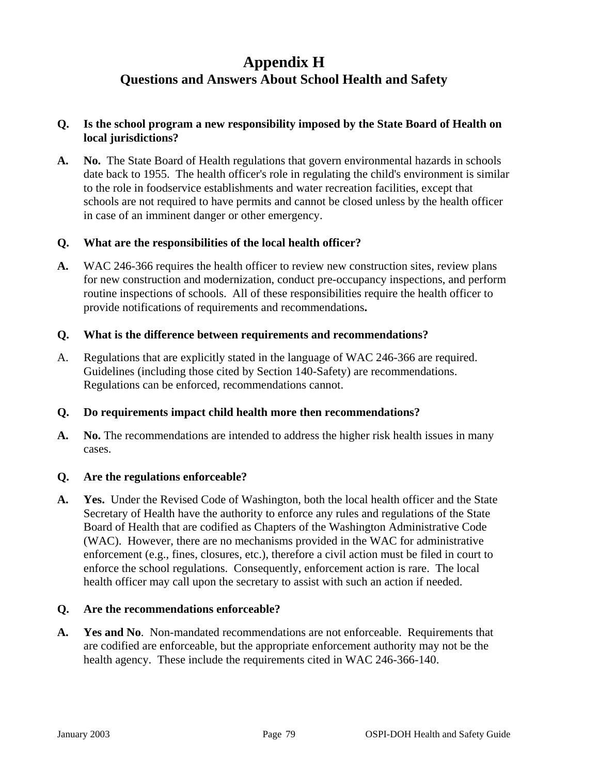## **Appendix H Questions and Answers About School Health and Safety**

#### **Q. Is the school program a new responsibility imposed by the State Board of Health on local jurisdictions?**

**A. No.** The State Board of Health regulations that govern environmental hazards in schools date back to 1955. The health officer's role in regulating the child's environment is similar to the role in foodservice establishments and water recreation facilities, except that schools are not required to have permits and cannot be closed unless by the health officer in case of an imminent danger or other emergency.

#### **Q. What are the responsibilities of the local health officer?**

**A.** WAC 246-366 requires the health officer to review new construction sites, review plans for new construction and modernization, conduct pre-occupancy inspections, and perform routine inspections of schools. All of these responsibilities require the health officer to provide notifications of requirements and recommendations**.** 

#### **Q. What is the difference between requirements and recommendations?**

A. Regulations that are explicitly stated in the language of WAC 246-366 are required. Guidelines (including those cited by Section 140-Safety) are recommendations. Regulations can be enforced, recommendations cannot.

#### **Q. Do requirements impact child health more then recommendations?**

**A. No.** The recommendations are intended to address the higher risk health issues in many cases.

#### **Q. Are the regulations enforceable?**

**A. Yes.** Under the Revised Code of Washington, both the local health officer and the State Secretary of Health have the authority to enforce any rules and regulations of the State Board of Health that are codified as Chapters of the Washington Administrative Code (WAC). However, there are no mechanisms provided in the WAC for administrative enforcement (e.g., fines, closures, etc.), therefore a civil action must be filed in court to enforce the school regulations. Consequently, enforcement action is rare. The local health officer may call upon the secretary to assist with such an action if needed.

#### **Q. Are the recommendations enforceable?**

**A. Yes and No**. Non-mandated recommendations are not enforceable. Requirements that are codified are enforceable, but the appropriate enforcement authority may not be the health agency. These include the requirements cited in WAC 246-366-140.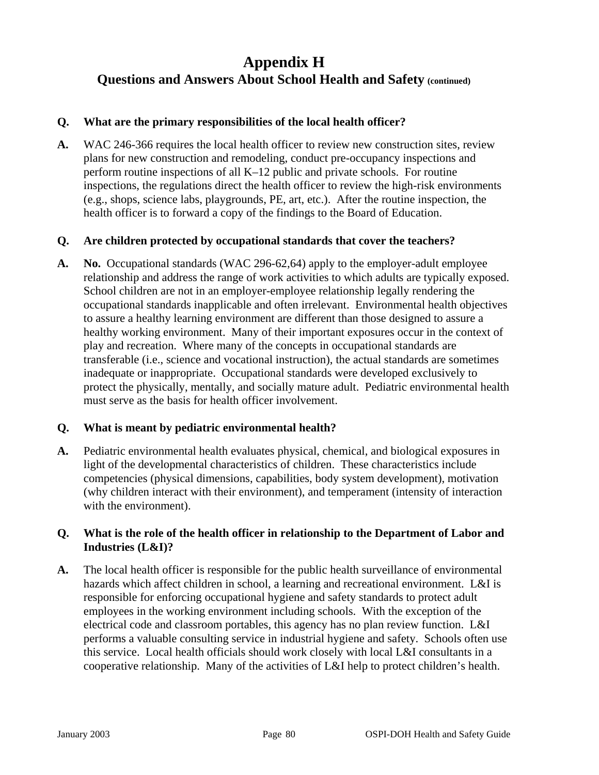# **Appendix H Questions and Answers About School Health and Safety (continued)**

#### **Q. What are the primary responsibilities of the local health officer?**

**A.** WAC 246-366 requires the local health officer to review new construction sites, review plans for new construction and remodeling, conduct pre-occupancy inspections and perform routine inspections of all K–12 public and private schools. For routine inspections, the regulations direct the health officer to review the high-risk environments (e.g., shops, science labs, playgrounds, PE, art, etc.). After the routine inspection, the health officer is to forward a copy of the findings to the Board of Education.

#### **Q. Are children protected by occupational standards that cover the teachers?**

**A. No.** Occupational standards (WAC 296-62,64) apply to the employer-adult employee relationship and address the range of work activities to which adults are typically exposed. School children are not in an employer-employee relationship legally rendering the occupational standards inapplicable and often irrelevant. Environmental health objectives to assure a healthy learning environment are different than those designed to assure a healthy working environment. Many of their important exposures occur in the context of play and recreation. Where many of the concepts in occupational standards are transferable (i.e., science and vocational instruction), the actual standards are sometimes inadequate or inappropriate. Occupational standards were developed exclusively to protect the physically, mentally, and socially mature adult. Pediatric environmental health must serve as the basis for health officer involvement.

#### **Q. What is meant by pediatric environmental health?**

**A.** Pediatric environmental health evaluates physical, chemical, and biological exposures in light of the developmental characteristics of children. These characteristics include competencies (physical dimensions, capabilities, body system development), motivation (why children interact with their environment), and temperament (intensity of interaction with the environment).

#### **Q. What is the role of the health officer in relationship to the Department of Labor and Industries (L&I)?**

**A.** The local health officer is responsible for the public health surveillance of environmental hazards which affect children in school, a learning and recreational environment. L&I is responsible for enforcing occupational hygiene and safety standards to protect adult employees in the working environment including schools. With the exception of the electrical code and classroom portables, this agency has no plan review function. L&I performs a valuable consulting service in industrial hygiene and safety. Schools often use this service. Local health officials should work closely with local L&I consultants in a cooperative relationship. Many of the activities of L&I help to protect children's health.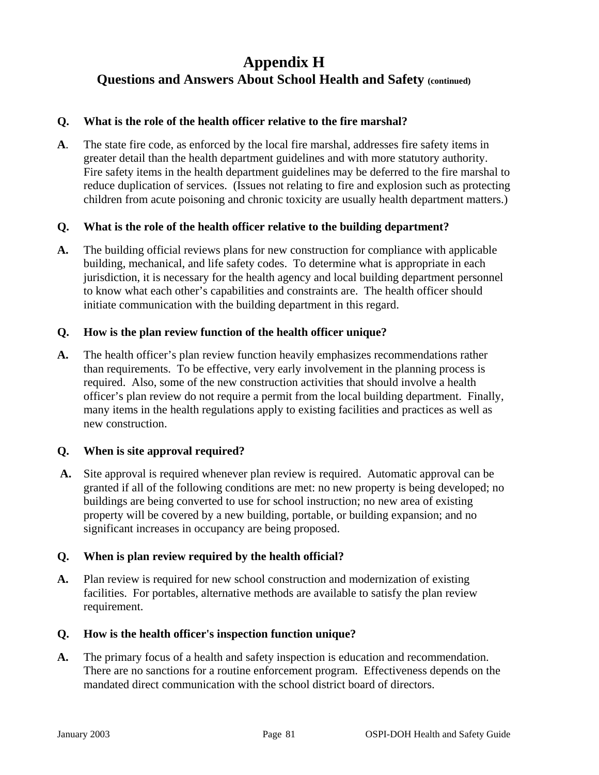# **Appendix H Questions and Answers About School Health and Safety (continued)**

#### **Q. What is the role of the health officer relative to the fire marshal?**

**A**. The state fire code, as enforced by the local fire marshal, addresses fire safety items in greater detail than the health department guidelines and with more statutory authority. Fire safety items in the health department guidelines may be deferred to the fire marshal to reduce duplication of services. (Issues not relating to fire and explosion such as protecting children from acute poisoning and chronic toxicity are usually health department matters.)

#### **Q. What is the role of the health officer relative to the building department?**

**A.** The building official reviews plans for new construction for compliance with applicable building, mechanical, and life safety codes. To determine what is appropriate in each jurisdiction, it is necessary for the health agency and local building department personnel to know what each other's capabilities and constraints are. The health officer should initiate communication with the building department in this regard.

#### **Q. How is the plan review function of the health officer unique?**

**A.** The health officer's plan review function heavily emphasizes recommendations rather than requirements. To be effective, very early involvement in the planning process is required. Also, some of the new construction activities that should involve a health officer's plan review do not require a permit from the local building department. Finally, many items in the health regulations apply to existing facilities and practices as well as new construction.

#### **Q. When is site approval required?**

 **A.** Site approval is required whenever plan review is required. Automatic approval can be granted if all of the following conditions are met: no new property is being developed; no buildings are being converted to use for school instruction; no new area of existing property will be covered by a new building, portable, or building expansion; and no significant increases in occupancy are being proposed.

#### **Q. When is plan review required by the health official?**

**A.** Plan review is required for new school construction and modernization of existing facilities. For portables, alternative methods are available to satisfy the plan review requirement.

#### **Q. How is the health officer's inspection function unique?**

**A.** The primary focus of a health and safety inspection is education and recommendation. There are no sanctions for a routine enforcement program. Effectiveness depends on the mandated direct communication with the school district board of directors.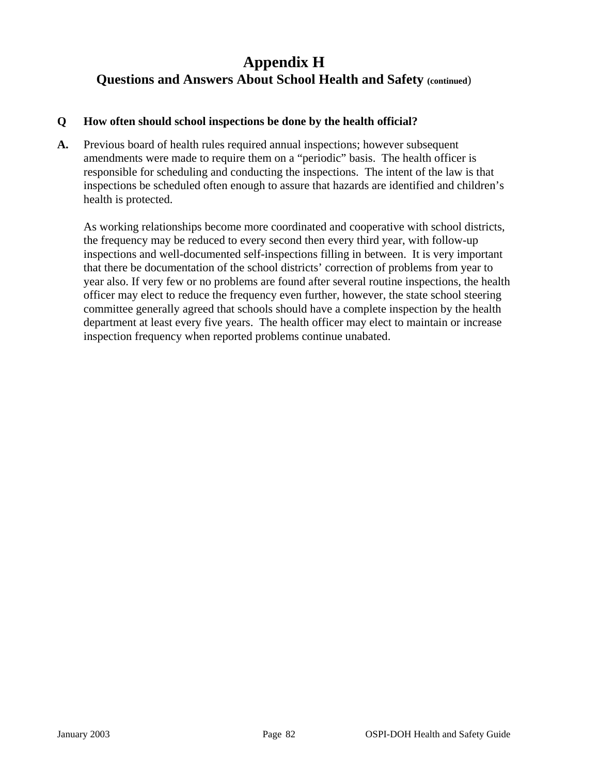# **Appendix H Questions and Answers About School Health and Safety (continued**)

#### **Q How often should school inspections be done by the health official?**

**A.** Previous board of health rules required annual inspections; however subsequent amendments were made to require them on a "periodic" basis. The health officer is responsible for scheduling and conducting the inspections. The intent of the law is that inspections be scheduled often enough to assure that hazards are identified and children's health is protected.

As working relationships become more coordinated and cooperative with school districts, the frequency may be reduced to every second then every third year, with follow-up inspections and well-documented self-inspections filling in between. It is very important that there be documentation of the school districts' correction of problems from year to year also. If very few or no problems are found after several routine inspections, the health officer may elect to reduce the frequency even further, however, the state school steering committee generally agreed that schools should have a complete inspection by the health department at least every five years. The health officer may elect to maintain or increase inspection frequency when reported problems continue unabated.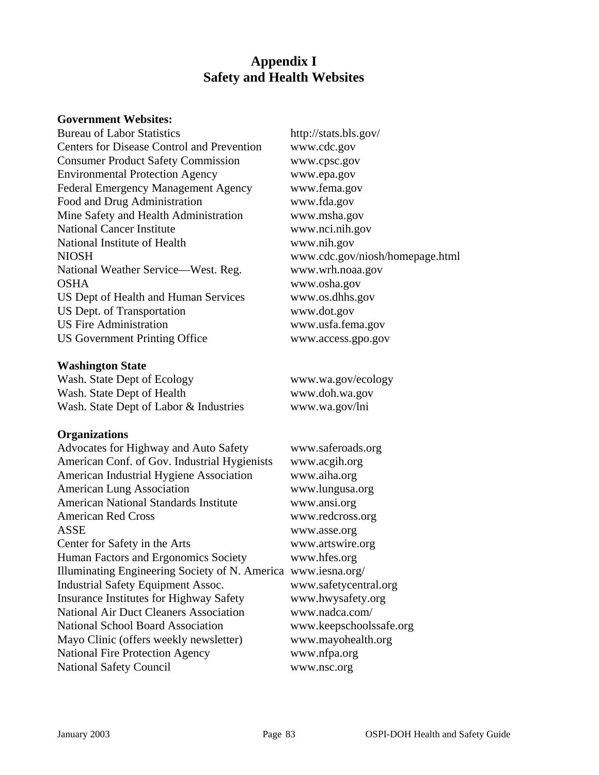### **Appendix I Safety and Health Websites**

#### **Government Websites:**

Bureau of Labor Statistics http://stats.bls.gov/ Centers for Disease Control and Prevention www.cdc.gov Consumer Product Safety Commission www.cpsc.gov Environmental Protection Agency www.epa.gov Federal Emergency Management Agency www.fema.gov Food and Drug Administration www.fda.gov Mine Safety and Health Administration www.msha.gov National Cancer Institute www.nci.nih.gov National Institute of Health www.nih.gov NIOSH www.cdc.gov/niosh/homepage.html National Weather Service—West. Reg. www.wrh.noaa.gov OSHA www.osha.gov US Dept of Health and Human Services www.os.dhhs.gov US Dept. of Transportation www.dot.gov US Fire Administration www.usfa.fema.gov US Government Printing Office www.access.gpo.gov

#### **Washington State**

Wash. State Dept of Ecology www.wa.gov/ecology Wash. State Dept of Health www.doh.wa.gov Wash. State Dept of Labor & Industries www.wa.gov/lni

#### **Organizations**

| Advocates for Highway and Auto Safety          | www.saferoads.org       |
|------------------------------------------------|-------------------------|
| American Conf. of Gov. Industrial Hygienists   | www.acgih.org           |
| American Industrial Hygiene Association        | www.aiha.org            |
| <b>American Lung Association</b>               | www.lungusa.org         |
| <b>American National Standards Institute</b>   | www.ansi.org            |
| <b>American Red Cross</b>                      | www.redcross.org        |
| ASSE                                           | www.asse.org            |
| Center for Safety in the Arts                  | www.artswire.org        |
| Human Factors and Ergonomics Society           | www.hfes.org            |
| Illuminating Engineering Society of N. America | www.iesna.org/          |
| <b>Industrial Safety Equipment Assoc.</b>      | www.safetycentral.org   |
| <b>Insurance Institutes for Highway Safety</b> | www.hwysafety.org       |
| <b>National Air Duct Cleaners Association</b>  | www.nadca.com/          |
| National School Board Association              | www.keepschoolssafe.org |
| Mayo Clinic (offers weekly newsletter)         | www.mayohealth.org      |
| <b>National Fire Protection Agency</b>         | www.nfpa.org            |
| <b>National Safety Council</b>                 | www.nsc.org             |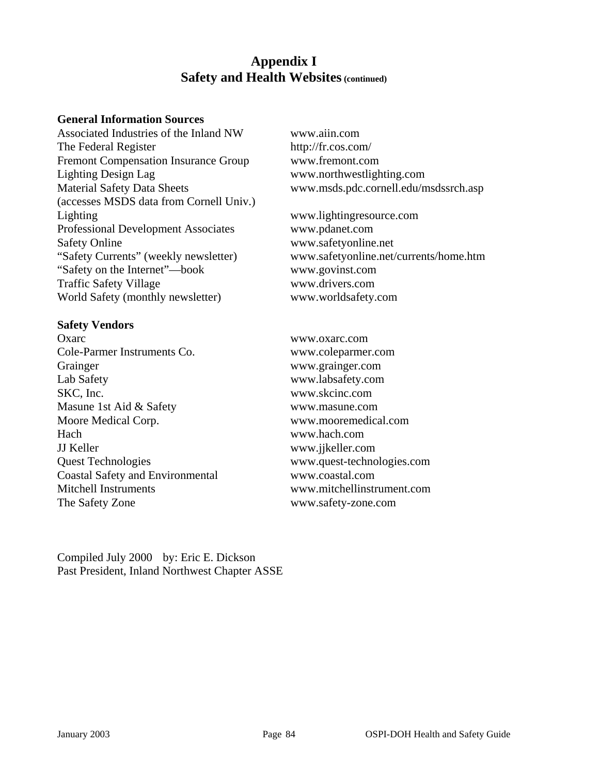### **Appendix I Safety and Health Websites (continued)**

#### **General Information Sources**

Associated Industries of the Inland NW www.aiin.com The Federal Register http://fr.cos.com/ Fremont Compensation Insurance Group [www.fremont.com](http://www.fremont.com/) Lighting Design Lag www.northwestlighting.com Material Safety Data Sheets www.msds.pdc.cornell.edu/msdssrch.asp (accesses MSDS data from Cornell Univ.) Lighting www.lightingresource.com Professional Development Associates www.pdanet.com Safety Online www.safetyonline.net "Safety Currents" (weekly newsletter) www.safetyonline.net/currents/home.htm "Safety on the Internet"—book www.govinst.com Traffic Safety Village www.drivers.com World Safety (monthly newsletter) www.worldsafety.com

#### **Safety Vendors**

Oxarc www.oxarc.com Cole-Parmer Instruments Co. www.coleparmer.com Grainger www.grainger.com Lab Safety www.labsafety.com SKC, Inc. www.skcinc.com Masune 1st Aid & Safety www.masune.com Moore Medical Corp. www.mooremedical.com Hach www.hach.com JJ Keller www.jjkeller.com Quest Technologies www.quest-technologies.com Coastal Safety and Environmental www.coastal.com Mitchell Instruments www.mitchellinstrument.com The Safety Zone www.safety-zone.com

Compiled July 2000 by: Eric E. Dickson Past President, Inland Northwest Chapter ASSE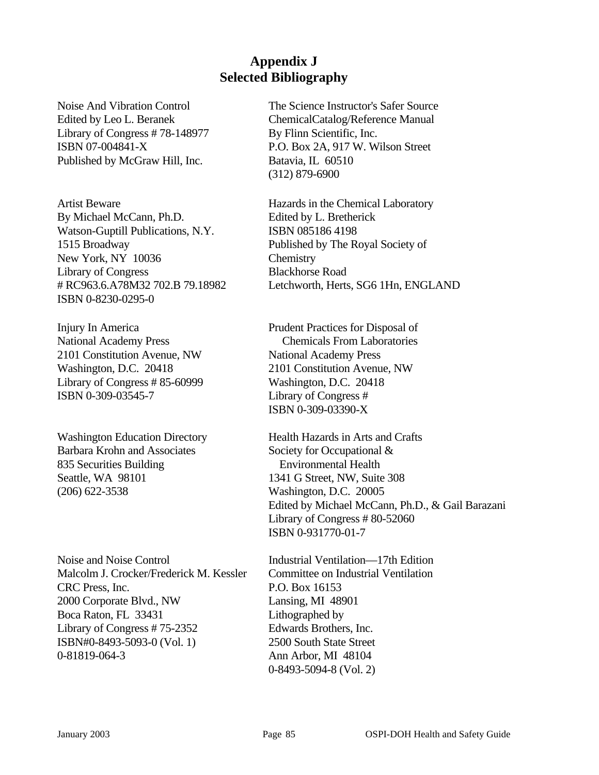## **Appendix J Selected Bibliography**

Library of Congress #78-148977 By Flinn Scientific, Inc. Published by McGraw Hill, Inc. Batavia, IL 60510

Artist Beware **Hazards** in the Chemical Laboratory By Michael McCann, Ph.D. Edited by L. Bretherick Watson-Guptill Publications, N.Y. ISBN 0851864198 1515 Broadway Published by The Royal Society of New York, NY 10036 Chemistry Library of Congress Blackhorse Road ISBN 0-8230-0295-0

National Academy Press Chemicals From Laboratories 2101 Constitution Avenue, NW National Academy Press Washington, D.C. 20418 2101 Constitution Avenue, NW Library of Congress # 85-60999 Washington, D.C. 20418 ISBN 0-309-03545-7 Library of Congress #

Washington Education Directory Health Hazards in Arts and Crafts Barbara Krohn and Associates Society for Occupational & 835 Securities Building Environmental Health Seattle, WA 98101 1341 G Street, NW, Suite 308 (206) 622-3538 Washington, D.C. 20005

Noise and Noise Control Industrial Ventilation—17th Edition Malcolm J. Crocker/Frederick M. Kessler Committee on Industrial Ventilation CRC Press, Inc. P.O. Box 16153 2000 Corporate Blvd., NW Lansing, MI 48901 Boca Raton, FL 33431 Lithographed by Library of Congress #75-2352 Edwards Brothers, Inc. ISBN#0-8493-5093-0 (Vol. 1) 2500 South State Street 0-81819-064-3 Ann Arbor, MI 48104

Noise And Vibration Control The Science Instructor's Safer Source Edited by Leo L. Beranek ChemicalCatalog/Reference Manual ISBN 07-004841-X P.O. Box 2A, 917 W. Wilson Street (312) 879-6900

# RC963.6.A78M32 702.B 79.18982 Letchworth, Herts, SG6 1Hn, ENGLAND

Injury In America Prudent Practices for Disposal of ISBN 0-309-03390-X

> Edited by Michael McCann, Ph.D., & Gail Barazani Library of Congress # 80-52060 ISBN 0-931770-01-7

0-8493-5094-8 (Vol. 2)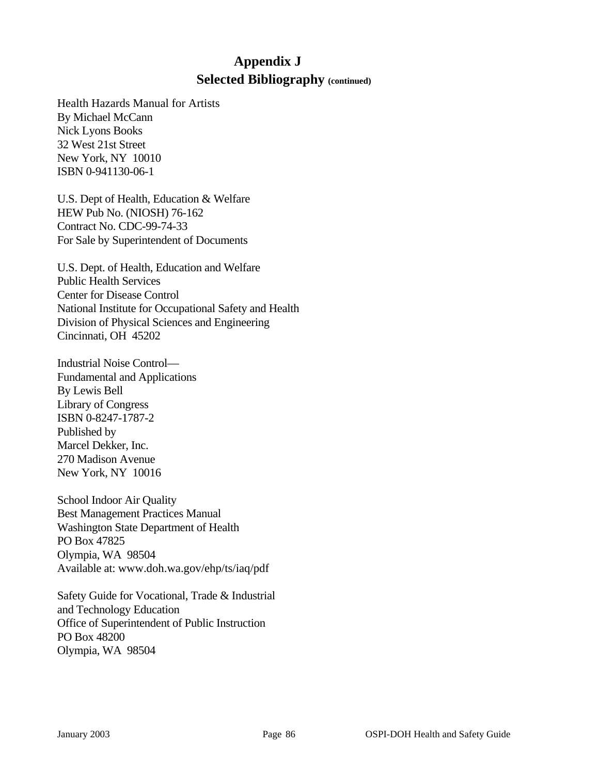## **Appendix J Selected Bibliography (continued)**

Health Hazards Manual for Artists By Michael McCann Nick Lyons Books 32 West 21st Street New York, NY 10010 ISBN 0-941130-06-1

U.S. Dept of Health, Education & Welfare HEW Pub No. (NIOSH) 76-162 Contract No. CDC-99-74-33 For Sale by Superintendent of Documents

U.S. Dept. of Health, Education and Welfare Public Health Services Center for Disease Control National Institute for Occupational Safety and Health Division of Physical Sciences and Engineering Cincinnati, OH 45202

Industrial Noise Control— Fundamental and Applications By Lewis Bell Library of Congress ISBN 0-8247-1787-2 Published by Marcel Dekker, Inc. 270 Madison Avenue New York, NY 10016

School Indoor Air Quality Best Management Practices Manual Washington State Department of Health PO Box 47825 Olympia, WA 98504 Available at: www.doh.wa.gov/ehp/ts/iaq/pdf

Safety Guide for Vocational, Trade & Industrial and Technology Education Office of Superintendent of Public Instruction PO Box 48200 Olympia, WA 98504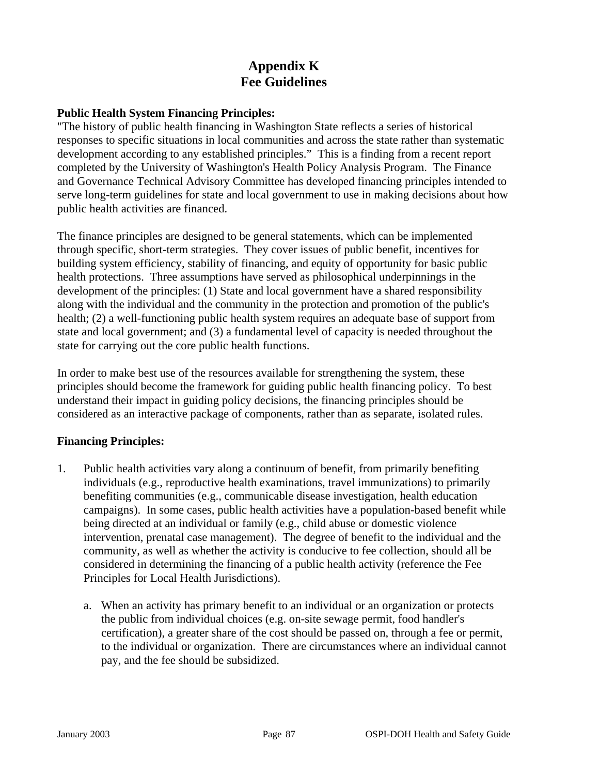## **Appendix K Fee Guidelines**

#### **Public Health System Financing Principles:**

"The history of public health financing in Washington State reflects a series of historical responses to specific situations in local communities and across the state rather than systematic development according to any established principles." This is a finding from a recent report completed by the University of Washington's Health Policy Analysis Program. The Finance and Governance Technical Advisory Committee has developed financing principles intended to serve long-term guidelines for state and local government to use in making decisions about how public health activities are financed.

The finance principles are designed to be general statements, which can be implemented through specific, short-term strategies. They cover issues of public benefit, incentives for building system efficiency, stability of financing, and equity of opportunity for basic public health protections. Three assumptions have served as philosophical underpinnings in the development of the principles: (1) State and local government have a shared responsibility along with the individual and the community in the protection and promotion of the public's health; (2) a well-functioning public health system requires an adequate base of support from state and local government; and (3) a fundamental level of capacity is needed throughout the state for carrying out the core public health functions.

In order to make best use of the resources available for strengthening the system, these principles should become the framework for guiding public health financing policy. To best understand their impact in guiding policy decisions, the financing principles should be considered as an interactive package of components, rather than as separate, isolated rules.

#### **Financing Principles:**

- 1. Public health activities vary along a continuum of benefit, from primarily benefiting individuals (e.g., reproductive health examinations, travel immunizations) to primarily benefiting communities (e.g., communicable disease investigation, health education campaigns). In some cases, public health activities have a population-based benefit while being directed at an individual or family (e.g., child abuse or domestic violence intervention, prenatal case management). The degree of benefit to the individual and the community, as well as whether the activity is conducive to fee collection, should all be considered in determining the financing of a public health activity (reference the Fee Principles for Local Health Jurisdictions).
	- a. When an activity has primary benefit to an individual or an organization or protects the public from individual choices (e.g. on-site sewage permit, food handler's certification), a greater share of the cost should be passed on, through a fee or permit, to the individual or organization. There are circumstances where an individual cannot pay, and the fee should be subsidized.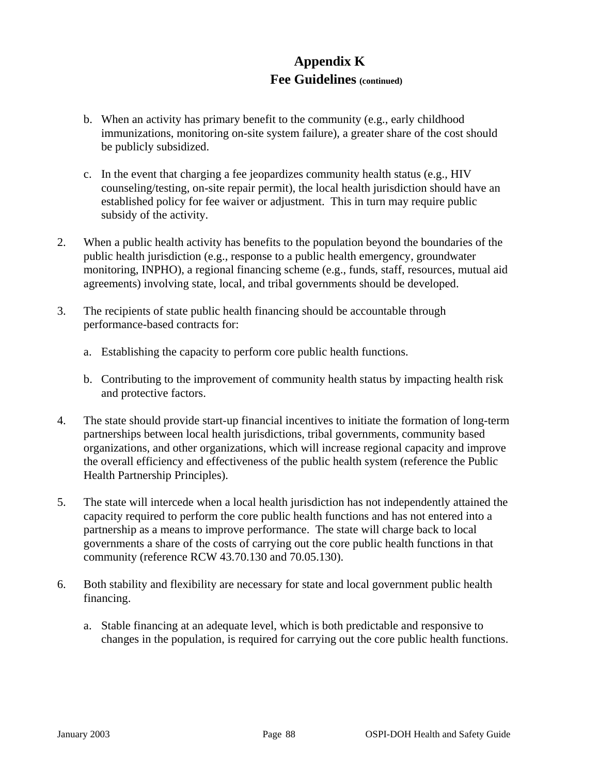## **Appendix K Fee Guidelines (continued)**

- b. When an activity has primary benefit to the community (e.g., early childhood immunizations, monitoring on-site system failure), a greater share of the cost should be publicly subsidized.
- c. In the event that charging a fee jeopardizes community health status (e.g., HIV counseling/testing, on-site repair permit), the local health jurisdiction should have an established policy for fee waiver or adjustment. This in turn may require public subsidy of the activity.
- 2. When a public health activity has benefits to the population beyond the boundaries of the public health jurisdiction (e.g., response to a public health emergency, groundwater monitoring, INPHO), a regional financing scheme (e.g., funds, staff, resources, mutual aid agreements) involving state, local, and tribal governments should be developed.
- 3. The recipients of state public health financing should be accountable through performance-based contracts for:
	- a. Establishing the capacity to perform core public health functions.
	- b. Contributing to the improvement of community health status by impacting health risk and protective factors.
- 4. The state should provide start-up financial incentives to initiate the formation of long-term partnerships between local health jurisdictions, tribal governments, community based organizations, and other organizations, which will increase regional capacity and improve the overall efficiency and effectiveness of the public health system (reference the Public Health Partnership Principles).
- 5. The state will intercede when a local health jurisdiction has not independently attained the capacity required to perform the core public health functions and has not entered into a partnership as a means to improve performance. The state will charge back to local governments a share of the costs of carrying out the core public health functions in that community (reference RCW 43.70.130 and 70.05.130).
- 6. Both stability and flexibility are necessary for state and local government public health financing.
	- a. Stable financing at an adequate level, which is both predictable and responsive to changes in the population, is required for carrying out the core public health functions.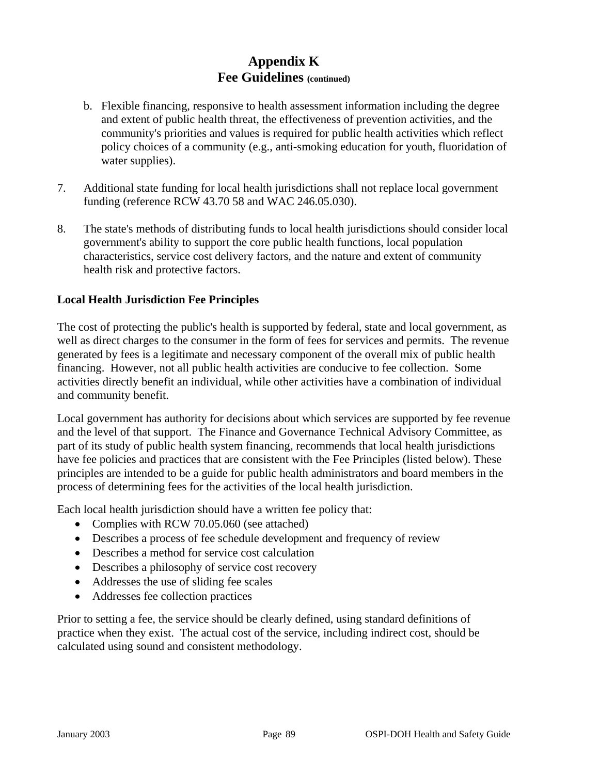## **Appendix K Fee Guidelines (continued)**

- b. Flexible financing, responsive to health assessment information including the degree and extent of public health threat, the effectiveness of prevention activities, and the community's priorities and values is required for public health activities which reflect policy choices of a community (e.g., anti-smoking education for youth, fluoridation of water supplies).
- 7. Additional state funding for local health jurisdictions shall not replace local government funding (reference RCW 43.70 58 and WAC 246.05.030).
- 8. The state's methods of distributing funds to local health jurisdictions should consider local government's ability to support the core public health functions, local population characteristics, service cost delivery factors, and the nature and extent of community health risk and protective factors.

### **Local Health Jurisdiction Fee Principles**

The cost of protecting the public's health is supported by federal, state and local government, as well as direct charges to the consumer in the form of fees for services and permits. The revenue generated by fees is a legitimate and necessary component of the overall mix of public health financing. However, not all public health activities are conducive to fee collection. Some activities directly benefit an individual, while other activities have a combination of individual and community benefit.

Local government has authority for decisions about which services are supported by fee revenue and the level of that support. The Finance and Governance Technical Advisory Committee, as part of its study of public health system financing, recommends that local health jurisdictions have fee policies and practices that are consistent with the Fee Principles (listed below). These principles are intended to be a guide for public health administrators and board members in the process of determining fees for the activities of the local health jurisdiction.

Each local health jurisdiction should have a written fee policy that:

- Complies with RCW 70.05.060 (see attached)
- Describes a process of fee schedule development and frequency of review
- Describes a method for service cost calculation
- Describes a philosophy of service cost recovery
- Addresses the use of sliding fee scales
- Addresses fee collection practices

Prior to setting a fee, the service should be clearly defined, using standard definitions of practice when they exist. The actual cost of the service, including indirect cost, should be calculated using sound and consistent methodology.